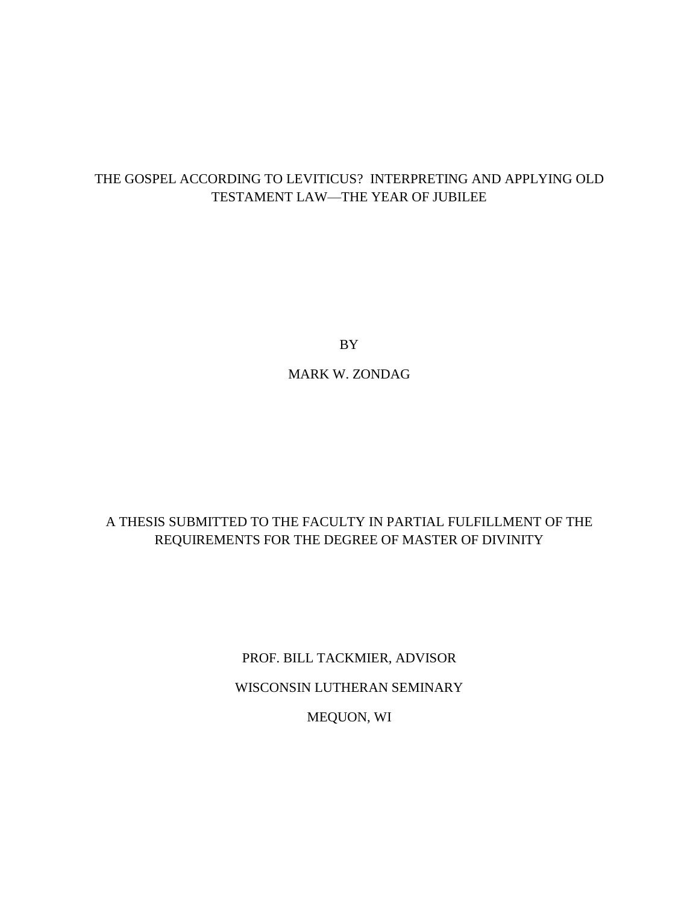# THE GOSPEL ACCORDING TO LEVITICUS? INTERPRETING AND APPLYING OLD TESTAMENT LAW—THE YEAR OF JUBILEE

BY

MARK W. ZONDAG

# A THESIS SUBMITTED TO THE FACULTY IN PARTIAL FULFILLMENT OF THE REQUIREMENTS FOR THE DEGREE OF MASTER OF DIVINITY

PROF. BILL TACKMIER, ADVISOR WISCONSIN LUTHERAN SEMINARY MEQUON, WI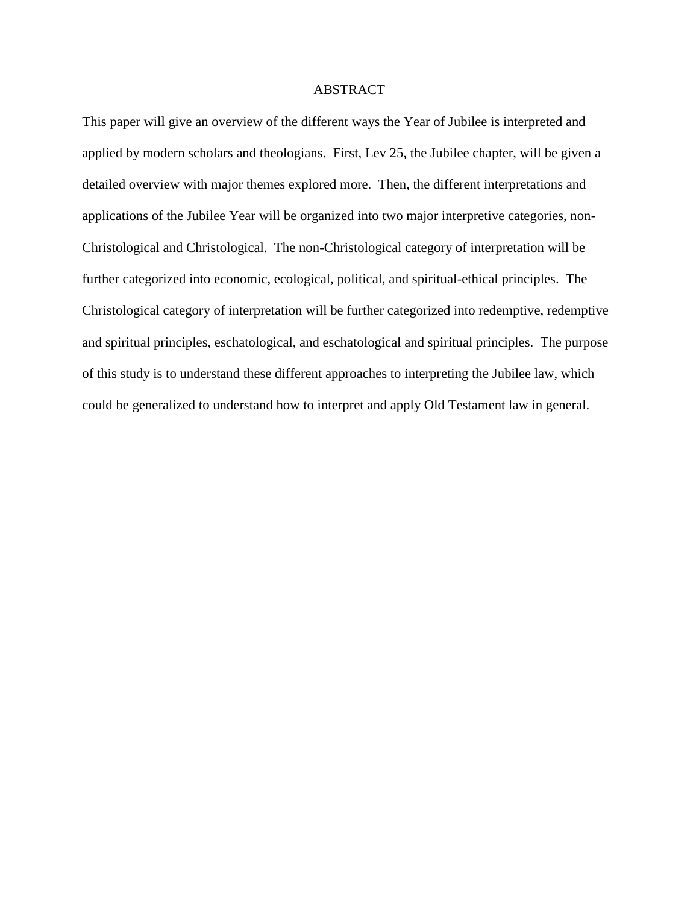# ABSTRACT

This paper will give an overview of the different ways the Year of Jubilee is interpreted and applied by modern scholars and theologians. First, Lev 25, the Jubilee chapter, will be given a detailed overview with major themes explored more. Then, the different interpretations and applications of the Jubilee Year will be organized into two major interpretive categories, non-Christological and Christological. The non-Christological category of interpretation will be further categorized into economic, ecological, political, and spiritual-ethical principles. The Christological category of interpretation will be further categorized into redemptive, redemptive and spiritual principles, eschatological, and eschatological and spiritual principles. The purpose of this study is to understand these different approaches to interpreting the Jubilee law, which could be generalized to understand how to interpret and apply Old Testament law in general.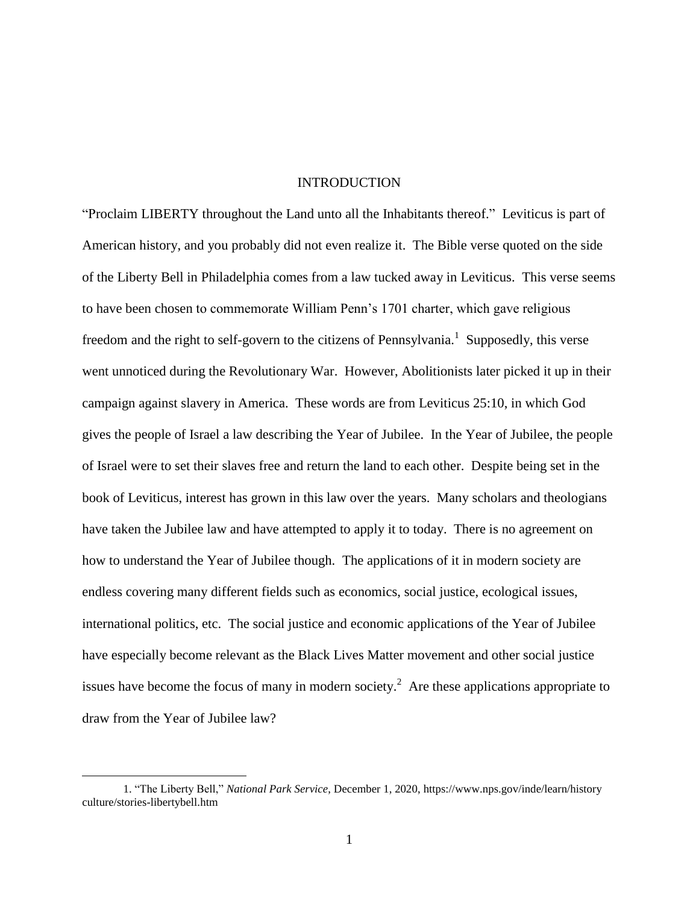#### INTRODUCTION

"Proclaim LIBERTY throughout the Land unto all the Inhabitants thereof." Leviticus is part of American history, and you probably did not even realize it. The Bible verse quoted on the side of the Liberty Bell in Philadelphia comes from a law tucked away in Leviticus. This verse seems to have been chosen to commemorate William Penn's 1701 charter, which gave religious freedom and the right to self-govern to the citizens of Pennsylvania.<sup>1</sup> Supposedly, this verse went unnoticed during the Revolutionary War. However, Abolitionists later picked it up in their campaign against slavery in America. These words are from Leviticus 25:10, in which God gives the people of Israel a law describing the Year of Jubilee. In the Year of Jubilee, the people of Israel were to set their slaves free and return the land to each other. Despite being set in the book of Leviticus, interest has grown in this law over the years. Many scholars and theologians have taken the Jubilee law and have attempted to apply it to today. There is no agreement on how to understand the Year of Jubilee though. The applications of it in modern society are endless covering many different fields such as economics, social justice, ecological issues, international politics, etc. The social justice and economic applications of the Year of Jubilee have especially become relevant as the Black Lives Matter movement and other social justice issues have become the focus of many in modern society.<sup>2</sup> Are these applications appropriate to draw from the Year of Jubilee law?

<sup>1. &</sup>quot;The Liberty Bell," *National Park Service*, December 1, 2020, https://www.nps.gov/inde/learn/history culture/stories-libertybell.htm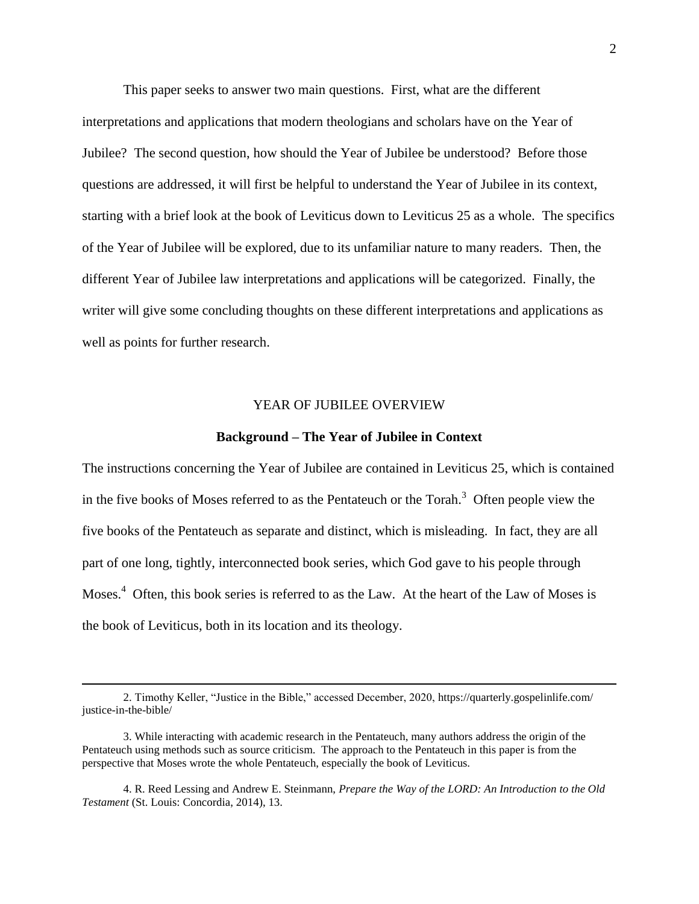This paper seeks to answer two main questions. First, what are the different interpretations and applications that modern theologians and scholars have on the Year of Jubilee? The second question, how should the Year of Jubilee be understood? Before those questions are addressed, it will first be helpful to understand the Year of Jubilee in its context, starting with a brief look at the book of Leviticus down to Leviticus 25 as a whole. The specifics of the Year of Jubilee will be explored, due to its unfamiliar nature to many readers. Then, the different Year of Jubilee law interpretations and applications will be categorized. Finally, the writer will give some concluding thoughts on these different interpretations and applications as well as points for further research.

#### YEAR OF JUBILEE OVERVIEW

#### **Background – The Year of Jubilee in Context**

The instructions concerning the Year of Jubilee are contained in Leviticus 25, which is contained in the five books of Moses referred to as the Pentateuch or the Torah.<sup>3</sup> Often people view the five books of the Pentateuch as separate and distinct, which is misleading. In fact, they are all part of one long, tightly, interconnected book series, which God gave to his people through Moses.<sup>4</sup> Often, this book series is referred to as the Law. At the heart of the Law of Moses is the book of Leviticus, both in its location and its theology.

<sup>2.</sup> Timothy Keller, "Justice in the Bible," accessed December, 2020, https://quarterly.gospelinlife.com/ justice-in-the-bible/

<sup>3.</sup> While interacting with academic research in the Pentateuch, many authors address the origin of the Pentateuch using methods such as source criticism. The approach to the Pentateuch in this paper is from the perspective that Moses wrote the whole Pentateuch, especially the book of Leviticus.

<sup>4.</sup> R. Reed Lessing and Andrew E. Steinmann, *Prepare the Way of the LORD: An Introduction to the Old Testament* (St. Louis: Concordia, 2014), 13.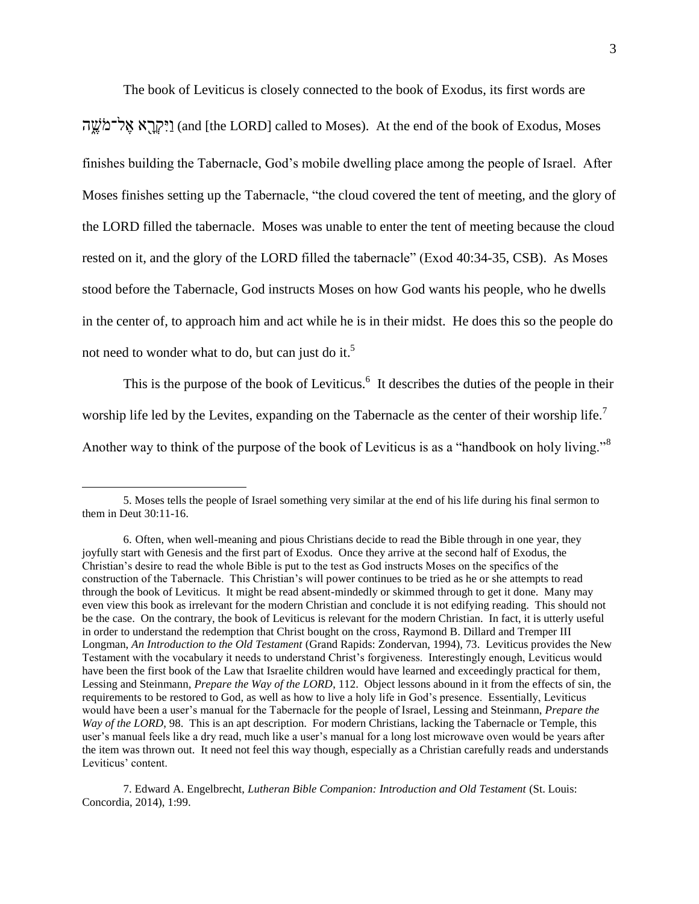The book of Leviticus is closely connected to the book of Exodus, its first words are

יִקְרָא אֱל־מֹשֱה] (and [the LORD] called to Moses). At the end of the book of Exodus, Moses finishes building the Tabernacle, God's mobile dwelling place among the people of Israel. After Moses finishes setting up the Tabernacle, "the cloud covered the tent of meeting, and the glory of the LORD filled the tabernacle. Moses was unable to enter the tent of meeting because the cloud rested on it, and the glory of the LORD filled the tabernacle" (Exod 40:34-35, CSB). As Moses stood before the Tabernacle, God instructs Moses on how God wants his people, who he dwells in the center of, to approach him and act while he is in their midst. He does this so the people do not need to wonder what to do, but can just do it.<sup>5</sup>

This is the purpose of the book of Leviticus. $<sup>6</sup>$  It describes the duties of the people in their</sup> worship life led by the Levites, expanding on the Tabernacle as the center of their worship life.<sup>7</sup> Another way to think of the purpose of the book of Leviticus is as a "handbook on holy living."<sup>8</sup>

 $\overline{a}$ 

7. Edward A. Engelbrecht, *Lutheran Bible Companion: Introduction and Old Testament* (St. Louis: Concordia, 2014), 1:99.

<sup>5.</sup> Moses tells the people of Israel something very similar at the end of his life during his final sermon to them in Deut 30:11-16.

<sup>6.</sup> Often, when well-meaning and pious Christians decide to read the Bible through in one year, they joyfully start with Genesis and the first part of Exodus. Once they arrive at the second half of Exodus, the Christian's desire to read the whole Bible is put to the test as God instructs Moses on the specifics of the construction of the Tabernacle. This Christian's will power continues to be tried as he or she attempts to read through the book of Leviticus. It might be read absent-mindedly or skimmed through to get it done. Many may even view this book as irrelevant for the modern Christian and conclude it is not edifying reading. This should not be the case. On the contrary, the book of Leviticus is relevant for the modern Christian. In fact, it is utterly useful in order to understand the redemption that Christ bought on the cross, Raymond B. Dillard and Tremper III Longman, *An Introduction to the Old Testament* (Grand Rapids: Zondervan, 1994), 73. Leviticus provides the New Testament with the vocabulary it needs to understand Christ's forgiveness. Interestingly enough, Leviticus would have been the first book of the Law that Israelite children would have learned and exceedingly practical for them, Lessing and Steinmann, *Prepare the Way of the LORD*, 112. Object lessons abound in it from the effects of sin, the requirements to be restored to God, as well as how to live a holy life in God's presence. Essentially, Leviticus would have been a user's manual for the Tabernacle for the people of Israel, Lessing and Steinmann, *Prepare the Way of the LORD*, 98. This is an apt description. For modern Christians, lacking the Tabernacle or Temple, this user's manual feels like a dry read, much like a user's manual for a long lost microwave oven would be years after the item was thrown out. It need not feel this way though, especially as a Christian carefully reads and understands Leviticus' content.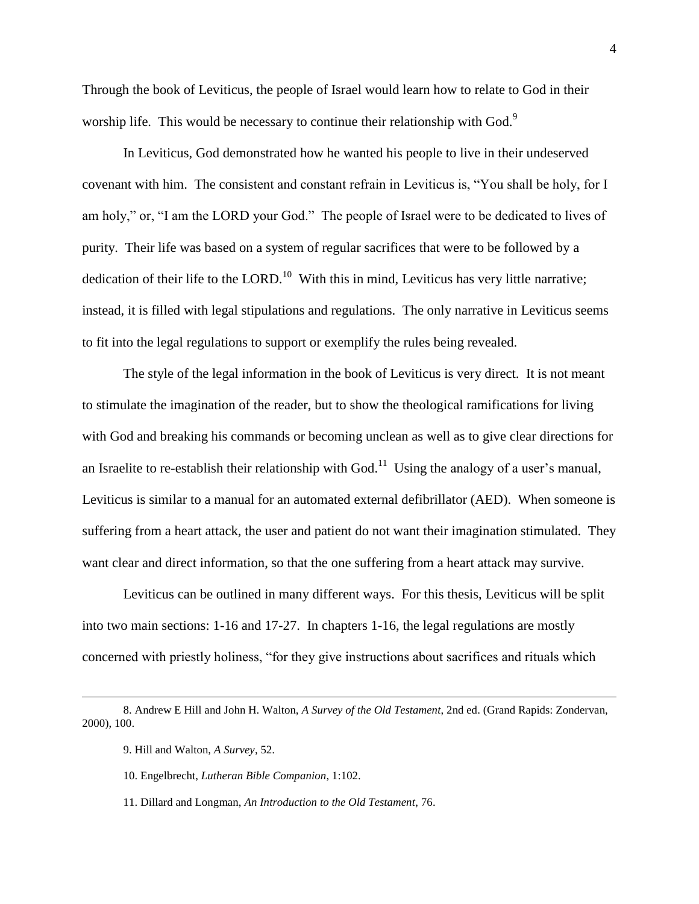Through the book of Leviticus, the people of Israel would learn how to relate to God in their worship life. This would be necessary to continue their relationship with God.<sup>9</sup>

In Leviticus, God demonstrated how he wanted his people to live in their undeserved covenant with him. The consistent and constant refrain in Leviticus is, "You shall be holy, for I am holy," or, "I am the LORD your God." The people of Israel were to be dedicated to lives of purity. Their life was based on a system of regular sacrifices that were to be followed by a dedication of their life to the LORD.<sup>10</sup> With this in mind, Leviticus has very little narrative; instead, it is filled with legal stipulations and regulations. The only narrative in Leviticus seems to fit into the legal regulations to support or exemplify the rules being revealed.

The style of the legal information in the book of Leviticus is very direct. It is not meant to stimulate the imagination of the reader, but to show the theological ramifications for living with God and breaking his commands or becoming unclean as well as to give clear directions for an Israelite to re-establish their relationship with  $God.$ <sup>11</sup> Using the analogy of a user's manual, Leviticus is similar to a manual for an automated external defibrillator (AED). When someone is suffering from a heart attack, the user and patient do not want their imagination stimulated. They want clear and direct information, so that the one suffering from a heart attack may survive.

Leviticus can be outlined in many different ways. For this thesis, Leviticus will be split into two main sections: 1-16 and 17-27. In chapters 1-16, the legal regulations are mostly concerned with priestly holiness, "for they give instructions about sacrifices and rituals which

9. Hill and Walton, *A Survey*, 52.

- 10. Engelbrecht, *Lutheran Bible Companion*, 1:102.
- 11. Dillard and Longman, *An Introduction to the Old Testament*, 76.

<sup>8.</sup> Andrew E Hill and John H. Walton, *A Survey of the Old Testament*, 2nd ed. (Grand Rapids: Zondervan, 2000), 100.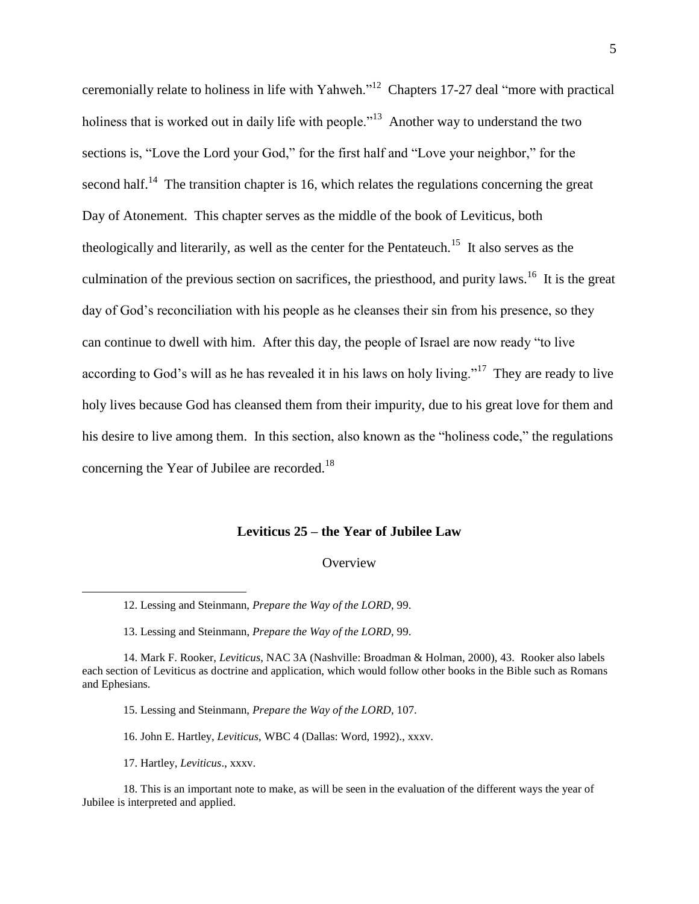ceremonially relate to holiness in life with Yahweh.<sup>12</sup> Chapters 17-27 deal "more with practical holiness that is worked out in daily life with people."<sup>13</sup> Another way to understand the two sections is, "Love the Lord your God," for the first half and "Love your neighbor," for the second half.<sup>14</sup> The transition chapter is 16, which relates the regulations concerning the great Day of Atonement. This chapter serves as the middle of the book of Leviticus, both theologically and literarily, as well as the center for the Pentateuch.<sup>15</sup> It also serves as the culmination of the previous section on sacrifices, the priesthood, and purity laws.<sup>16</sup> It is the great day of God's reconciliation with his people as he cleanses their sin from his presence, so they can continue to dwell with him. After this day, the people of Israel are now ready "to live according to God's will as he has revealed it in his laws on holy living."<sup>17</sup> They are ready to live holy lives because God has cleansed them from their impurity, due to his great love for them and his desire to live among them. In this section, also known as the "holiness code," the regulations concerning the Year of Jubilee are recorded.<sup>18</sup>

#### **Leviticus 25 – the Year of Jubilee Law**

#### **Overview**

13. Lessing and Steinmann, *Prepare the Way of the LORD*, 99.

- 15. Lessing and Steinmann, *Prepare the Way of the LORD*, 107.
- 16. John E. Hartley, *Leviticus*, WBC 4 (Dallas: Word, 1992)., xxxv.
- 17. Hartley, *Leviticus*., xxxv.

<sup>12.</sup> Lessing and Steinmann, *Prepare the Way of the LORD*, 99.

<sup>14.</sup> Mark F. Rooker, *Leviticus*, NAC 3A (Nashville: Broadman & Holman, 2000), 43. Rooker also labels each section of Leviticus as doctrine and application, which would follow other books in the Bible such as Romans and Ephesians.

<sup>18.</sup> This is an important note to make, as will be seen in the evaluation of the different ways the year of Jubilee is interpreted and applied.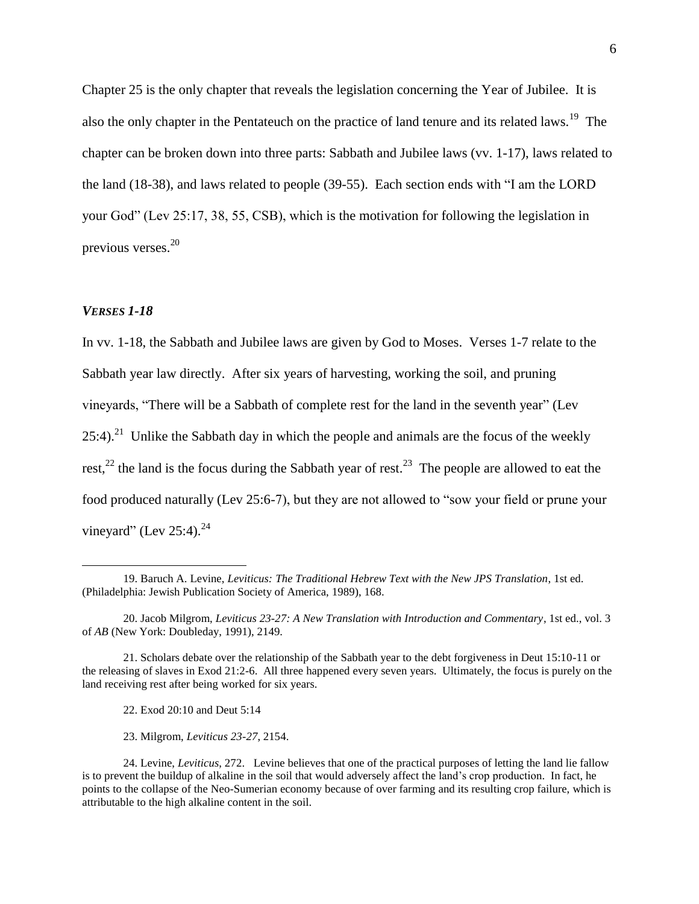Chapter 25 is the only chapter that reveals the legislation concerning the Year of Jubilee. It is also the only chapter in the Pentateuch on the practice of land tenure and its related laws.<sup>19</sup> The chapter can be broken down into three parts: Sabbath and Jubilee laws (vv. 1-17), laws related to the land  $(18-38)$ , and laws related to people  $(39-55)$ . Each section ends with  $\lq$  am the LORD your God" (Lev 25:17, 38, 55, CSB), which is the motivation for following the legislation in previous verses.<sup>20</sup>

# *VERSES 1-18*

 $\overline{a}$ 

In vv. 1-18, the Sabbath and Jubilee laws are given by God to Moses. Verses 1-7 relate to the Sabbath year law directly. After six years of harvesting, working the soil, and pruning vineyards, "There will be a Sabbath of complete rest for the land in the seventh year" (Lev  $25:4$ .<sup>21</sup> Unlike the Sabbath day in which the people and animals are the focus of the weekly rest,<sup>22</sup> the land is the focus during the Sabbath year of rest.<sup>23</sup> The people are allowed to eat the food produced naturally (Lev 25:6-7), but they are not allowed to "sow your field or prune your vineyard" (Lev 25:4). $^{24}$ 

22. Exod 20:10 and Deut 5:14

23. Milgrom, *Leviticus 23-27*, 2154.

<sup>19.</sup> Baruch A. Levine, *Leviticus: The Traditional Hebrew Text with the New JPS Translation*, 1st ed. (Philadelphia: Jewish Publication Society of America, 1989), 168.

<sup>20.</sup> Jacob Milgrom, *Leviticus 23-27: A New Translation with Introduction and Commentary*, 1st ed., vol. 3 of *AB* (New York: Doubleday, 1991), 2149.

<sup>21.</sup> Scholars debate over the relationship of the Sabbath year to the debt forgiveness in Deut 15:10-11 or the releasing of slaves in Exod 21:2-6. All three happened every seven years. Ultimately, the focus is purely on the land receiving rest after being worked for six years.

<sup>24.</sup> Levine, *Leviticus*, 272. Levine believes that one of the practical purposes of letting the land lie fallow is to prevent the buildup of alkaline in the soil that would adversely affect the land's crop production. In fact, he points to the collapse of the Neo-Sumerian economy because of over farming and its resulting crop failure, which is attributable to the high alkaline content in the soil.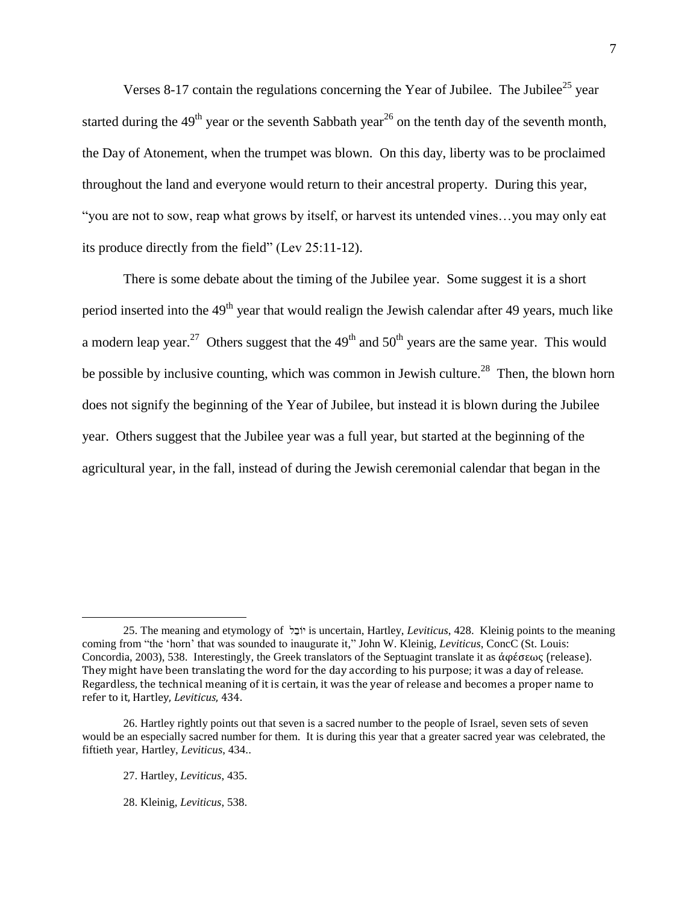Verses 8-17 contain the regulations concerning the Year of Jubilee. The Jubilee<sup>25</sup> year started during the  $49<sup>th</sup>$  year or the seventh Sabbath year<sup>26</sup> on the tenth day of the seventh month, the Day of Atonement, when the trumpet was blown. On this day, liberty was to be proclaimed throughout the land and everyone would return to their ancestral property. During this year, ―you are not to sow, reap what grows by itself, or harvest its untended vines…you may only eat its produce directly from the field" (Lev 25:11-12).

There is some debate about the timing of the Jubilee year. Some suggest it is a short period inserted into the  $49<sup>th</sup>$  year that would realign the Jewish calendar after 49 years, much like a modern leap year.<sup>27</sup> Others suggest that the  $49<sup>th</sup>$  and  $50<sup>th</sup>$  years are the same year. This would be possible by inclusive counting, which was common in Jewish culture.<sup>28</sup> Then, the blown horn does not signify the beginning of the Year of Jubilee, but instead it is blown during the Jubilee year. Others suggest that the Jubilee year was a full year, but started at the beginning of the agricultural year, in the fall, instead of during the Jewish ceremonial calendar that began in the

 $\overline{a}$ 

28. Kleinig, *Leviticus*, 538.

<sup>25.</sup> The meaning and etymology of ל ֵובֹי is uncertain, Hartley, *Leviticus*, 428. Kleinig points to the meaning coming from "the 'horn' that was sounded to inaugurate it," John W. Kleinig, *Leviticus*, ConcC (St. Louis: Concordia, 2003), 538. Interestingly, the Greek translators of the Septuagint translate it as ἀφέσεως (release). They might have been translating the word for the day according to his purpose; it was a day of release. Regardless, the technical meaning of it is certain, it was the year of release and becomes a proper name to refer to it, Hartley, *Leviticus*, 434.

<sup>26.</sup> Hartley rightly points out that seven is a sacred number to the people of Israel, seven sets of seven would be an especially sacred number for them. It is during this year that a greater sacred year was celebrated, the fiftieth year, Hartley, *Leviticus*, 434..

<sup>27.</sup> Hartley, *Leviticus*, 435.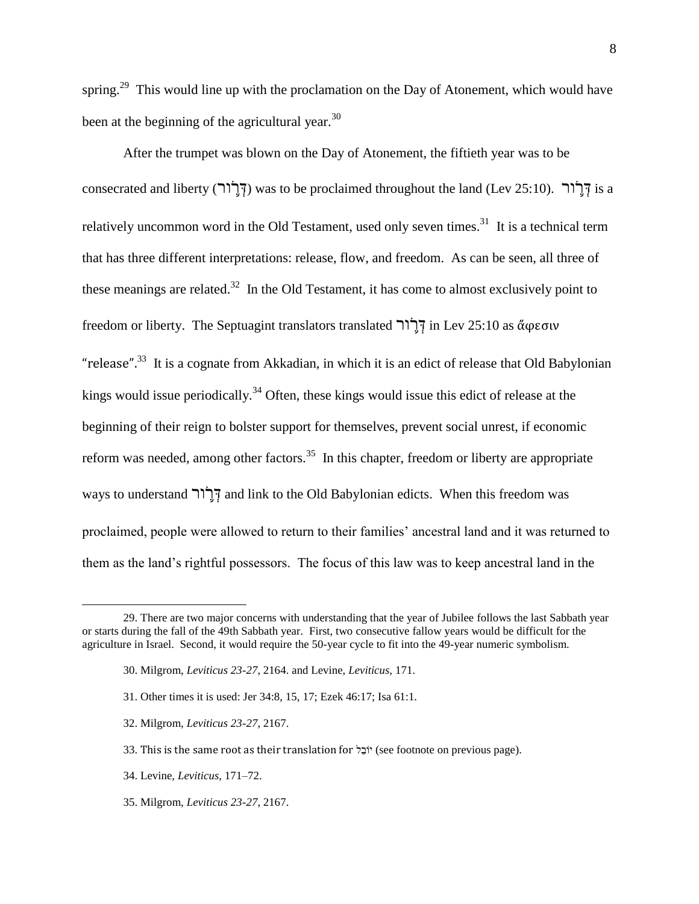spring.<sup>29</sup> This would line up with the proclamation on the Day of Atonement, which would have been at the beginning of the agricultural year.<sup>30</sup>

After the trumpet was blown on the Day of Atonement, the fiftieth year was to be consecrated and liberty (דְּרֵׂוֹר) was to be proclaimed throughout the land (Lev 25:10). וְדָּרוֹר relatively uncommon word in the Old Testament, used only seven times.<sup>31</sup> It is a technical term that has three different interpretations: release, flow, and freedom. As can be seen, all three of these meanings are related.<sup>32</sup> In the Old Testament, it has come to almost exclusively point to freedom or liberty. The Septuagint translators translated ור ֹֹ֛ר ְד in Lev 25:10 as ἄφεσιν "release".<sup>33</sup> It is a cognate from Akkadian, in which it is an edict of release that Old Babylonian kings would issue periodically.<sup>34</sup> Often, these kings would issue this edict of release at the beginning of their reign to bolster support for themselves, prevent social unrest, if economic reform was needed, among other factors.<sup>35</sup> In this chapter, freedom or liberty are appropriate ways to understand הְרֹוֹר and link to the Old Babylonian edicts. When this freedom was proclaimed, people were allowed to return to their families' ancestral land and it was returned to them as the land's rightful possessors. The focus of this law was to keep ancestral land in the

<sup>29.</sup> There are two major concerns with understanding that the year of Jubilee follows the last Sabbath year or starts during the fall of the 49th Sabbath year. First, two consecutive fallow years would be difficult for the agriculture in Israel. Second, it would require the 50-year cycle to fit into the 49-year numeric symbolism.

<sup>30.</sup> Milgrom, *Leviticus 23-27*, 2164. and Levine, *Leviticus*, 171.

<sup>31.</sup> Other times it is used: Jer 34:8, 15, 17; Ezek 46:17; Isa 61:1.

<sup>32.</sup> Milgrom, *Leviticus 23-27*, 2167.

<sup>33.</sup> This is the same root as their translation for  $\sharp$ יֹבֶל (see footnote on previous page).

<sup>34.</sup> Levine, *Leviticus*, 171–72.

<sup>35.</sup> Milgrom, *Leviticus 23-27*, 2167.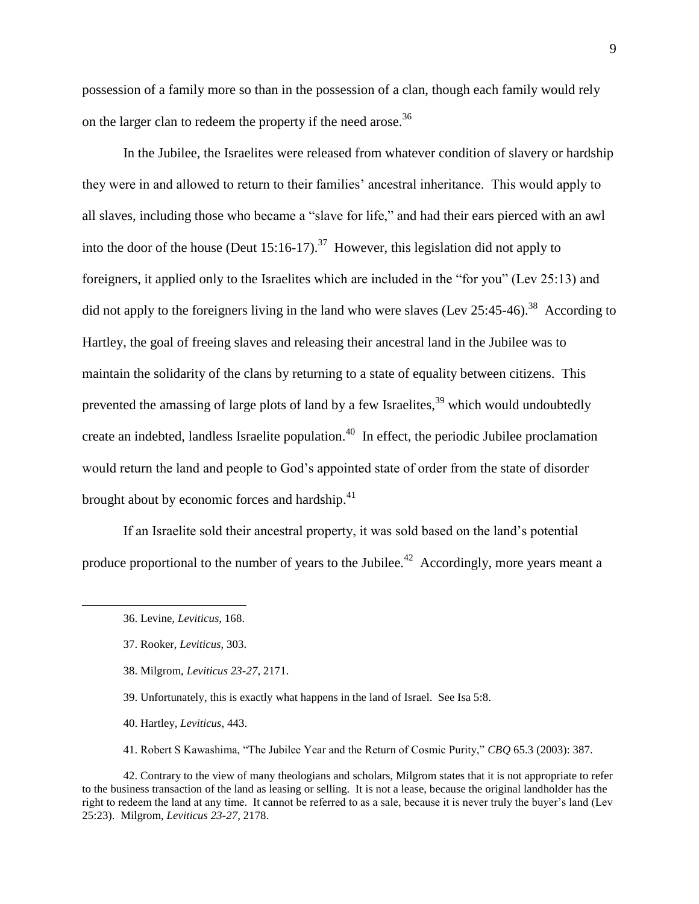possession of a family more so than in the possession of a clan, though each family would rely on the larger clan to redeem the property if the need arose.<sup>36</sup>

In the Jubilee, the Israelites were released from whatever condition of slavery or hardship they were in and allowed to return to their families' ancestral inheritance. This would apply to all slaves, including those who became a "slave for life," and had their ears pierced with an awl into the door of the house (Deut 15:16-17).<sup>37</sup> However, this legislation did not apply to foreigners, it applied only to the Israelites which are included in the "for you" (Lev 25:13) and did not apply to the foreigners living in the land who were slaves (Lev 25:45-46).<sup>38</sup> According to Hartley, the goal of freeing slaves and releasing their ancestral land in the Jubilee was to maintain the solidarity of the clans by returning to a state of equality between citizens. This prevented the amassing of large plots of land by a few Israelites,<sup>39</sup> which would undoubtedly create an indebted, landless Israelite population.<sup>40</sup> In effect, the periodic Jubilee proclamation would return the land and people to God's appointed state of order from the state of disorder brought about by economic forces and hardship.<sup>41</sup>

If an Israelite sold their ancestral property, it was sold based on the land's potential produce proportional to the number of years to the Jubilee.<sup>42</sup> Accordingly, more years meant a

 $\overline{a}$ 

38. Milgrom, *Leviticus 23-27*, 2171.

39. Unfortunately, this is exactly what happens in the land of Israel. See Isa 5:8.

- 40. Hartley, *Leviticus*, 443.
- 41. Robert S Kawashima, "The Jubilee Year and the Return of Cosmic Purity," *CBQ* 65.3 (2003): 387.

42. Contrary to the view of many theologians and scholars, Milgrom states that it is not appropriate to refer to the business transaction of the land as leasing or selling. It is not a lease, because the original landholder has the right to redeem the land at any time. It cannot be referred to as a sale, because it is never truly the buyer's land (Lev 25:23). Milgrom, *Leviticus 23-27*, 2178.

<sup>36.</sup> Levine, *Leviticus*, 168.

<sup>37.</sup> Rooker, *Leviticus*, 303.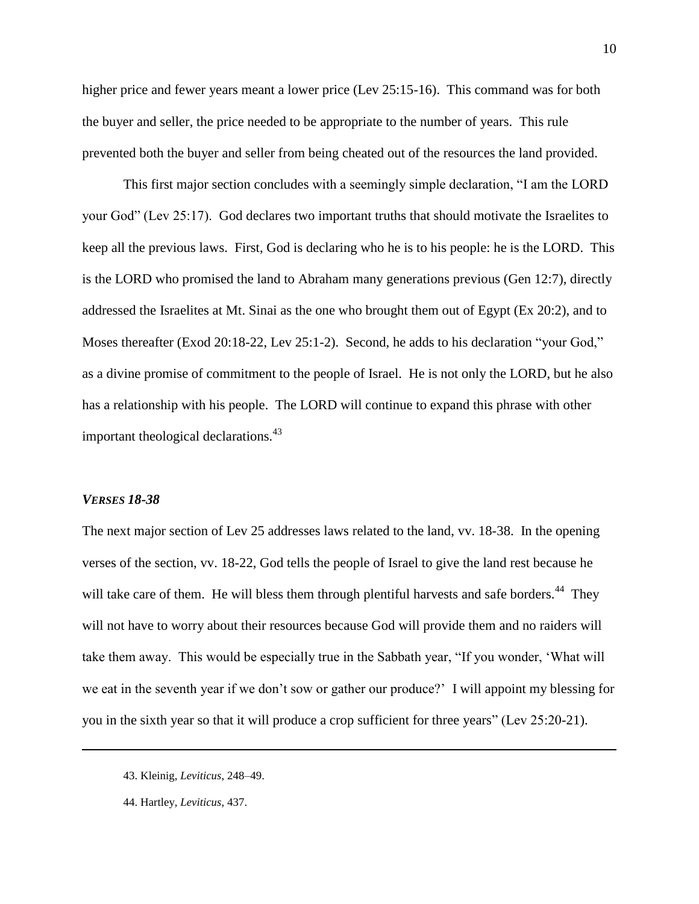higher price and fewer years meant a lower price (Lev 25:15-16). This command was for both the buyer and seller, the price needed to be appropriate to the number of years. This rule prevented both the buyer and seller from being cheated out of the resources the land provided.

This first major section concludes with a seemingly simple declaration, "I am the LORD your God" (Lev 25:17). God declares two important truths that should motivate the Israelites to keep all the previous laws. First, God is declaring who he is to his people: he is the LORD. This is the LORD who promised the land to Abraham many generations previous (Gen 12:7), directly addressed the Israelites at Mt. Sinai as the one who brought them out of Egypt (Ex 20:2), and to Moses thereafter (Exod  $20:18-22$ , Lev  $25:1-2$ ). Second, he adds to his declaration "your God," as a divine promise of commitment to the people of Israel. He is not only the LORD, but he also has a relationship with his people. The LORD will continue to expand this phrase with other important theological declarations.<sup>43</sup>

#### *VERSES 18-38*

 $\overline{a}$ 

The next major section of Lev 25 addresses laws related to the land, vv. 18-38. In the opening verses of the section, vv. 18-22, God tells the people of Israel to give the land rest because he will take care of them. He will bless them through plentiful harvests and safe borders.<sup>44</sup> They will not have to worry about their resources because God will provide them and no raiders will take them away. This would be especially true in the Sabbath year, "If you wonder, 'What will we eat in the seventh year if we don't sow or gather our produce?' I will appoint my blessing for you in the sixth year so that it will produce a crop sufficient for three years" (Lev 25:20-21).

<sup>43.</sup> Kleinig, *Leviticus*, 248–49.

<sup>44.</sup> Hartley, *Leviticus*, 437.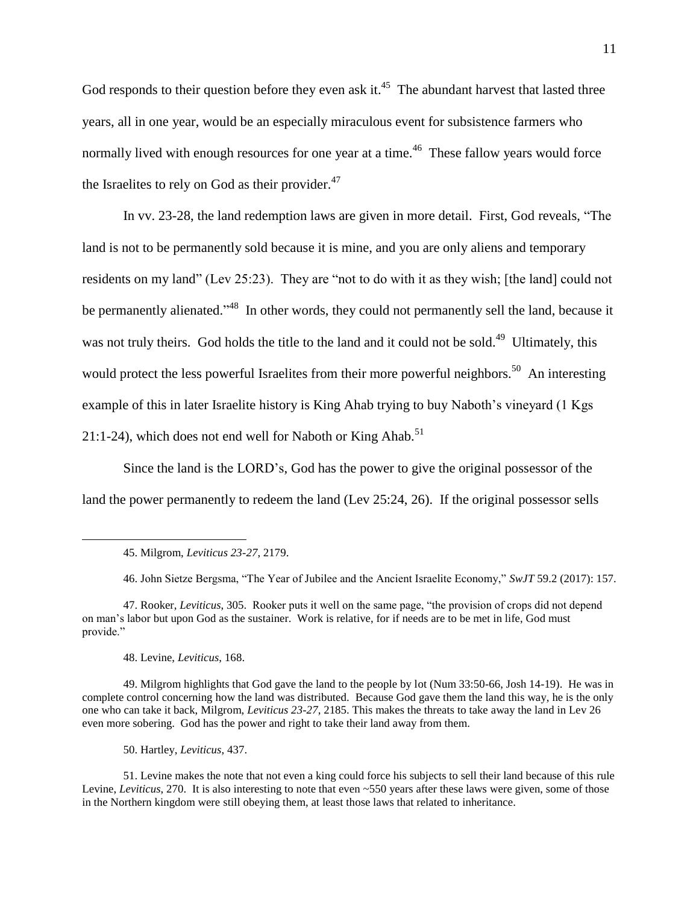God responds to their question before they even ask it.<sup>45</sup> The abundant harvest that lasted three years, all in one year, would be an especially miraculous event for subsistence farmers who normally lived with enough resources for one year at a time.<sup>46</sup> These fallow years would force the Israelites to rely on God as their provider. $47$ 

In vv. 23-28, the land redemption laws are given in more detail. First, God reveals, "The land is not to be permanently sold because it is mine, and you are only aliens and temporary residents on my land" (Lev 25:23). They are "not to do with it as they wish; [the land] could not be permanently alienated."<sup>48</sup> In other words, they could not permanently sell the land, because it was not truly theirs. God holds the title to the land and it could not be sold.<sup>49</sup> Ultimately, this would protect the less powerful Israelites from their more powerful neighbors.<sup>50</sup> An interesting example of this in later Israelite history is King Ahab trying to buy Naboth's vineyard (1 Kgs 21:1-24), which does not end well for Naboth or King Ahab.<sup>51</sup>

Since the land is the LORD's, God has the power to give the original possessor of the land the power permanently to redeem the land (Lev 25:24, 26). If the original possessor sells

48. Levine, *Leviticus*, 168.

 $\overline{a}$ 

49. Milgrom highlights that God gave the land to the people by lot (Num 33:50-66, Josh 14-19). He was in complete control concerning how the land was distributed. Because God gave them the land this way, he is the only one who can take it back, Milgrom, *Leviticus 23-27*, 2185. This makes the threats to take away the land in Lev 26 even more sobering. God has the power and right to take their land away from them.

50. Hartley, *Leviticus*, 437.

51. Levine makes the note that not even a king could force his subjects to sell their land because of this rule Levine, *Leviticus*, 270. It is also interesting to note that even ~550 years after these laws were given, some of those in the Northern kingdom were still obeying them, at least those laws that related to inheritance.

<sup>45.</sup> Milgrom, *Leviticus 23-27*, 2179.

<sup>46.</sup> John Sietze Bergsma, "The Year of Jubilee and the Ancient Israelite Economy," *SwJT* 59.2 (2017): 157.

<sup>47.</sup> Rooker, *Leviticus*, 305. Rooker puts it well on the same page, "the provision of crops did not depend on man's labor but upon God as the sustainer. Work is relative, for if needs are to be met in life, God must provide."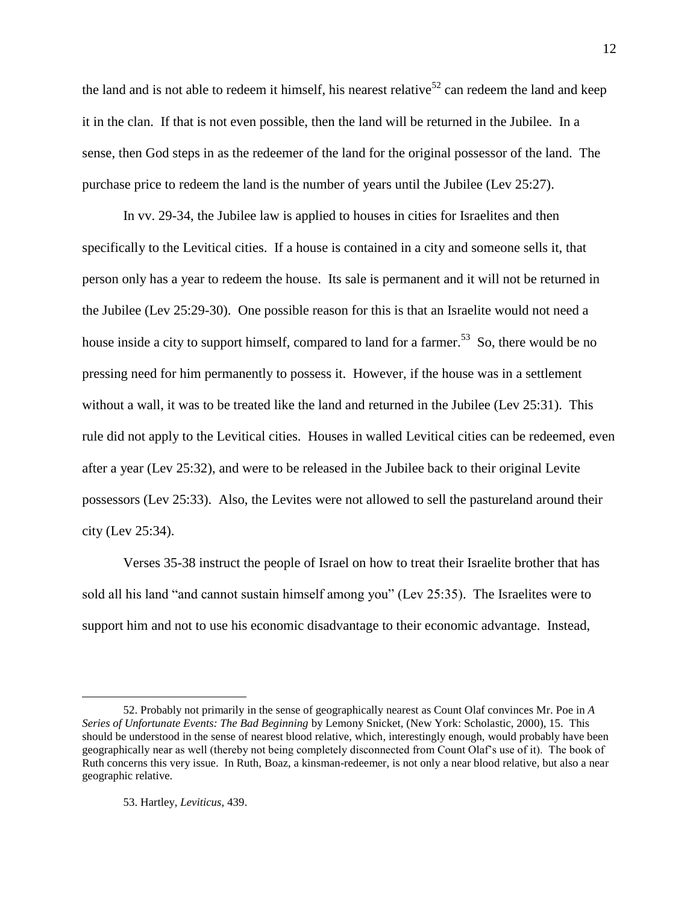the land and is not able to redeem it himself, his nearest relative<sup>52</sup> can redeem the land and keep it in the clan. If that is not even possible, then the land will be returned in the Jubilee. In a sense, then God steps in as the redeemer of the land for the original possessor of the land. The purchase price to redeem the land is the number of years until the Jubilee (Lev 25:27).

In vv. 29-34, the Jubilee law is applied to houses in cities for Israelites and then specifically to the Levitical cities. If a house is contained in a city and someone sells it, that person only has a year to redeem the house. Its sale is permanent and it will not be returned in the Jubilee (Lev 25:29-30). One possible reason for this is that an Israelite would not need a house inside a city to support himself, compared to land for a farmer.<sup>53</sup> So, there would be no pressing need for him permanently to possess it. However, if the house was in a settlement without a wall, it was to be treated like the land and returned in the Jubilee (Lev 25:31). This rule did not apply to the Levitical cities. Houses in walled Levitical cities can be redeemed, even after a year (Lev 25:32), and were to be released in the Jubilee back to their original Levite possessors (Lev 25:33). Also, the Levites were not allowed to sell the pastureland around their city (Lev 25:34).

Verses 35-38 instruct the people of Israel on how to treat their Israelite brother that has sold all his land "and cannot sustain himself among you" (Lev 25:35). The Israelites were to support him and not to use his economic disadvantage to their economic advantage. Instead,

<sup>52.</sup> Probably not primarily in the sense of geographically nearest as Count Olaf convinces Mr. Poe in *A Series of Unfortunate Events: The Bad Beginning* by Lemony Snicket, (New York: Scholastic, 2000), 15. This should be understood in the sense of nearest blood relative, which, interestingly enough, would probably have been geographically near as well (thereby not being completely disconnected from Count Olaf's use of it). The book of Ruth concerns this very issue. In Ruth, Boaz, a kinsman-redeemer, is not only a near blood relative, but also a near geographic relative.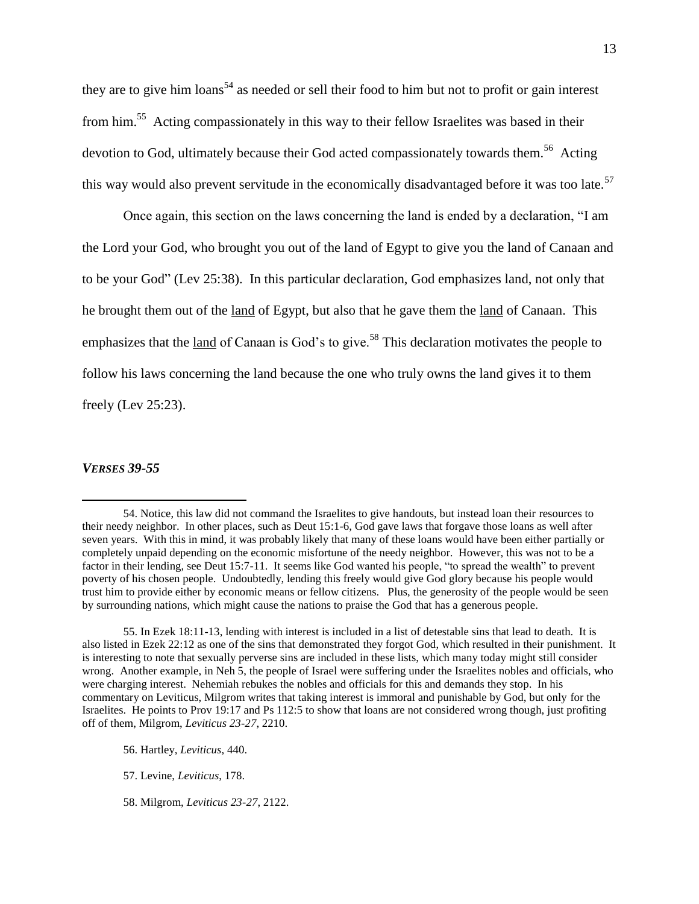they are to give him loans<sup>54</sup> as needed or sell their food to him but not to profit or gain interest from him.<sup>55</sup> Acting compassionately in this way to their fellow Israelites was based in their devotion to God, ultimately because their God acted compassionately towards them.<sup>56</sup> Acting this way would also prevent servitude in the economically disadvantaged before it was too late.<sup>57</sup>

Once again, this section on the laws concerning the land is ended by a declaration, "I am the Lord your God, who brought you out of the land of Egypt to give you the land of Canaan and to be your God" (Lev 25:38). In this particular declaration, God emphasizes land, not only that he brought them out of the land of Egypt, but also that he gave them the land of Canaan. This emphasizes that the <u>land</u> of Canaan is God's to give.<sup>58</sup> This declaration motivates the people to follow his laws concerning the land because the one who truly owns the land gives it to them freely (Lev 25:23).

#### *VERSES 39-55*

 $\overline{a}$ 

55. In Ezek 18:11-13, lending with interest is included in a list of detestable sins that lead to death. It is also listed in Ezek 22:12 as one of the sins that demonstrated they forgot God, which resulted in their punishment. It is interesting to note that sexually perverse sins are included in these lists, which many today might still consider wrong. Another example, in Neh 5, the people of Israel were suffering under the Israelites nobles and officials, who were charging interest. Nehemiah rebukes the nobles and officials for this and demands they stop. In his commentary on Leviticus, Milgrom writes that taking interest is immoral and punishable by God, but only for the Israelites. He points to Prov 19:17 and Ps 112:5 to show that loans are not considered wrong though, just profiting off of them, Milgrom, *Leviticus 23-27*, 2210.

56. Hartley, *Leviticus*, 440.

- 57. Levine, *Leviticus*, 178.
- 58. Milgrom, *Leviticus 23-27*, 2122.

<sup>54.</sup> Notice, this law did not command the Israelites to give handouts, but instead loan their resources to their needy neighbor. In other places, such as Deut 15:1-6, God gave laws that forgave those loans as well after seven years. With this in mind, it was probably likely that many of these loans would have been either partially or completely unpaid depending on the economic misfortune of the needy neighbor. However, this was not to be a factor in their lending, see Deut 15:7-11. It seems like God wanted his people, "to spread the wealth" to prevent poverty of his chosen people. Undoubtedly, lending this freely would give God glory because his people would trust him to provide either by economic means or fellow citizens. Plus, the generosity of the people would be seen by surrounding nations, which might cause the nations to praise the God that has a generous people.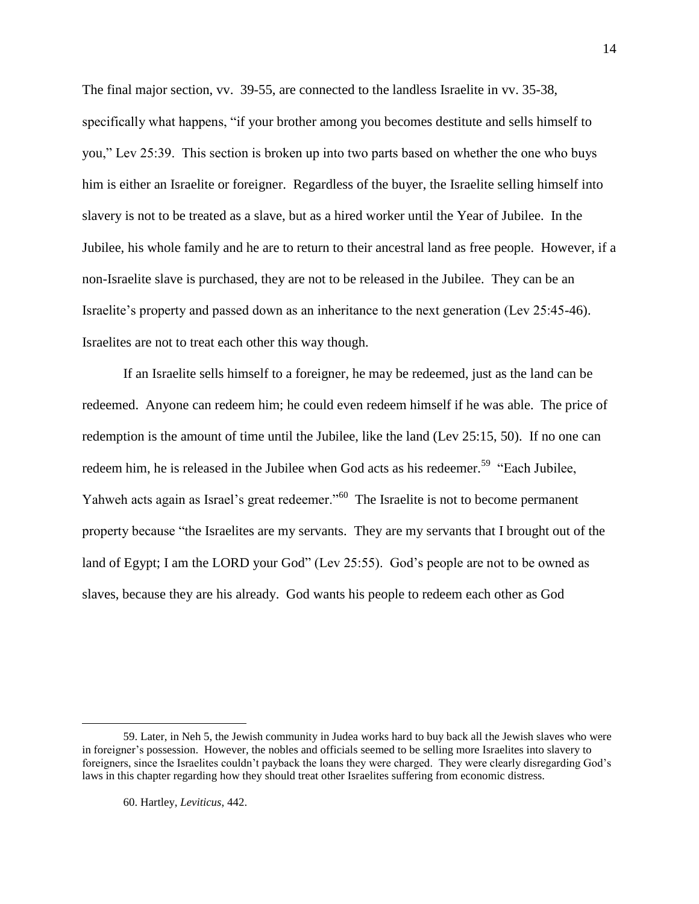The final major section, vv. 39-55, are connected to the landless Israelite in vv. 35-38, specifically what happens, "if your brother among you becomes destitute and sells himself to you," Lev 25:39. This section is broken up into two parts based on whether the one who buys him is either an Israelite or foreigner. Regardless of the buyer, the Israelite selling himself into slavery is not to be treated as a slave, but as a hired worker until the Year of Jubilee. In the Jubilee, his whole family and he are to return to their ancestral land as free people. However, if a non-Israelite slave is purchased, they are not to be released in the Jubilee. They can be an Israelite's property and passed down as an inheritance to the next generation (Lev 25:45-46). Israelites are not to treat each other this way though.

If an Israelite sells himself to a foreigner, he may be redeemed, just as the land can be redeemed. Anyone can redeem him; he could even redeem himself if he was able. The price of redemption is the amount of time until the Jubilee, like the land (Lev 25:15, 50). If no one can redeem him, he is released in the Jubilee when God acts as his redeemer.<sup>59</sup> "Each Jubilee, Yahweh acts again as Israel's great redeemer."<sup>60</sup> The Israelite is not to become permanent property because "the Israelites are my servants. They are my servants that I brought out of the land of Egypt; I am the LORD your God" (Lev 25:55). God's people are not to be owned as slaves, because they are his already. God wants his people to redeem each other as God

<sup>59.</sup> Later, in Neh 5, the Jewish community in Judea works hard to buy back all the Jewish slaves who were in foreigner's possession. However, the nobles and officials seemed to be selling more Israelites into slavery to foreigners, since the Israelites couldn't payback the loans they were charged. They were clearly disregarding God's laws in this chapter regarding how they should treat other Israelites suffering from economic distress.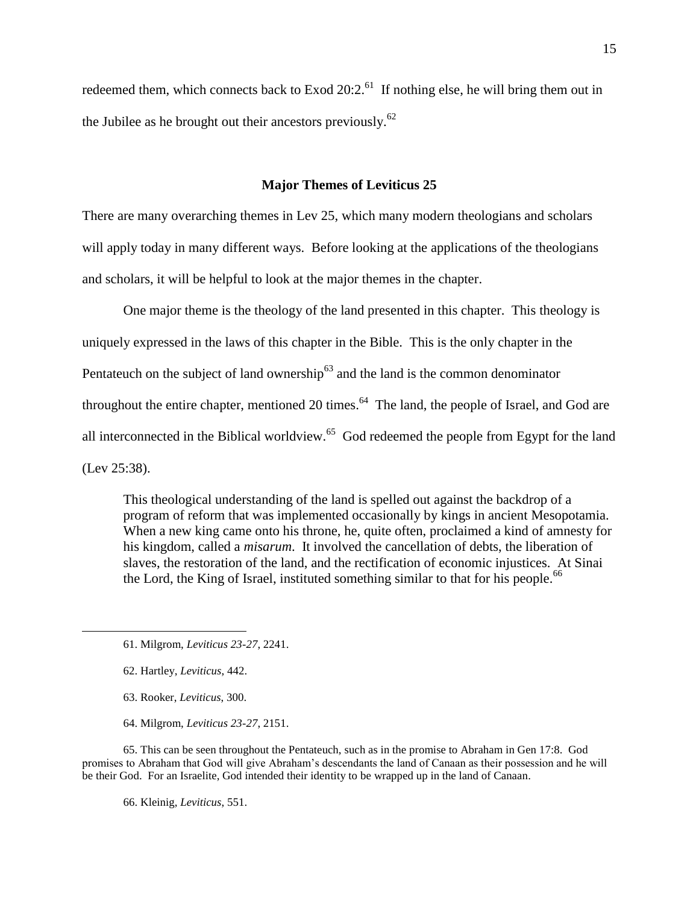redeemed them, which connects back to Exod  $20:2.^{61}$  If nothing else, he will bring them out in the Jubilee as he brought out their ancestors previously. $62$ 

## **Major Themes of Leviticus 25**

There are many overarching themes in Lev 25, which many modern theologians and scholars will apply today in many different ways. Before looking at the applications of the theologians and scholars, it will be helpful to look at the major themes in the chapter.

One major theme is the theology of the land presented in this chapter. This theology is uniquely expressed in the laws of this chapter in the Bible. This is the only chapter in the Pentateuch on the subject of land ownership $63$  and the land is the common denominator throughout the entire chapter, mentioned 20 times. $^{64}$  The land, the people of Israel, and God are all interconnected in the Biblical worldview. $65$  God redeemed the people from Egypt for the land (Lev 25:38).

This theological understanding of the land is spelled out against the backdrop of a program of reform that was implemented occasionally by kings in ancient Mesopotamia. When a new king came onto his throne, he, quite often, proclaimed a kind of amnesty for his kingdom, called a *misarum*. It involved the cancellation of debts, the liberation of slaves, the restoration of the land, and the rectification of economic injustices. At Sinai the Lord, the King of Israel, instituted something similar to that for his people.<sup>66</sup>

62. Hartley, *Leviticus*, 442.

 $\overline{a}$ 

- 63. Rooker, *Leviticus*, 300.
- 64. Milgrom, *Leviticus 23-27*, 2151.

65. This can be seen throughout the Pentateuch, such as in the promise to Abraham in Gen 17:8. God promises to Abraham that God will give Abraham's descendants the land of Canaan as their possession and he will be their God. For an Israelite, God intended their identity to be wrapped up in the land of Canaan.

66. Kleinig, *Leviticus*, 551.

<sup>61.</sup> Milgrom, *Leviticus 23-27*, 2241.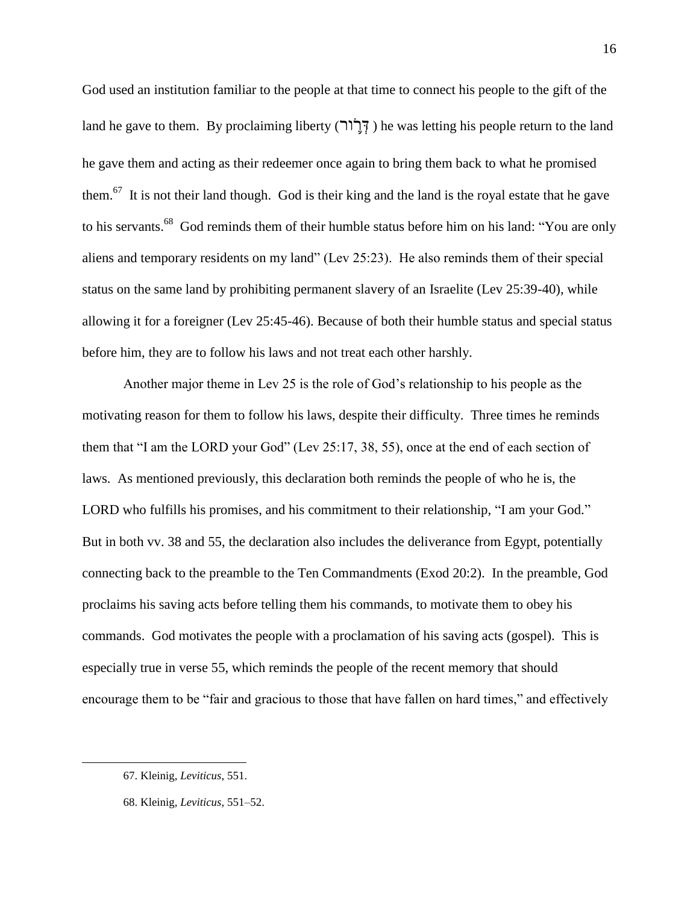God used an institution familiar to the people at that time to connect his people to the gift of the land he gave to them. By proclaiming liberty ( $\vec{r}$ וֹר) he was letting his people return to the land he gave them and acting as their redeemer once again to bring them back to what he promised them.<sup>67</sup> It is not their land though. God is their king and the land is the royal estate that he gave to his servants.<sup>68</sup> God reminds them of their humble status before him on his land: "You are only aliens and temporary residents on my land" (Lev 25:23). He also reminds them of their special status on the same land by prohibiting permanent slavery of an Israelite (Lev 25:39-40), while allowing it for a foreigner (Lev 25:45-46). Because of both their humble status and special status before him, they are to follow his laws and not treat each other harshly.

Another major theme in Lev 25 is the role of God's relationship to his people as the motivating reason for them to follow his laws, despite their difficulty. Three times he reminds them that "I am the LORD your God" (Lev  $25:17, 38, 55$ ), once at the end of each section of laws. As mentioned previously, this declaration both reminds the people of who he is, the LORD who fulfills his promises, and his commitment to their relationship, "I am your God." But in both vv. 38 and 55, the declaration also includes the deliverance from Egypt, potentially connecting back to the preamble to the Ten Commandments (Exod 20:2). In the preamble, God proclaims his saving acts before telling them his commands, to motivate them to obey his commands. God motivates the people with a proclamation of his saving acts (gospel). This is especially true in verse 55, which reminds the people of the recent memory that should encourage them to be "fair and gracious to those that have fallen on hard times," and effectively

<sup>67.</sup> Kleinig, *Leviticus*, 551.

<sup>68.</sup> Kleinig, *Leviticus*, 551–52.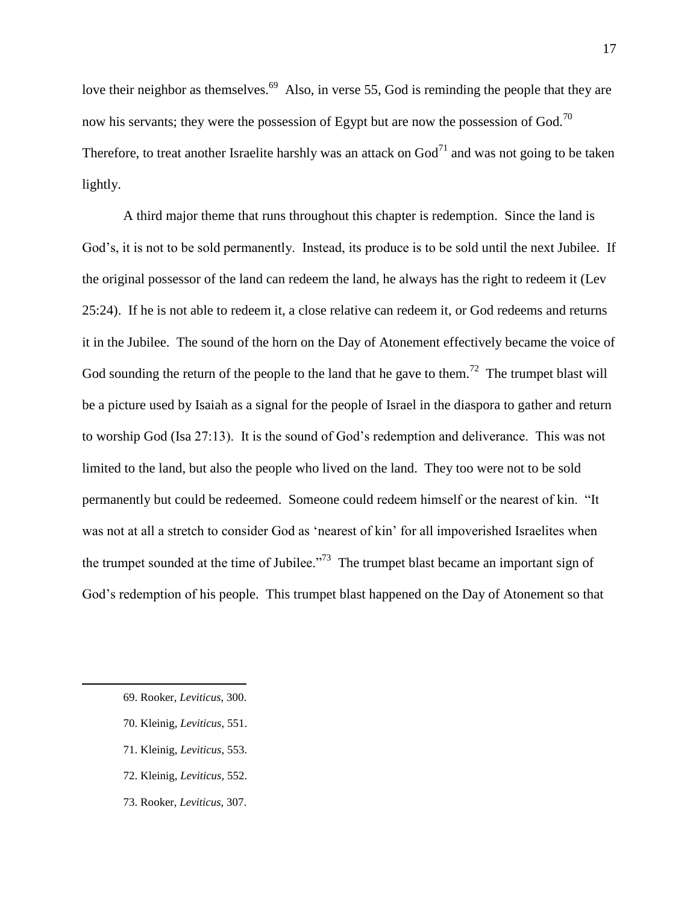love their neighbor as themselves.  $69$  Also, in verse 55, God is reminding the people that they are now his servants; they were the possession of Egypt but are now the possession of God.<sup>70</sup> Therefore, to treat another Israelite harshly was an attack on  $God<sup>71</sup>$  and was not going to be taken lightly.

A third major theme that runs throughout this chapter is redemption. Since the land is God's, it is not to be sold permanently. Instead, its produce is to be sold until the next Jubilee. If the original possessor of the land can redeem the land, he always has the right to redeem it (Lev 25:24). If he is not able to redeem it, a close relative can redeem it, or God redeems and returns it in the Jubilee. The sound of the horn on the Day of Atonement effectively became the voice of God sounding the return of the people to the land that he gave to them.<sup>72</sup> The trumpet blast will be a picture used by Isaiah as a signal for the people of Israel in the diaspora to gather and return to worship God (Isa 27:13). It is the sound of God's redemption and deliverance. This was not limited to the land, but also the people who lived on the land. They too were not to be sold permanently but could be redeemed. Someone could redeem himself or the nearest of kin. "It was not at all a stretch to consider God as 'nearest of kin' for all impoverished Israelites when the trumpet sounded at the time of Jubilee.<sup>773</sup> The trumpet blast became an important sign of God's redemption of his people. This trumpet blast happened on the Day of Atonement so that

- 70. Kleinig, *Leviticus*, 551.
- 71. Kleinig, *Leviticus*, 553.
- 72. Kleinig, *Leviticus*, 552.
- 73. Rooker, *Leviticus*, 307.

<sup>69.</sup> Rooker, *Leviticus*, 300.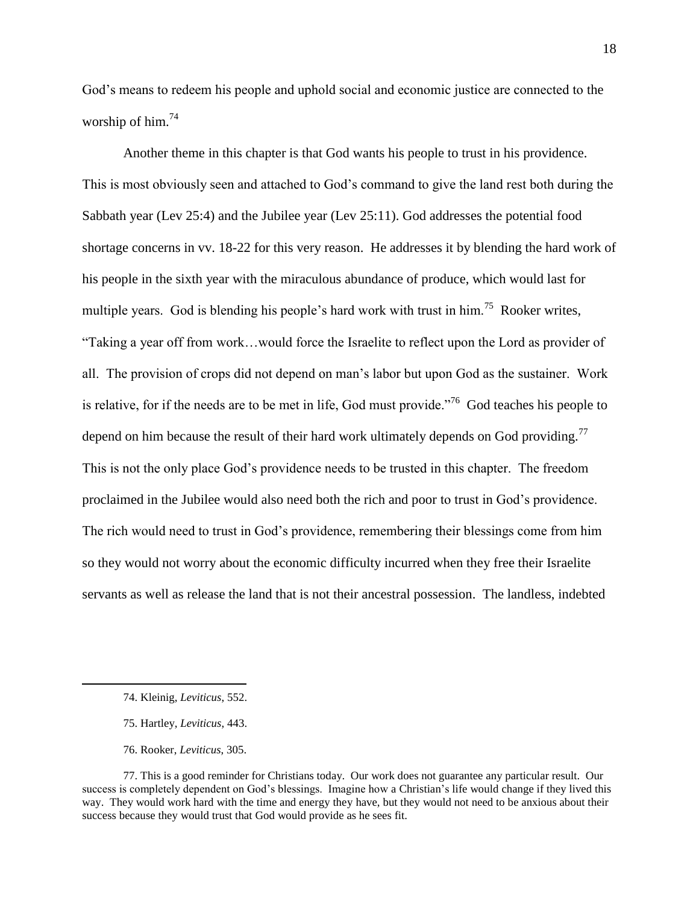God's means to redeem his people and uphold social and economic justice are connected to the worship of him. $74$ 

Another theme in this chapter is that God wants his people to trust in his providence. This is most obviously seen and attached to God's command to give the land rest both during the Sabbath year (Lev 25:4) and the Jubilee year (Lev 25:11). God addresses the potential food shortage concerns in vv. 18-22 for this very reason. He addresses it by blending the hard work of his people in the sixth year with the miraculous abundance of produce, which would last for multiple years. God is blending his people's hard work with trust in him.<sup>75</sup> Rooker writes, ―Taking a year off from work…would force the Israelite to reflect upon the Lord as provider of all. The provision of crops did not depend on man's labor but upon God as the sustainer. Work is relative, for if the needs are to be met in life, God must provide.<sup> $,76$ </sup> God teaches his people to depend on him because the result of their hard work ultimately depends on God providing.<sup>77</sup> This is not the only place God's providence needs to be trusted in this chapter. The freedom proclaimed in the Jubilee would also need both the rich and poor to trust in God's providence. The rich would need to trust in God's providence, remembering their blessings come from him so they would not worry about the economic difficulty incurred when they free their Israelite servants as well as release the land that is not their ancestral possession. The landless, indebted

- 75. Hartley, *Leviticus*, 443.
- 76. Rooker, *Leviticus*, 305.

<sup>74.</sup> Kleinig, *Leviticus*, 552.

<sup>77.</sup> This is a good reminder for Christians today. Our work does not guarantee any particular result. Our success is completely dependent on God's blessings. Imagine how a Christian's life would change if they lived this way. They would work hard with the time and energy they have, but they would not need to be anxious about their success because they would trust that God would provide as he sees fit.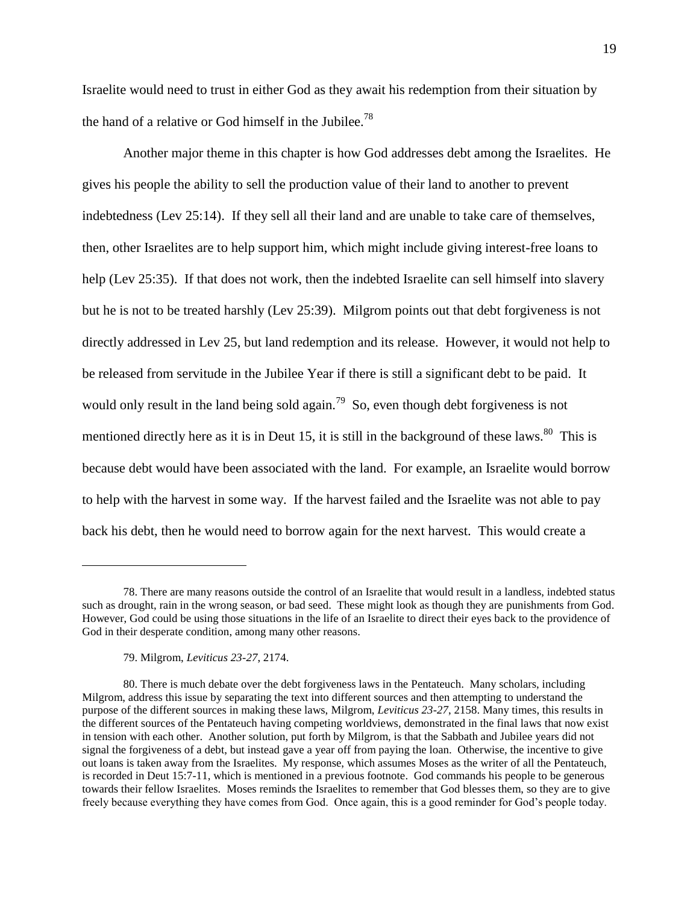Israelite would need to trust in either God as they await his redemption from their situation by the hand of a relative or God himself in the Jubilee.<sup>78</sup>

Another major theme in this chapter is how God addresses debt among the Israelites. He gives his people the ability to sell the production value of their land to another to prevent indebtedness (Lev 25:14). If they sell all their land and are unable to take care of themselves, then, other Israelites are to help support him, which might include giving interest-free loans to help (Lev 25:35). If that does not work, then the indebted Israelite can sell himself into slavery but he is not to be treated harshly (Lev 25:39). Milgrom points out that debt forgiveness is not directly addressed in Lev 25, but land redemption and its release. However, it would not help to be released from servitude in the Jubilee Year if there is still a significant debt to be paid. It would only result in the land being sold again.<sup>79</sup> So, even though debt forgiveness is not mentioned directly here as it is in Deut 15, it is still in the background of these laws. <sup>80</sup> This is because debt would have been associated with the land. For example, an Israelite would borrow to help with the harvest in some way. If the harvest failed and the Israelite was not able to pay back his debt, then he would need to borrow again for the next harvest. This would create a

79. Milgrom, *Leviticus 23-27*, 2174.

<sup>78.</sup> There are many reasons outside the control of an Israelite that would result in a landless, indebted status such as drought, rain in the wrong season, or bad seed. These might look as though they are punishments from God. However, God could be using those situations in the life of an Israelite to direct their eyes back to the providence of God in their desperate condition, among many other reasons.

<sup>80.</sup> There is much debate over the debt forgiveness laws in the Pentateuch. Many scholars, including Milgrom, address this issue by separating the text into different sources and then attempting to understand the purpose of the different sources in making these laws, Milgrom, *Leviticus 23-27*, 2158. Many times, this results in the different sources of the Pentateuch having competing worldviews, demonstrated in the final laws that now exist in tension with each other. Another solution, put forth by Milgrom, is that the Sabbath and Jubilee years did not signal the forgiveness of a debt, but instead gave a year off from paying the loan. Otherwise, the incentive to give out loans is taken away from the Israelites. My response, which assumes Moses as the writer of all the Pentateuch, is recorded in Deut 15:7-11, which is mentioned in a previous footnote. God commands his people to be generous towards their fellow Israelites. Moses reminds the Israelites to remember that God blesses them, so they are to give freely because everything they have comes from God. Once again, this is a good reminder for God's people today.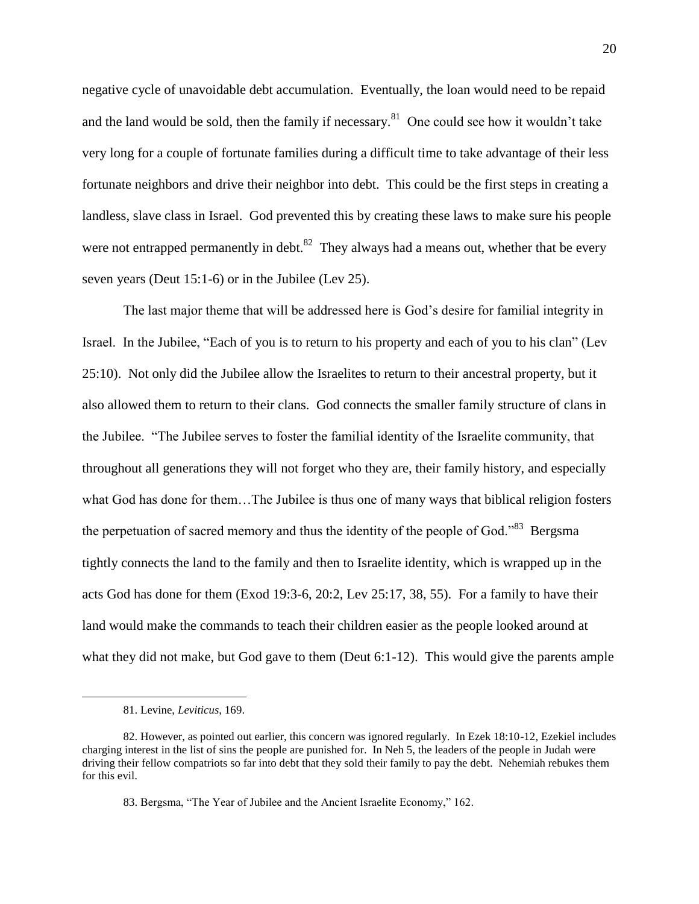negative cycle of unavoidable debt accumulation. Eventually, the loan would need to be repaid and the land would be sold, then the family if necessary.<sup>81</sup> One could see how it wouldn't take very long for a couple of fortunate families during a difficult time to take advantage of their less fortunate neighbors and drive their neighbor into debt. This could be the first steps in creating a landless, slave class in Israel. God prevented this by creating these laws to make sure his people were not entrapped permanently in debt.<sup>82</sup> They always had a means out, whether that be every seven years (Deut 15:1-6) or in the Jubilee (Lev 25).

The last major theme that will be addressed here is God's desire for familial integrity in Israel. In the Jubilee, "Each of you is to return to his property and each of you to his clan" (Lev 25:10). Not only did the Jubilee allow the Israelites to return to their ancestral property, but it also allowed them to return to their clans. God connects the smaller family structure of clans in the Jubilee. ―The Jubilee serves to foster the familial identity of the Israelite community, that throughout all generations they will not forget who they are, their family history, and especially what God has done for them…The Jubilee is thus one of many ways that biblical religion fosters the perpetuation of sacred memory and thus the identity of the people of God."<sup>83</sup> Bergsma tightly connects the land to the family and then to Israelite identity, which is wrapped up in the acts God has done for them (Exod 19:3-6, 20:2, Lev 25:17, 38, 55). For a family to have their land would make the commands to teach their children easier as the people looked around at what they did not make, but God gave to them (Deut 6:1-12). This would give the parents ample

<sup>81.</sup> Levine, *Leviticus*, 169.

<sup>82.</sup> However, as pointed out earlier, this concern was ignored regularly. In Ezek 18:10-12, Ezekiel includes charging interest in the list of sins the people are punished for. In Neh 5, the leaders of the people in Judah were driving their fellow compatriots so far into debt that they sold their family to pay the debt. Nehemiah rebukes them for this evil.

<sup>83.</sup> Bergsma, "The Year of Jubilee and the Ancient Israelite Economy," 162.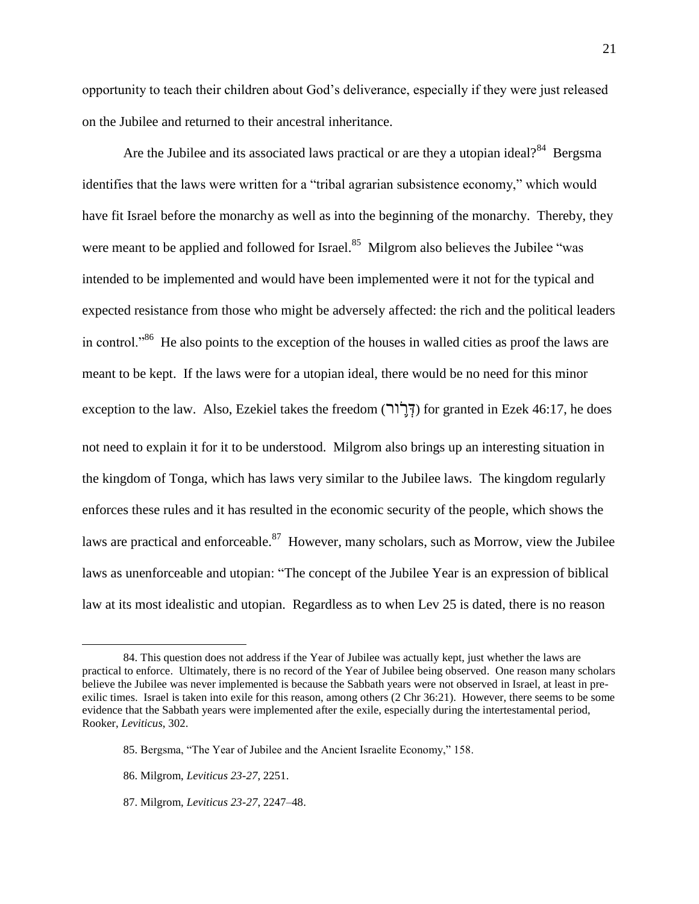opportunity to teach their children about God's deliverance, especially if they were just released on the Jubilee and returned to their ancestral inheritance.

Are the Jubilee and its associated laws practical or are they a utopian ideal? $84$  Bergsma identifies that the laws were written for a "tribal agrarian subsistence economy," which would have fit Israel before the monarchy as well as into the beginning of the monarchy. Thereby, they were meant to be applied and followed for Israel.<sup>85</sup> Milgrom also believes the Jubilee "was intended to be implemented and would have been implemented were it not for the typical and expected resistance from those who might be adversely affected: the rich and the political leaders in control.<sup>86</sup> He also points to the exception of the houses in walled cities as proof the laws are meant to be kept. If the laws were for a utopian ideal, there would be no need for this minor exception to the law. Also, Ezekiel takes the freedom ( $\tilde{f}(\tilde{f}(\tilde{f}))$  for granted in Ezek 46:17, he does not need to explain it for it to be understood. Milgrom also brings up an interesting situation in the kingdom of Tonga, which has laws very similar to the Jubilee laws. The kingdom regularly enforces these rules and it has resulted in the economic security of the people, which shows the laws are practical and enforceable.  $87$  However, many scholars, such as Morrow, view the Jubilee laws as unenforceable and utopian: "The concept of the Jubilee Year is an expression of biblical law at its most idealistic and utopian. Regardless as to when Lev 25 is dated, there is no reason

 $\overline{a}$ 

87. Milgrom, *Leviticus 23-27*, 2247–48.

<sup>84.</sup> This question does not address if the Year of Jubilee was actually kept, just whether the laws are practical to enforce. Ultimately, there is no record of the Year of Jubilee being observed. One reason many scholars believe the Jubilee was never implemented is because the Sabbath years were not observed in Israel, at least in preexilic times. Israel is taken into exile for this reason, among others (2 Chr 36:21). However, there seems to be some evidence that the Sabbath years were implemented after the exile, especially during the intertestamental period, Rooker, *Leviticus*, 302.

<sup>85.</sup> Bergsma, "The Year of Jubilee and the Ancient Israelite Economy," 158.

<sup>86.</sup> Milgrom, *Leviticus 23-27*, 2251.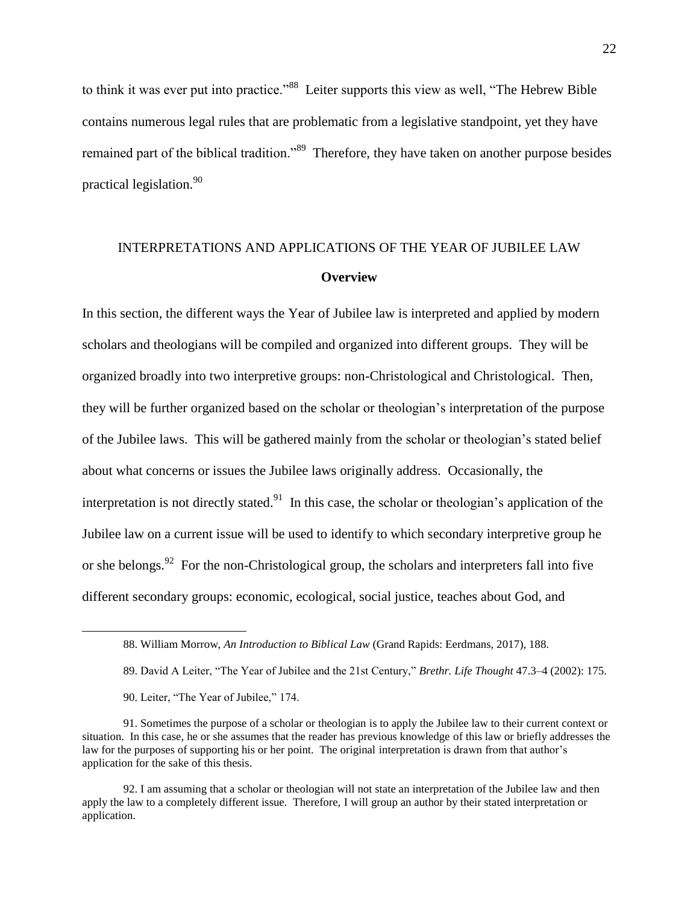to think it was ever put into practice."<sup>88</sup> Leiter supports this view as well, "The Hebrew Bible contains numerous legal rules that are problematic from a legislative standpoint, yet they have remained part of the biblical tradition."<sup>89</sup> Therefore, they have taken on another purpose besides practical legislation.<sup>90</sup>

# INTERPRETATIONS AND APPLICATIONS OF THE YEAR OF JUBILEE LAW **Overview**

In this section, the different ways the Year of Jubilee law is interpreted and applied by modern scholars and theologians will be compiled and organized into different groups. They will be organized broadly into two interpretive groups: non-Christological and Christological. Then, they will be further organized based on the scholar or theologian's interpretation of the purpose of the Jubilee laws. This will be gathered mainly from the scholar or theologian's stated belief about what concerns or issues the Jubilee laws originally address. Occasionally, the interpretation is not directly stated.<sup>91</sup> In this case, the scholar or theologian's application of the Jubilee law on a current issue will be used to identify to which secondary interpretive group he or she belongs. <sup>92</sup> For the non-Christological group, the scholars and interpreters fall into five different secondary groups: economic, ecological, social justice, teaches about God, and

<sup>88.</sup> William Morrow, *An Introduction to Biblical Law* (Grand Rapids: Eerdmans, 2017), 188.

<sup>89.</sup> David A Leiter, "The Year of Jubilee and the 21st Century," *Brethr. Life Thought* 47.3–4 (2002): 175.

<sup>90.</sup> Leiter, "The Year of Jubilee," 174.

<sup>91.</sup> Sometimes the purpose of a scholar or theologian is to apply the Jubilee law to their current context or situation. In this case, he or she assumes that the reader has previous knowledge of this law or briefly addresses the law for the purposes of supporting his or her point. The original interpretation is drawn from that author's application for the sake of this thesis.

<sup>92.</sup> I am assuming that a scholar or theologian will not state an interpretation of the Jubilee law and then apply the law to a completely different issue. Therefore, I will group an author by their stated interpretation or application.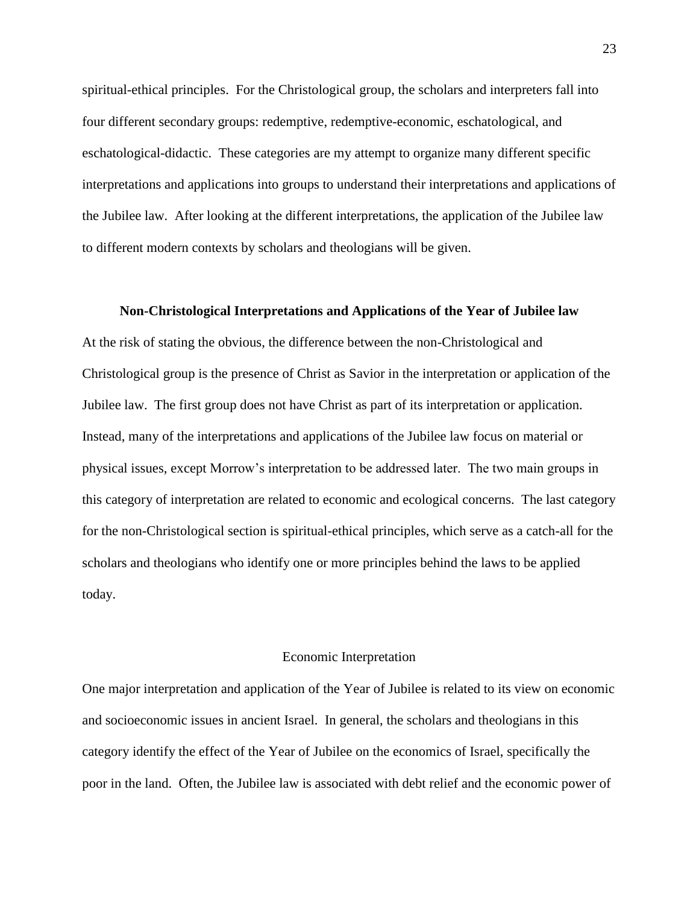spiritual-ethical principles. For the Christological group, the scholars and interpreters fall into four different secondary groups: redemptive, redemptive-economic, eschatological, and eschatological-didactic. These categories are my attempt to organize many different specific interpretations and applications into groups to understand their interpretations and applications of the Jubilee law. After looking at the different interpretations, the application of the Jubilee law to different modern contexts by scholars and theologians will be given.

#### **Non-Christological Interpretations and Applications of the Year of Jubilee law**

At the risk of stating the obvious, the difference between the non-Christological and Christological group is the presence of Christ as Savior in the interpretation or application of the Jubilee law. The first group does not have Christ as part of its interpretation or application. Instead, many of the interpretations and applications of the Jubilee law focus on material or physical issues, except Morrow's interpretation to be addressed later. The two main groups in this category of interpretation are related to economic and ecological concerns. The last category for the non-Christological section is spiritual-ethical principles, which serve as a catch-all for the scholars and theologians who identify one or more principles behind the laws to be applied today.

#### Economic Interpretation

One major interpretation and application of the Year of Jubilee is related to its view on economic and socioeconomic issues in ancient Israel. In general, the scholars and theologians in this category identify the effect of the Year of Jubilee on the economics of Israel, specifically the poor in the land. Often, the Jubilee law is associated with debt relief and the economic power of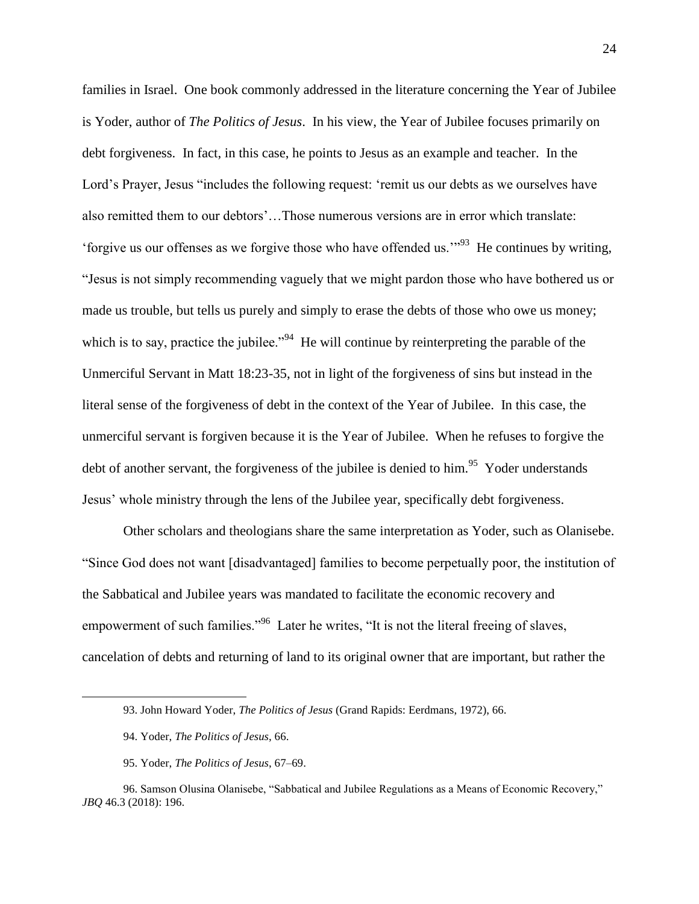families in Israel. One book commonly addressed in the literature concerning the Year of Jubilee is Yoder, author of *The Politics of Jesus*. In his view, the Year of Jubilee focuses primarily on debt forgiveness. In fact, in this case, he points to Jesus as an example and teacher. In the Lord's Prayer, Jesus "includes the following request: 'remit us our debts as we ourselves have also remitted them to our debtors'…Those numerous versions are in error which translate: 'forgive us our offenses as we forgive those who have offended us.'"<sup>93</sup> He continues by writing, ―Jesus is not simply recommending vaguely that we might pardon those who have bothered us or made us trouble, but tells us purely and simply to erase the debts of those who owe us money; which is to say, practice the jubilee."<sup>94</sup> He will continue by reinterpreting the parable of the Unmerciful Servant in Matt 18:23-35, not in light of the forgiveness of sins but instead in the literal sense of the forgiveness of debt in the context of the Year of Jubilee. In this case, the unmerciful servant is forgiven because it is the Year of Jubilee. When he refuses to forgive the debt of another servant, the forgiveness of the jubilee is denied to him.<sup>95</sup> Yoder understands Jesus' whole ministry through the lens of the Jubilee year, specifically debt forgiveness.

Other scholars and theologians share the same interpretation as Yoder, such as Olanisebe. ―Since God does not want [disadvantaged] families to become perpetually poor, the institution of the Sabbatical and Jubilee years was mandated to facilitate the economic recovery and empowerment of such families."<sup>96</sup> Later he writes, "It is not the literal freeing of slaves, cancelation of debts and returning of land to its original owner that are important, but rather the

 $\overline{a}$ 

95. Yoder, *The Politics of Jesus*, 67–69.

<sup>93.</sup> John Howard Yoder, *The Politics of Jesus* (Grand Rapids: Eerdmans, 1972), 66.

<sup>94.</sup> Yoder, *The Politics of Jesus*, 66.

<sup>96.</sup> Samson Olusina Olanisebe, "Sabbatical and Jubilee Regulations as a Means of Economic Recovery," *JBQ* 46.3 (2018): 196.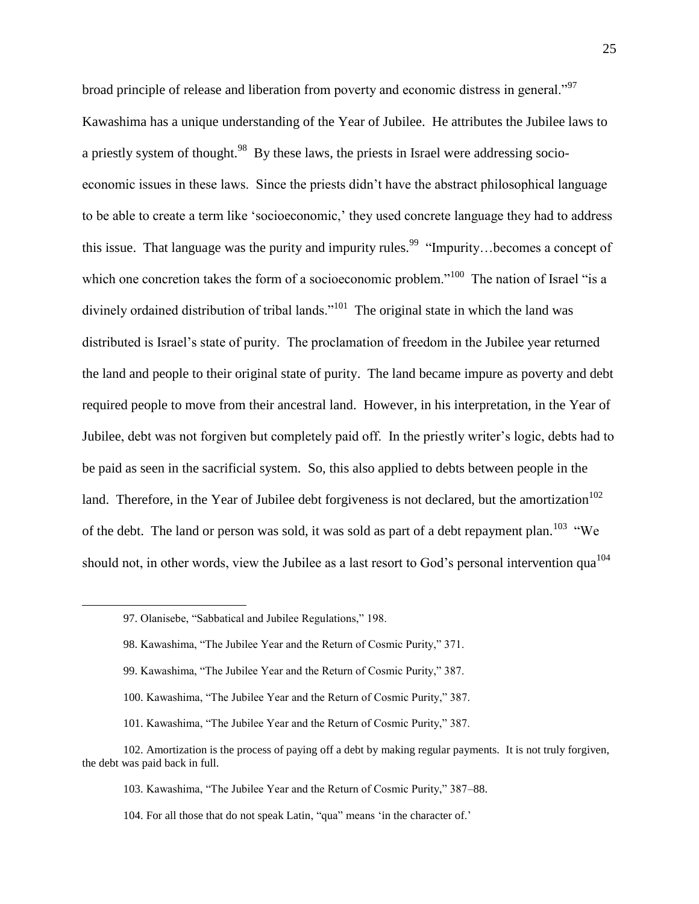broad principle of release and liberation from poverty and economic distress in general."<sup>97</sup> Kawashima has a unique understanding of the Year of Jubilee. He attributes the Jubilee laws to a priestly system of thought.<sup>98</sup> By these laws, the priests in Israel were addressing socioeconomic issues in these laws. Since the priests didn't have the abstract philosophical language to be able to create a term like 'socioeconomic,' they used concrete language they had to address this issue. That language was the purity and impurity rules.<sup>99</sup> "Impurity...becomes a concept of which one concretion takes the form of a socioeconomic problem."<sup>100</sup> The nation of Israel "is a divinely ordained distribution of tribal lands."<sup>101</sup> The original state in which the land was distributed is Israel's state of purity. The proclamation of freedom in the Jubilee year returned the land and people to their original state of purity. The land became impure as poverty and debt required people to move from their ancestral land. However, in his interpretation, in the Year of Jubilee, debt was not forgiven but completely paid off. In the priestly writer's logic, debts had to be paid as seen in the sacrificial system. So, this also applied to debts between people in the land. Therefore, in the Year of Jubilee debt forgiveness is not declared, but the amortization<sup>102</sup> of the debt. The land or person was sold, it was sold as part of a debt repayment plan.<sup>103</sup> "We should not, in other words, view the Jubilee as a last resort to God's personal intervention qua $^{104}$ 

 $\overline{a}$ 

- 99. Kawashima, "The Jubilee Year and the Return of Cosmic Purity," 387.
- 100. Kawashima, "The Jubilee Year and the Return of Cosmic Purity," 387.
- 101. Kawashima, "The Jubilee Year and the Return of Cosmic Purity," 387.

103. Kawashima, "The Jubilee Year and the Return of Cosmic Purity," 387-88.

<sup>97.</sup> Olanisebe, "Sabbatical and Jubilee Regulations," 198.

<sup>98.</sup> Kawashima, "The Jubilee Year and the Return of Cosmic Purity," 371.

<sup>102.</sup> Amortization is the process of paying off a debt by making regular payments. It is not truly forgiven, the debt was paid back in full.

<sup>104.</sup> For all those that do not speak Latin, "qua" means 'in the character of.'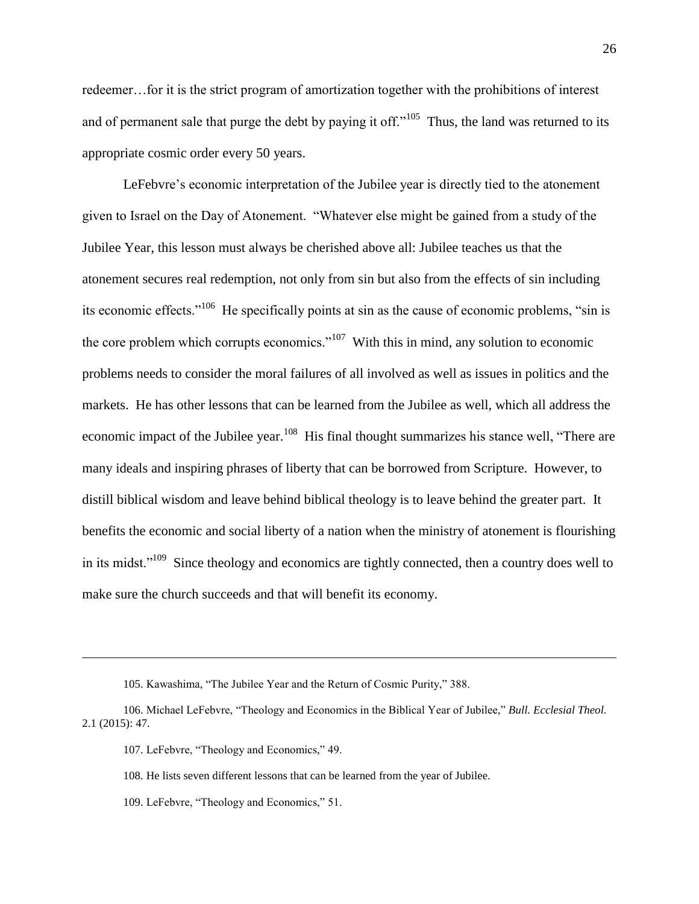redeemer…for it is the strict program of amortization together with the prohibitions of interest and of permanent sale that purge the debt by paying it off."<sup>105</sup> Thus, the land was returned to its appropriate cosmic order every 50 years.

LeFebvre's economic interpretation of the Jubilee year is directly tied to the atonement given to Israel on the Day of Atonement. "Whatever else might be gained from a study of the Jubilee Year, this lesson must always be cherished above all: Jubilee teaches us that the atonement secures real redemption, not only from sin but also from the effects of sin including its economic effects."<sup>106</sup> He specifically points at sin as the cause of economic problems, "sin is the core problem which corrupts economics.<sup> $107$ </sup> With this in mind, any solution to economic problems needs to consider the moral failures of all involved as well as issues in politics and the markets. He has other lessons that can be learned from the Jubilee as well, which all address the economic impact of the Jubilee year.<sup>108</sup> His final thought summarizes his stance well, "There are many ideals and inspiring phrases of liberty that can be borrowed from Scripture. However, to distill biblical wisdom and leave behind biblical theology is to leave behind the greater part. It benefits the economic and social liberty of a nation when the ministry of atonement is flourishing in its midst."<sup>109</sup> Since theology and economics are tightly connected, then a country does well to make sure the church succeeds and that will benefit its economy.

<sup>105.</sup> Kawashima, "The Jubilee Year and the Return of Cosmic Purity," 388.

<sup>106.</sup> Michael LeFebvre, "Theology and Economics in the Biblical Year of Jubilee," *Bull. Ecclesial Theol.* 2.1 (2015): 47.

<sup>107.</sup> LeFebvre, "Theology and Economics," 49.

<sup>108.</sup> He lists seven different lessons that can be learned from the year of Jubilee.

<sup>109.</sup> LeFebvre, "Theology and Economics," 51.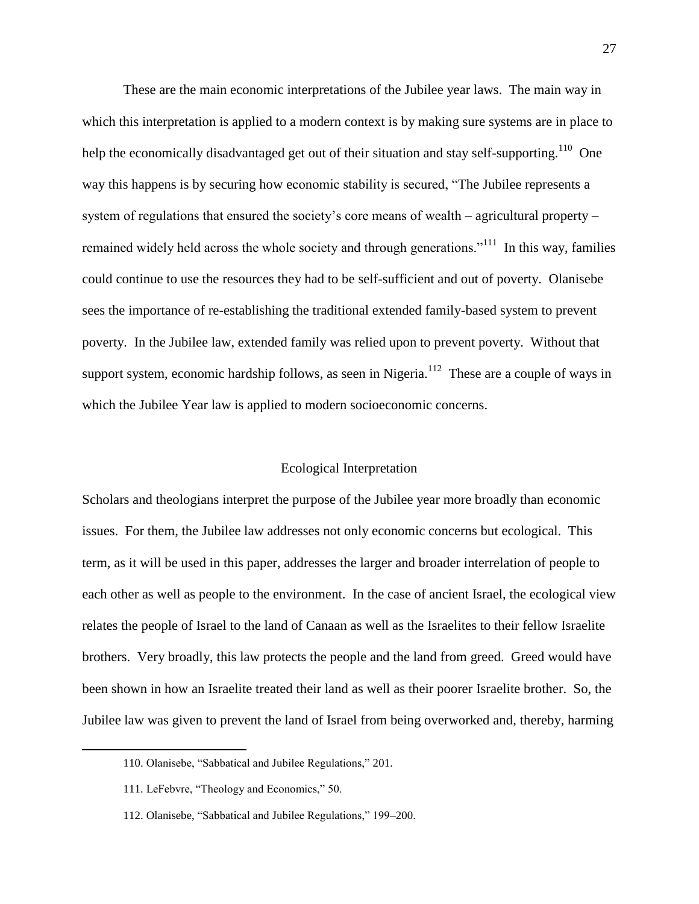These are the main economic interpretations of the Jubilee year laws. The main way in which this interpretation is applied to a modern context is by making sure systems are in place to help the economically disadvantaged get out of their situation and stay self-supporting.<sup>110</sup> One way this happens is by securing how economic stability is secured, "The Jubilee represents a system of regulations that ensured the society's core means of wealth – agricultural property – remained widely held across the whole society and through generations."<sup>111</sup> In this way, families could continue to use the resources they had to be self-sufficient and out of poverty. Olanisebe sees the importance of re-establishing the traditional extended family-based system to prevent poverty. In the Jubilee law, extended family was relied upon to prevent poverty. Without that support system, economic hardship follows, as seen in Nigeria.<sup>112</sup> These are a couple of ways in which the Jubilee Year law is applied to modern socioeconomic concerns.

# Ecological Interpretation

Scholars and theologians interpret the purpose of the Jubilee year more broadly than economic issues. For them, the Jubilee law addresses not only economic concerns but ecological. This term, as it will be used in this paper, addresses the larger and broader interrelation of people to each other as well as people to the environment. In the case of ancient Israel, the ecological view relates the people of Israel to the land of Canaan as well as the Israelites to their fellow Israelite brothers. Very broadly, this law protects the people and the land from greed. Greed would have been shown in how an Israelite treated their land as well as their poorer Israelite brother. So, the Jubilee law was given to prevent the land of Israel from being overworked and, thereby, harming

<sup>110.</sup> Olanisebe, "Sabbatical and Jubilee Regulations," 201.

<sup>111.</sup> LeFebvre, "Theology and Economics," 50.

<sup>112.</sup> Olanisebe, "Sabbatical and Jubilee Regulations," 199-200.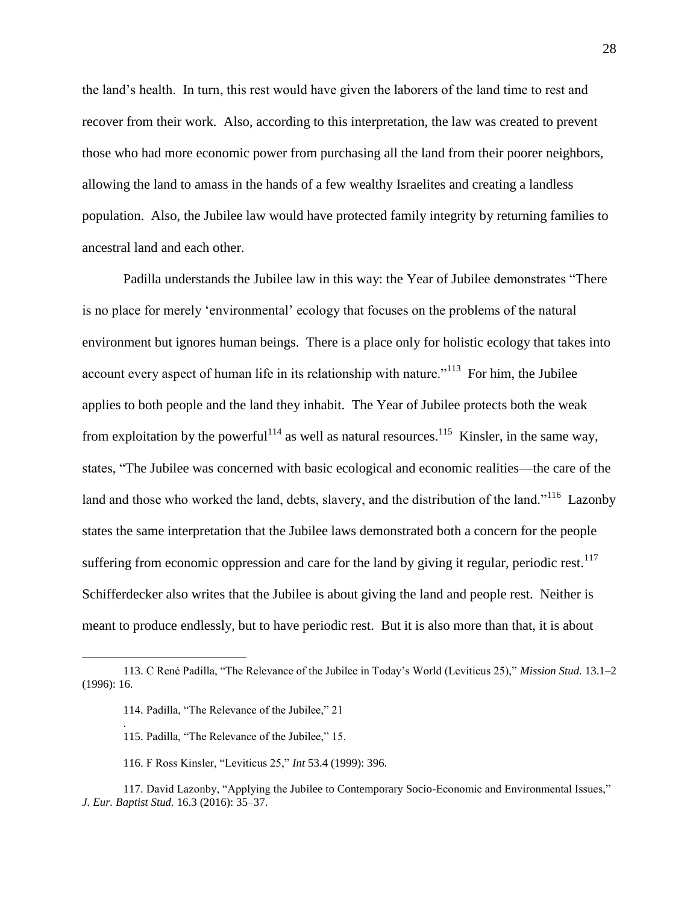the land's health. In turn, this rest would have given the laborers of the land time to rest and recover from their work. Also, according to this interpretation, the law was created to prevent those who had more economic power from purchasing all the land from their poorer neighbors, allowing the land to amass in the hands of a few wealthy Israelites and creating a landless population. Also, the Jubilee law would have protected family integrity by returning families to ancestral land and each other.

Padilla understands the Jubilee law in this way: the Year of Jubilee demonstrates "There" is no place for merely 'environmental' ecology that focuses on the problems of the natural environment but ignores human beings. There is a place only for holistic ecology that takes into account every aspect of human life in its relationship with nature."<sup>113</sup> For him, the Jubilee applies to both people and the land they inhabit. The Year of Jubilee protects both the weak from exploitation by the powerful<sup>114</sup> as well as natural resources.<sup>115</sup> Kinsler, in the same way, states, "The Jubilee was concerned with basic ecological and economic realities—the care of the land and those who worked the land, debts, slavery, and the distribution of the land."<sup>116</sup> Lazonby states the same interpretation that the Jubilee laws demonstrated both a concern for the people suffering from economic oppression and care for the land by giving it regular, periodic rest.<sup>117</sup> Schifferdecker also writes that the Jubilee is about giving the land and people rest. Neither is meant to produce endlessly, but to have periodic rest. But it is also more than that, it is about

 $\overline{a}$ 

.

116. F Ross Kinsler, "Leviticus 25," *Int* 53.4 (1999): 396.

<sup>113.</sup> C René Padilla, "The Relevance of the Jubilee in Today's World (Leviticus 25)," *Mission Stud.* 13.1–2 (1996): 16.

<sup>114.</sup> Padilla, "The Relevance of the Jubilee," 21

<sup>115.</sup> Padilla, "The Relevance of the Jubilee," 15.

<sup>117.</sup> David Lazonby, "Applying the Jubilee to Contemporary Socio-Economic and Environmental Issues," *J. Eur. Baptist Stud.* 16.3 (2016): 35–37.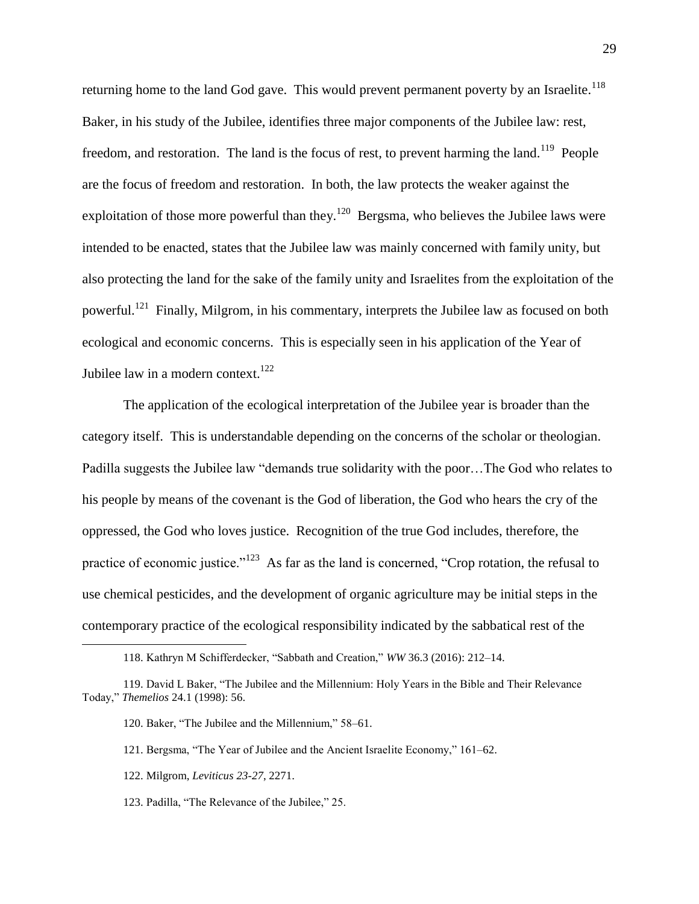returning home to the land God gave. This would prevent permanent poverty by an Israelite.<sup>118</sup> Baker, in his study of the Jubilee, identifies three major components of the Jubilee law: rest, freedom, and restoration. The land is the focus of rest, to prevent harming the land.<sup>119</sup> People are the focus of freedom and restoration. In both, the law protects the weaker against the exploitation of those more powerful than they.<sup>120</sup> Bergsma, who believes the Jubilee laws were intended to be enacted, states that the Jubilee law was mainly concerned with family unity, but also protecting the land for the sake of the family unity and Israelites from the exploitation of the powerful.<sup>121</sup> Finally, Milgrom, in his commentary, interprets the Jubilee law as focused on both ecological and economic concerns. This is especially seen in his application of the Year of Jubilee law in a modern context.<sup>122</sup>

The application of the ecological interpretation of the Jubilee year is broader than the category itself. This is understandable depending on the concerns of the scholar or theologian. Padilla suggests the Jubilee law "demands true solidarity with the poor... The God who relates to his people by means of the covenant is the God of liberation, the God who hears the cry of the oppressed, the God who loves justice. Recognition of the true God includes, therefore, the practice of economic justice."<sup>123</sup> As far as the land is concerned, "Crop rotation, the refusal to use chemical pesticides, and the development of organic agriculture may be initial steps in the contemporary practice of the ecological responsibility indicated by the sabbatical rest of the

122. Milgrom, *Leviticus 23-27*, 2271.

 $\overline{a}$ 

123. Padilla, "The Relevance of the Jubilee," 25.

<sup>118.</sup> Kathryn M Schifferdecker, "Sabbath and Creation," *WW* 36.3 (2016): 212-14.

<sup>119.</sup> David L Baker, "The Jubilee and the Millennium: Holy Years in the Bible and Their Relevance Today,‖ *Themelios* 24.1 (1998): 56.

<sup>120.</sup> Baker, "The Jubilee and the Millennium," 58-61.

<sup>121.</sup> Bergsma, "The Year of Jubilee and the Ancient Israelite Economy," 161–62.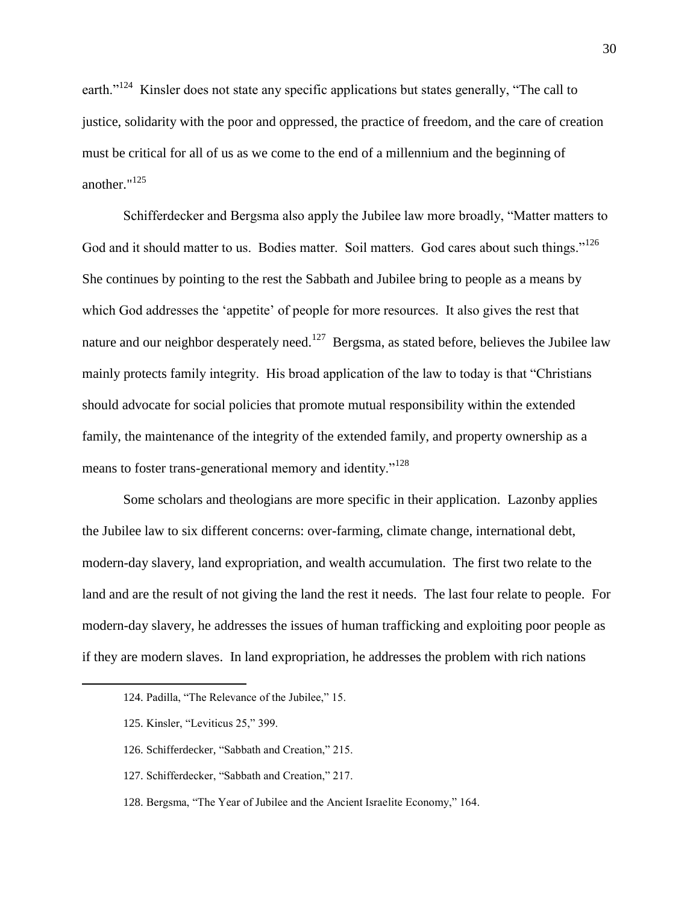earth."<sup>124</sup> Kinsler does not state any specific applications but states generally, "The call to justice, solidarity with the poor and oppressed, the practice of freedom, and the care of creation must be critical for all of us as we come to the end of a millennium and the beginning of another." 125

Schifferdecker and Bergsma also apply the Jubilee law more broadly, "Matter matters to God and it should matter to us. Bodies matter. Soil matters. God cares about such things."<sup>126</sup> She continues by pointing to the rest the Sabbath and Jubilee bring to people as a means by which God addresses the 'appetite' of people for more resources. It also gives the rest that nature and our neighbor desperately need.<sup>127</sup> Bergsma, as stated before, believes the Jubilee law mainly protects family integrity. His broad application of the law to today is that "Christians" should advocate for social policies that promote mutual responsibility within the extended family, the maintenance of the integrity of the extended family, and property ownership as a means to foster trans-generational memory and identity."<sup>128</sup>

Some scholars and theologians are more specific in their application. Lazonby applies the Jubilee law to six different concerns: over-farming, climate change, international debt, modern-day slavery, land expropriation, and wealth accumulation. The first two relate to the land and are the result of not giving the land the rest it needs. The last four relate to people. For modern-day slavery, he addresses the issues of human trafficking and exploiting poor people as if they are modern slaves. In land expropriation, he addresses the problem with rich nations

<sup>124.</sup> Padilla, "The Relevance of the Jubilee," 15.

<sup>125.</sup> Kinsler, "Leviticus 25," 399.

<sup>126.</sup> Schifferdecker, "Sabbath and Creation," 215.

<sup>127.</sup> Schifferdecker, "Sabbath and Creation," 217.

<sup>128.</sup> Bergsma, "The Year of Jubilee and the Ancient Israelite Economy," 164.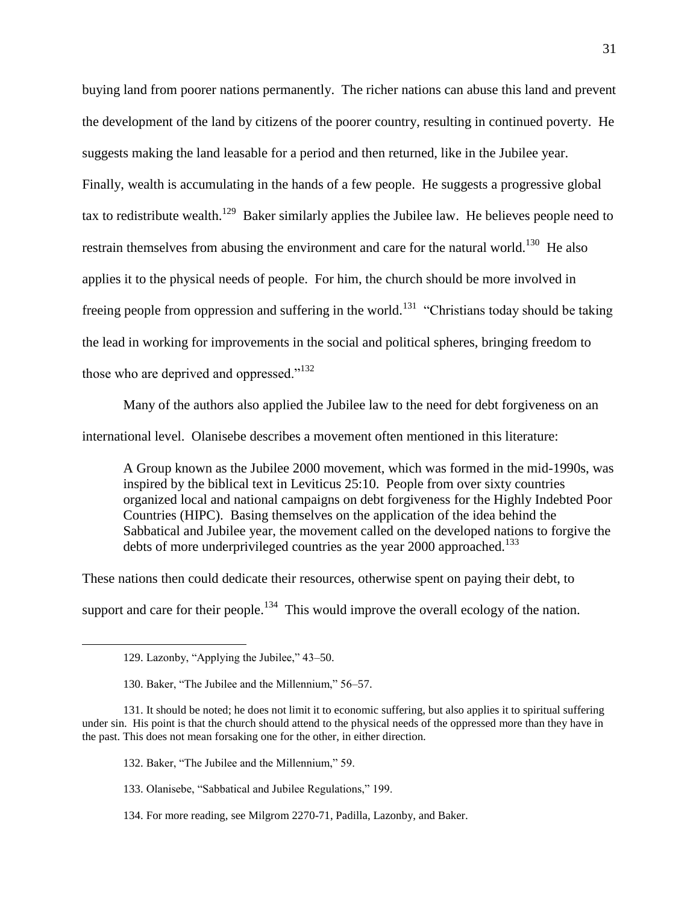buying land from poorer nations permanently. The richer nations can abuse this land and prevent the development of the land by citizens of the poorer country, resulting in continued poverty. He suggests making the land leasable for a period and then returned, like in the Jubilee year. Finally, wealth is accumulating in the hands of a few people. He suggests a progressive global tax to redistribute wealth.<sup>129</sup> Baker similarly applies the Jubilee law. He believes people need to restrain themselves from abusing the environment and care for the natural world.<sup>130</sup> He also applies it to the physical needs of people. For him, the church should be more involved in freeing people from oppression and suffering in the world.<sup>131</sup> "Christians today should be taking the lead in working for improvements in the social and political spheres, bringing freedom to those who are deprived and oppressed." $132$ 

Many of the authors also applied the Jubilee law to the need for debt forgiveness on an

international level. Olanisebe describes a movement often mentioned in this literature:

A Group known as the Jubilee 2000 movement, which was formed in the mid-1990s, was inspired by the biblical text in Leviticus 25:10. People from over sixty countries organized local and national campaigns on debt forgiveness for the Highly Indebted Poor Countries (HIPC). Basing themselves on the application of the idea behind the Sabbatical and Jubilee year, the movement called on the developed nations to forgive the debts of more underprivileged countries as the year 2000 approached.<sup>133</sup>

These nations then could dedicate their resources, otherwise spent on paying their debt, to

support and care for their people.<sup>134</sup> This would improve the overall ecology of the nation.

- 132. Baker, "The Jubilee and the Millennium," 59.
- 133. Olanisebe, "Sabbatical and Jubilee Regulations," 199.
- 134. For more reading, see Milgrom 2270-71, Padilla, Lazonby, and Baker.

<sup>129.</sup> Lazonby, "Applying the Jubilee," 43-50.

<sup>130.</sup> Baker, "The Jubilee and the Millennium," 56–57.

<sup>131.</sup> It should be noted; he does not limit it to economic suffering, but also applies it to spiritual suffering under sin. His point is that the church should attend to the physical needs of the oppressed more than they have in the past. This does not mean forsaking one for the other, in either direction.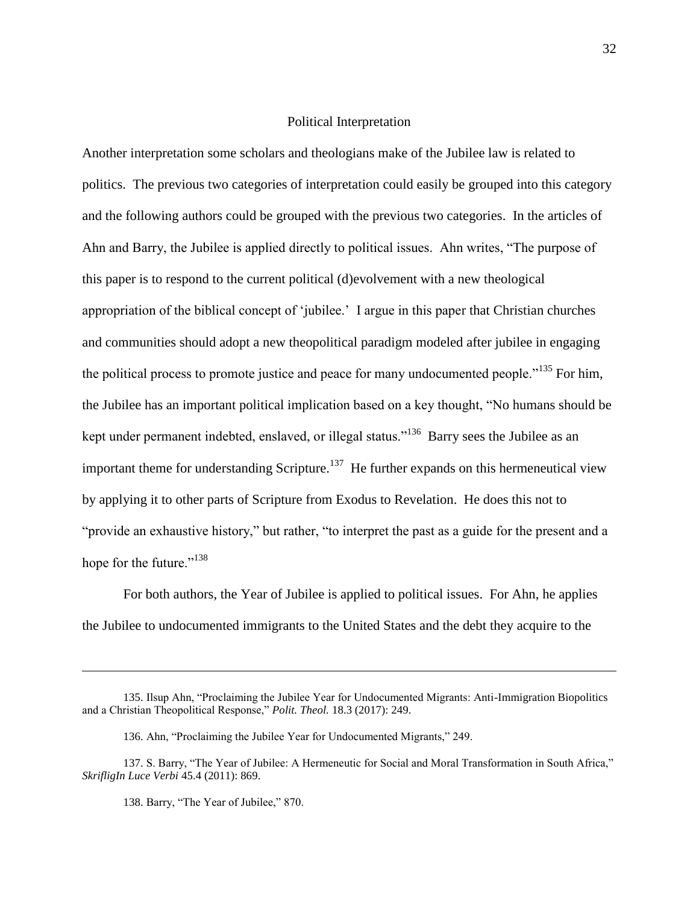# Political Interpretation

Another interpretation some scholars and theologians make of the Jubilee law is related to politics. The previous two categories of interpretation could easily be grouped into this category and the following authors could be grouped with the previous two categories. In the articles of Ahn and Barry, the Jubilee is applied directly to political issues. Ahn writes, "The purpose of this paper is to respond to the current political (d)evolvement with a new theological appropriation of the biblical concept of 'jubilee.' I argue in this paper that Christian churches and communities should adopt a new theopolitical paradigm modeled after jubilee in engaging the political process to promote justice and peace for many undocumented people."<sup>135</sup> For him, the Jubilee has an important political implication based on a key thought, "No humans should be kept under permanent indebted, enslaved, or illegal status."<sup>136</sup> Barry sees the Jubilee as an important theme for understanding Scripture.<sup>137</sup> He further expands on this hermeneutical view by applying it to other parts of Scripture from Exodus to Revelation. He does this not to "provide an exhaustive history," but rather, "to interpret the past as a guide for the present and a hope for the future." $138$ 

For both authors, the Year of Jubilee is applied to political issues. For Ahn, he applies the Jubilee to undocumented immigrants to the United States and the debt they acquire to the

<sup>135.</sup> Ilsup Ahn, "Proclaiming the Jubilee Year for Undocumented Migrants: Anti-Immigration Biopolitics and a Christian Theopolitical Response," Polit. Theol. 18.3 (2017): 249.

<sup>136.</sup> Ahn, "Proclaiming the Jubilee Year for Undocumented Migrants," 249.

<sup>137.</sup> S. Barry, "The Year of Jubilee: A Hermeneutic for Social and Moral Transformation in South Africa," *SkrifligIn Luce Verbi* 45.4 (2011): 869.

<sup>138.</sup> Barry, "The Year of Jubilee," 870.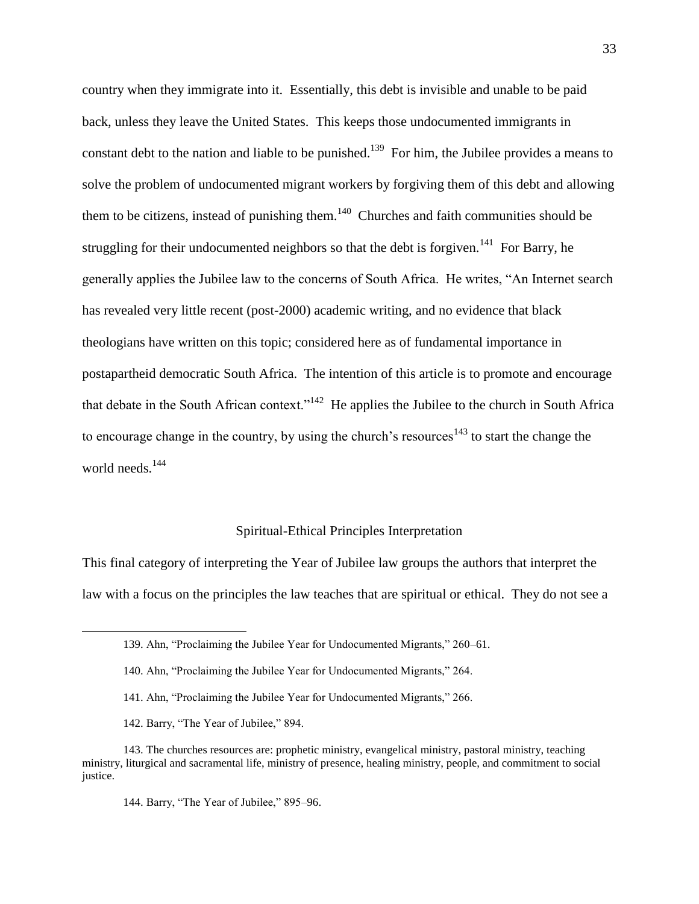country when they immigrate into it. Essentially, this debt is invisible and unable to be paid back, unless they leave the United States. This keeps those undocumented immigrants in constant debt to the nation and liable to be punished.<sup>139</sup> For him, the Jubilee provides a means to solve the problem of undocumented migrant workers by forgiving them of this debt and allowing them to be citizens, instead of punishing them. $140$  Churches and faith communities should be struggling for their undocumented neighbors so that the debt is forgiven.<sup>141</sup> For Barry, he generally applies the Jubilee law to the concerns of South Africa. He writes, "An Internet search has revealed very little recent (post-2000) academic writing, and no evidence that black theologians have written on this topic; considered here as of fundamental importance in postapartheid democratic South Africa. The intention of this article is to promote and encourage that debate in the South African context."<sup>142</sup> He applies the Jubilee to the church in South Africa to encourage change in the country, by using the church's resources<sup>143</sup> to start the change the world needs.<sup>144</sup>

## Spiritual-Ethical Principles Interpretation

This final category of interpreting the Year of Jubilee law groups the authors that interpret the law with a focus on the principles the law teaches that are spiritual or ethical. They do not see a

- 141. Ahn, "Proclaiming the Jubilee Year for Undocumented Migrants," 266.
- 142. Barry, "The Year of Jubilee," 894.

<sup>139.</sup> Ahn, "Proclaiming the Jubilee Year for Undocumented Migrants," 260–61.

<sup>140.</sup> Ahn, "Proclaiming the Jubilee Year for Undocumented Migrants," 264.

<sup>143.</sup> The churches resources are: prophetic ministry, evangelical ministry, pastoral ministry, teaching ministry, liturgical and sacramental life, ministry of presence, healing ministry, people, and commitment to social justice.

<sup>144.</sup> Barry, "The Year of Jubilee," 895–96.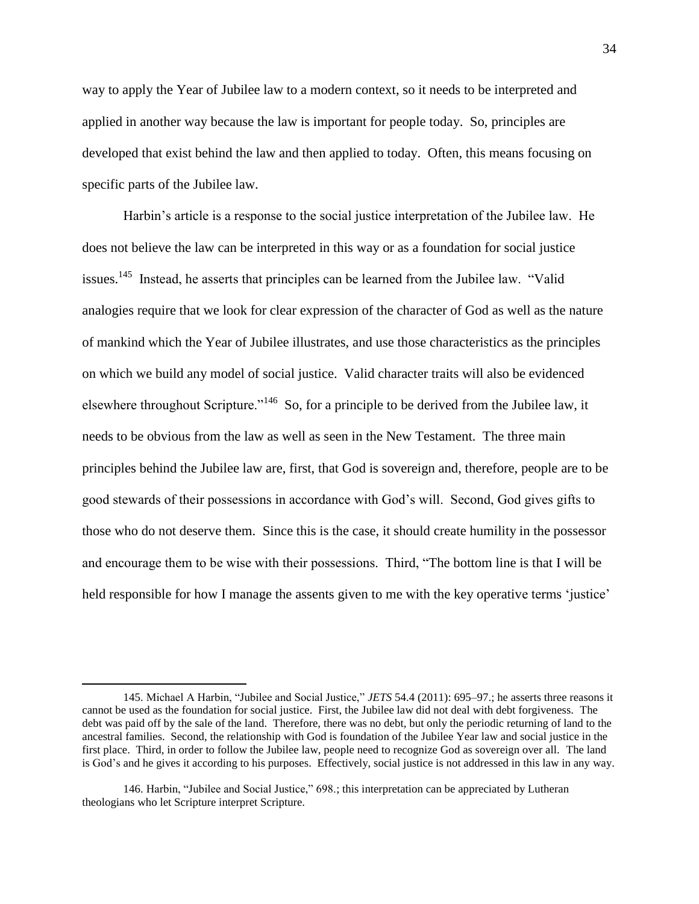way to apply the Year of Jubilee law to a modern context, so it needs to be interpreted and applied in another way because the law is important for people today. So, principles are developed that exist behind the law and then applied to today. Often, this means focusing on specific parts of the Jubilee law.

Harbin's article is a response to the social justice interpretation of the Jubilee law. He does not believe the law can be interpreted in this way or as a foundation for social justice issues.<sup>145</sup> Instead, he asserts that principles can be learned from the Jubilee law. "Valid analogies require that we look for clear expression of the character of God as well as the nature of mankind which the Year of Jubilee illustrates, and use those characteristics as the principles on which we build any model of social justice. Valid character traits will also be evidenced elsewhere throughout Scripture."<sup>146</sup> So, for a principle to be derived from the Jubilee law, it needs to be obvious from the law as well as seen in the New Testament. The three main principles behind the Jubilee law are, first, that God is sovereign and, therefore, people are to be good stewards of their possessions in accordance with God's will. Second, God gives gifts to those who do not deserve them. Since this is the case, it should create humility in the possessor and encourage them to be wise with their possessions. Third, "The bottom line is that I will be held responsible for how I manage the assents given to me with the key operative terms 'justice'

<sup>145.</sup> Michael A Harbin, "Jubilee and Social Justice," *JETS* 54.4 (2011): 695–97.; he asserts three reasons it cannot be used as the foundation for social justice. First, the Jubilee law did not deal with debt forgiveness. The debt was paid off by the sale of the land. Therefore, there was no debt, but only the periodic returning of land to the ancestral families. Second, the relationship with God is foundation of the Jubilee Year law and social justice in the first place. Third, in order to follow the Jubilee law, people need to recognize God as sovereign over all. The land is God's and he gives it according to his purposes. Effectively, social justice is not addressed in this law in any way.

<sup>146.</sup> Harbin, "Jubilee and Social Justice," 698.; this interpretation can be appreciated by Lutheran theologians who let Scripture interpret Scripture.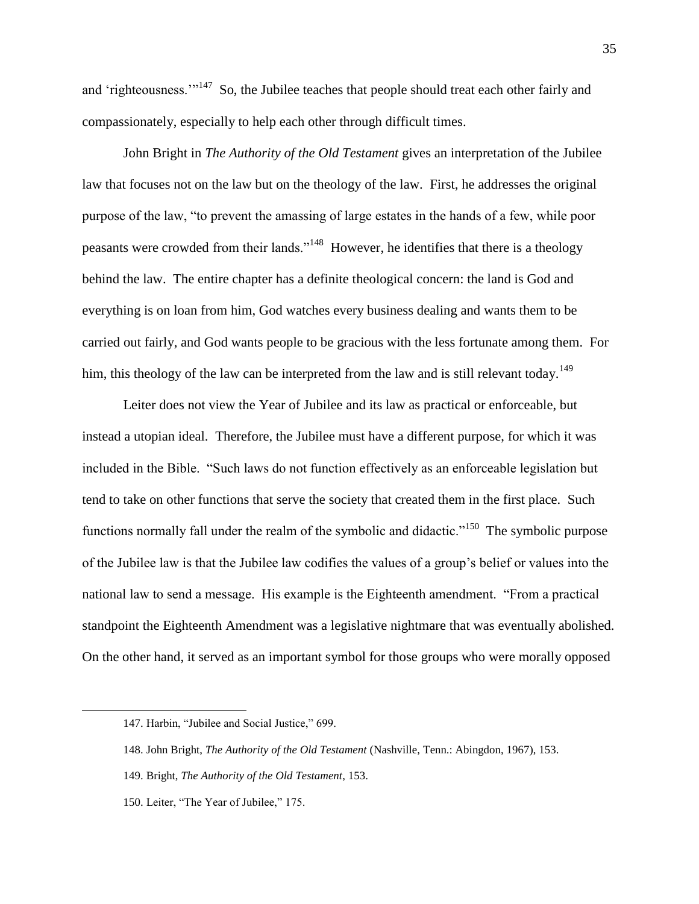and 'righteousness.'"<sup>147</sup> So, the Jubilee teaches that people should treat each other fairly and compassionately, especially to help each other through difficult times.

John Bright in *The Authority of the Old Testament* gives an interpretation of the Jubilee law that focuses not on the law but on the theology of the law. First, he addresses the original purpose of the law, "to prevent the amassing of large estates in the hands of a few, while poor peasants were crowded from their lands."<sup>148</sup> However, he identifies that there is a theology behind the law. The entire chapter has a definite theological concern: the land is God and everything is on loan from him, God watches every business dealing and wants them to be carried out fairly, and God wants people to be gracious with the less fortunate among them. For him, this theology of the law can be interpreted from the law and is still relevant today.<sup>149</sup>

Leiter does not view the Year of Jubilee and its law as practical or enforceable, but instead a utopian ideal. Therefore, the Jubilee must have a different purpose, for which it was included in the Bible. "Such laws do not function effectively as an enforceable legislation but tend to take on other functions that serve the society that created them in the first place. Such functions normally fall under the realm of the symbolic and didactic."<sup>150</sup> The symbolic purpose of the Jubilee law is that the Jubilee law codifies the values of a group's belief or values into the national law to send a message. His example is the Eighteenth amendment. "From a practical standpoint the Eighteenth Amendment was a legislative nightmare that was eventually abolished. On the other hand, it served as an important symbol for those groups who were morally opposed

<sup>147.</sup> Harbin, "Jubilee and Social Justice," 699.

<sup>148.</sup> John Bright, *The Authority of the Old Testament* (Nashville, Tenn.: Abingdon, 1967), 153.

<sup>149.</sup> Bright, *The Authority of the Old Testament*, 153.

<sup>150.</sup> Leiter, "The Year of Jubilee," 175.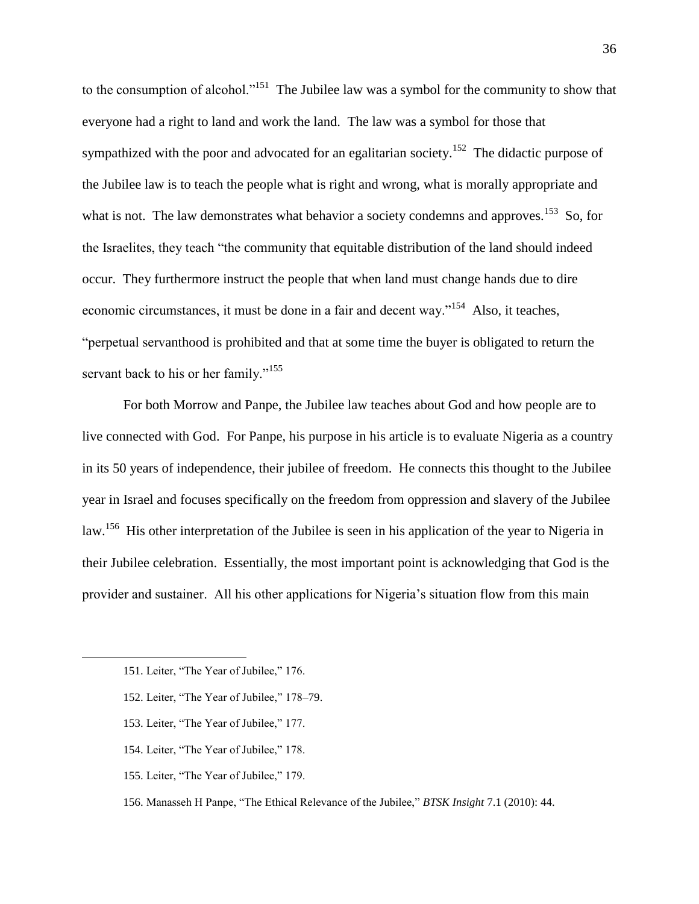to the consumption of alcohol."<sup>151</sup> The Jubilee law was a symbol for the community to show that everyone had a right to land and work the land. The law was a symbol for those that sympathized with the poor and advocated for an egalitarian society.<sup>152</sup> The didactic purpose of the Jubilee law is to teach the people what is right and wrong, what is morally appropriate and what is not. The law demonstrates what behavior a society condemns and approves.<sup>153</sup> So, for the Israelites, they teach "the community that equitable distribution of the land should indeed occur. They furthermore instruct the people that when land must change hands due to dire economic circumstances, it must be done in a fair and decent way."<sup>154</sup> Also, it teaches, "perpetual servanthood is prohibited and that at some time the buyer is obligated to return the servant back to his or her family."<sup>155</sup>

For both Morrow and Panpe, the Jubilee law teaches about God and how people are to live connected with God. For Panpe, his purpose in his article is to evaluate Nigeria as a country in its 50 years of independence, their jubilee of freedom. He connects this thought to the Jubilee year in Israel and focuses specifically on the freedom from oppression and slavery of the Jubilee law.<sup>156</sup> His other interpretation of the Jubilee is seen in his application of the year to Nigeria in their Jubilee celebration. Essentially, the most important point is acknowledging that God is the provider and sustainer. All his other applications for Nigeria's situation flow from this main

- 153. Leiter, "The Year of Jubilee," 177.
- 154. Leiter, "The Year of Jubilee," 178.
- 155. Leiter, "The Year of Jubilee," 179.
- 156. Manasseh H Panpe, "The Ethical Relevance of the Jubilee," *BTSK Insight* 7.1 (2010): 44.

<sup>151.</sup> Leiter, "The Year of Jubilee," 176.

<sup>152.</sup> Leiter, "The Year of Jubilee," 178-79.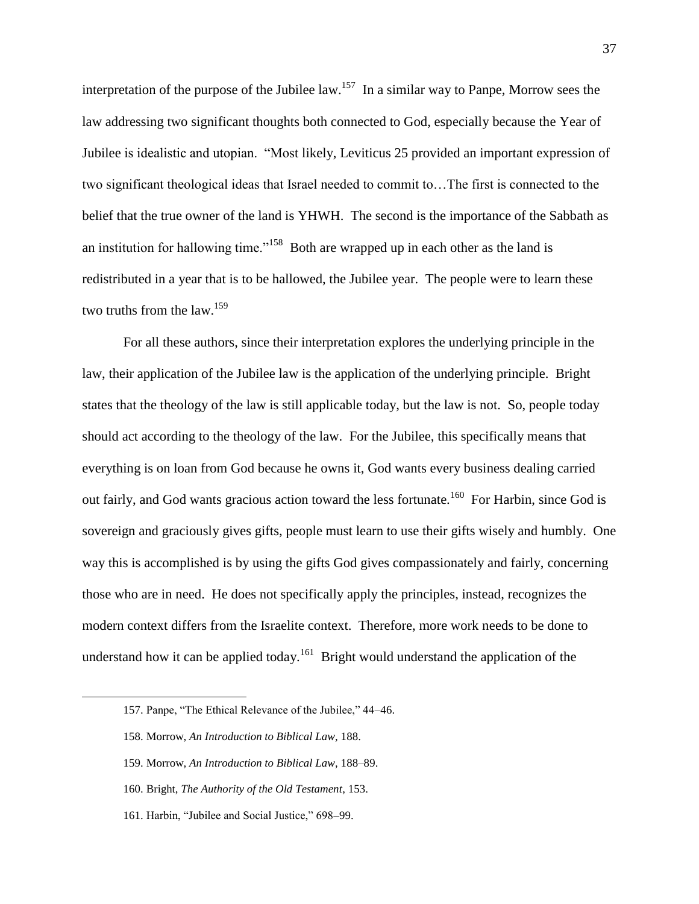interpretation of the purpose of the Jubilee law.<sup>157</sup> In a similar way to Panpe, Morrow sees the law addressing two significant thoughts both connected to God, especially because the Year of Jubilee is idealistic and utopian. "Most likely, Leviticus 25 provided an important expression of two significant theological ideas that Israel needed to commit to…The first is connected to the belief that the true owner of the land is YHWH. The second is the importance of the Sabbath as an institution for hallowing time."<sup>158</sup> Both are wrapped up in each other as the land is redistributed in a year that is to be hallowed, the Jubilee year. The people were to learn these two truths from the  $\text{law}$ <sup>159</sup>

For all these authors, since their interpretation explores the underlying principle in the law, their application of the Jubilee law is the application of the underlying principle. Bright states that the theology of the law is still applicable today, but the law is not. So, people today should act according to the theology of the law. For the Jubilee, this specifically means that everything is on loan from God because he owns it, God wants every business dealing carried out fairly, and God wants gracious action toward the less fortunate.<sup>160</sup> For Harbin, since God is sovereign and graciously gives gifts, people must learn to use their gifts wisely and humbly. One way this is accomplished is by using the gifts God gives compassionately and fairly, concerning those who are in need. He does not specifically apply the principles, instead, recognizes the modern context differs from the Israelite context. Therefore, more work needs to be done to understand how it can be applied today.<sup>161</sup> Bright would understand the application of the

<sup>157.</sup> Panpe, "The Ethical Relevance of the Jubilee," 44-46.

<sup>158.</sup> Morrow, *An Introduction to Biblical Law*, 188.

<sup>159.</sup> Morrow, *An Introduction to Biblical Law*, 188–89.

<sup>160.</sup> Bright, *The Authority of the Old Testament*, 153.

<sup>161.</sup> Harbin, "Jubilee and Social Justice," 698-99.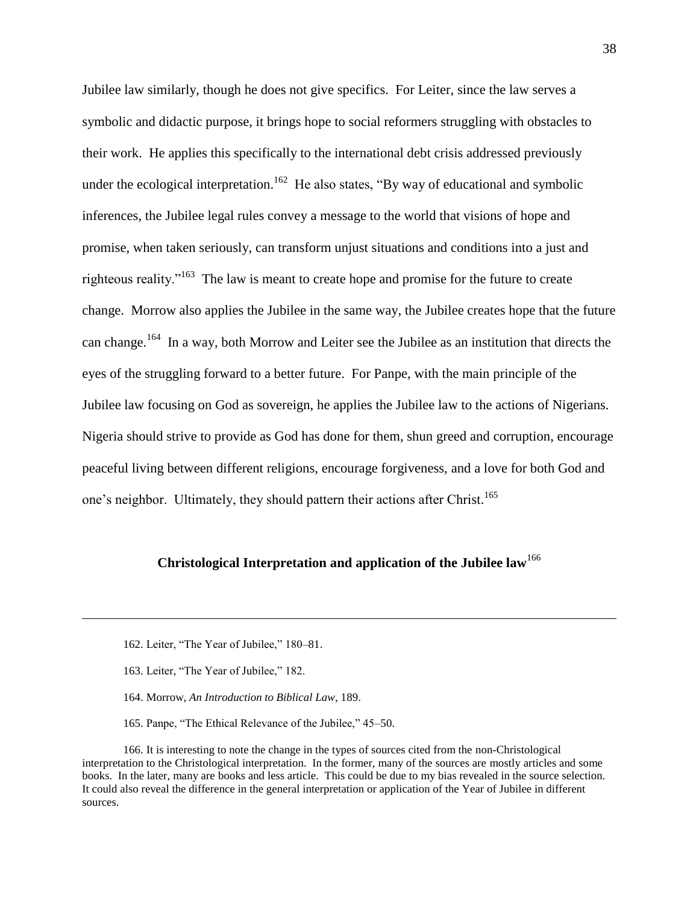Jubilee law similarly, though he does not give specifics. For Leiter, since the law serves a symbolic and didactic purpose, it brings hope to social reformers struggling with obstacles to their work. He applies this specifically to the international debt crisis addressed previously under the ecological interpretation.<sup>162</sup> He also states, "By way of educational and symbolic inferences, the Jubilee legal rules convey a message to the world that visions of hope and promise, when taken seriously, can transform unjust situations and conditions into a just and righteous reality."<sup>163</sup> The law is meant to create hope and promise for the future to create change. Morrow also applies the Jubilee in the same way, the Jubilee creates hope that the future can change.<sup>164</sup> In a way, both Morrow and Leiter see the Jubilee as an institution that directs the eyes of the struggling forward to a better future. For Panpe, with the main principle of the Jubilee law focusing on God as sovereign, he applies the Jubilee law to the actions of Nigerians. Nigeria should strive to provide as God has done for them, shun greed and corruption, encourage peaceful living between different religions, encourage forgiveness, and a love for both God and one's neighbor. Ultimately, they should pattern their actions after Christ.<sup>165</sup>

# **Christological Interpretation and application of the Jubilee law**<sup>166</sup>

163. Leiter, "The Year of Jubilee," 182.

 $\overline{a}$ 

- 164. Morrow, *An Introduction to Biblical Law*, 189.
- 165. Panpe, "The Ethical Relevance of the Jubilee," 45–50.

166. It is interesting to note the change in the types of sources cited from the non-Christological interpretation to the Christological interpretation. In the former, many of the sources are mostly articles and some books. In the later, many are books and less article. This could be due to my bias revealed in the source selection. It could also reveal the difference in the general interpretation or application of the Year of Jubilee in different sources.

<sup>162.</sup> Leiter, "The Year of Jubilee," 180–81.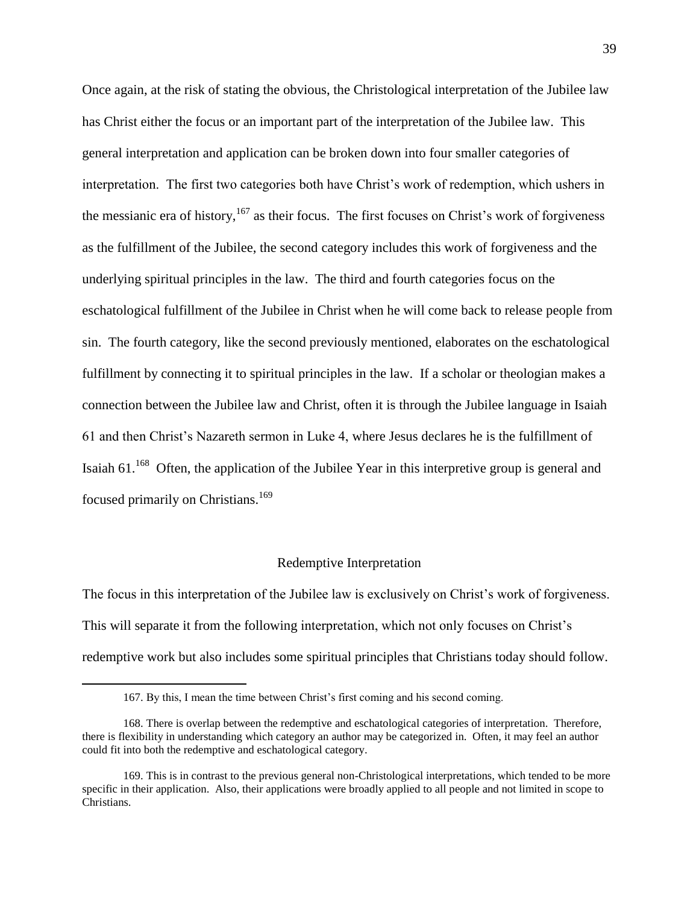Once again, at the risk of stating the obvious, the Christological interpretation of the Jubilee law has Christ either the focus or an important part of the interpretation of the Jubilee law. This general interpretation and application can be broken down into four smaller categories of interpretation. The first two categories both have Christ's work of redemption, which ushers in the messianic era of history, $167$  as their focus. The first focuses on Christ's work of forgiveness as the fulfillment of the Jubilee, the second category includes this work of forgiveness and the underlying spiritual principles in the law. The third and fourth categories focus on the eschatological fulfillment of the Jubilee in Christ when he will come back to release people from sin. The fourth category, like the second previously mentioned, elaborates on the eschatological fulfillment by connecting it to spiritual principles in the law. If a scholar or theologian makes a connection between the Jubilee law and Christ, often it is through the Jubilee language in Isaiah 61 and then Christ's Nazareth sermon in Luke 4, where Jesus declares he is the fulfillment of Isaiah  $61<sup>168</sup>$  Often, the application of the Jubilee Year in this interpretive group is general and focused primarily on Christians.<sup>169</sup>

## Redemptive Interpretation

The focus in this interpretation of the Jubilee law is exclusively on Christ's work of forgiveness. This will separate it from the following interpretation, which not only focuses on Christ's redemptive work but also includes some spiritual principles that Christians today should follow.

<sup>167.</sup> By this, I mean the time between Christ's first coming and his second coming.

<sup>168.</sup> There is overlap between the redemptive and eschatological categories of interpretation. Therefore, there is flexibility in understanding which category an author may be categorized in. Often, it may feel an author could fit into both the redemptive and eschatological category.

<sup>169.</sup> This is in contrast to the previous general non-Christological interpretations, which tended to be more specific in their application. Also, their applications were broadly applied to all people and not limited in scope to Christians.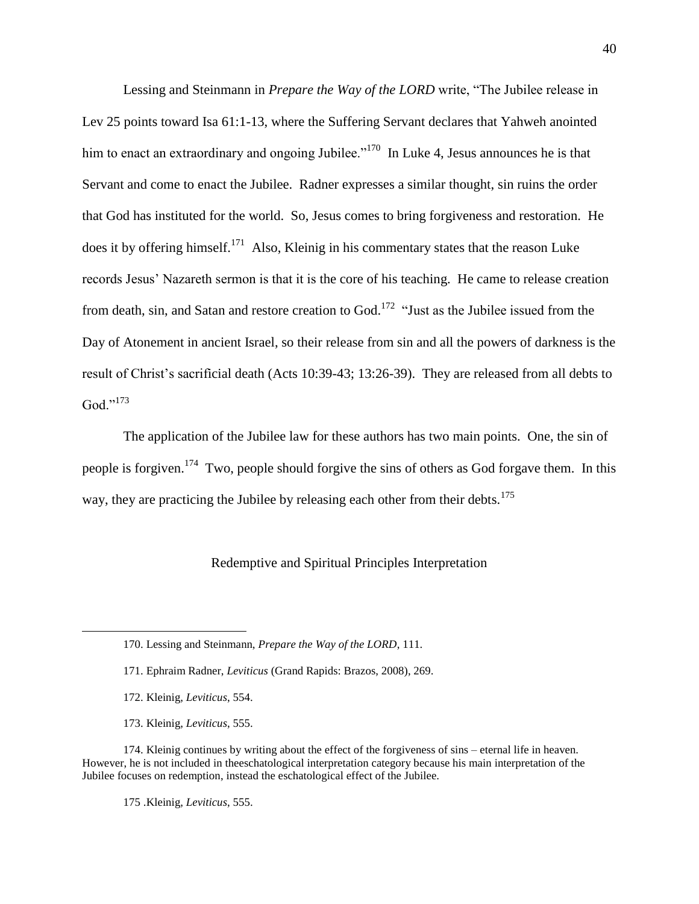Lessing and Steinmann in *Prepare the Way of the LORD* write, "The Jubilee release in Lev 25 points toward Isa 61:1-13, where the Suffering Servant declares that Yahweh anointed him to enact an extraordinary and ongoing Jubilee."<sup>170</sup> In Luke 4, Jesus announces he is that Servant and come to enact the Jubilee. Radner expresses a similar thought, sin ruins the order that God has instituted for the world. So, Jesus comes to bring forgiveness and restoration. He does it by offering himself.<sup>171</sup> Also, Kleinig in his commentary states that the reason Luke records Jesus' Nazareth sermon is that it is the core of his teaching. He came to release creation from death, sin, and Satan and restore creation to God.<sup>172</sup> "Just as the Jubilee issued from the Day of Atonement in ancient Israel, so their release from sin and all the powers of darkness is the result of Christ's sacrificial death (Acts 10:39-43; 13:26-39). They are released from all debts to  $God.$ <sup>,,173</sup>

The application of the Jubilee law for these authors has two main points. One, the sin of people is forgiven.<sup>174</sup> Two, people should forgive the sins of others as God forgave them. In this way, they are practicing the Jubilee by releasing each other from their debts.<sup>175</sup>

# Redemptive and Spiritual Principles Interpretation

 $\overline{a}$ 

173. Kleinig, *Leviticus*, 555.

174. Kleinig continues by writing about the effect of the forgiveness of sins – eternal life in heaven. However, he is not included in theeschatological interpretation category because his main interpretation of the Jubilee focuses on redemption, instead the eschatological effect of the Jubilee.

175 .Kleinig, *Leviticus*, 555.

<sup>170.</sup> Lessing and Steinmann, *Prepare the Way of the LORD*, 111.

<sup>171.</sup> Ephraim Radner, *Leviticus* (Grand Rapids: Brazos, 2008), 269.

<sup>172.</sup> Kleinig, *Leviticus*, 554.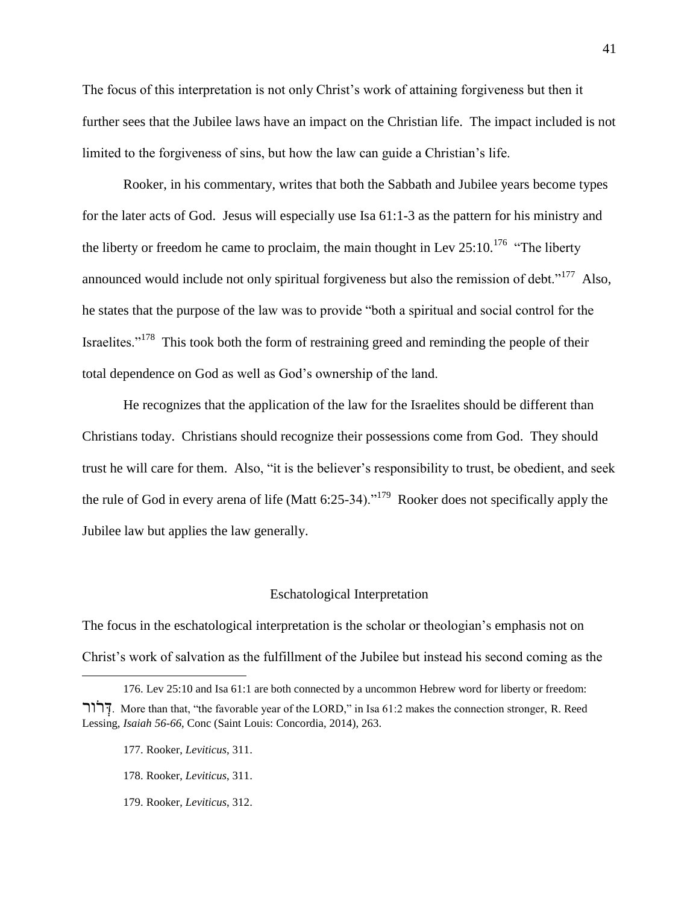The focus of this interpretation is not only Christ's work of attaining forgiveness but then it further sees that the Jubilee laws have an impact on the Christian life. The impact included is not limited to the forgiveness of sins, but how the law can guide a Christian's life.

Rooker, in his commentary, writes that both the Sabbath and Jubilee years become types for the later acts of God. Jesus will especially use Isa 61:1-3 as the pattern for his ministry and the liberty or freedom he came to proclaim, the main thought in Lev  $25:10$ .<sup>176</sup> "The liberty" announced would include not only spiritual forgiveness but also the remission of debt."<sup>177</sup> Also, he states that the purpose of the law was to provide "both a spiritual and social control for the Israelites."<sup>178</sup> This took both the form of restraining greed and reminding the people of their total dependence on God as well as God's ownership of the land.

He recognizes that the application of the law for the Israelites should be different than Christians today. Christians should recognize their possessions come from God. They should trust he will care for them. Also, "it is the believer's responsibility to trust, be obedient, and seek the rule of God in every arena of life (Matt 6:25-34)."<sup>179</sup> Rooker does not specifically apply the Jubilee law but applies the law generally.

#### Eschatological Interpretation

The focus in the eschatological interpretation is the scholar or theologian's emphasis not on Christ's work of salvation as the fulfillment of the Jubilee but instead his second coming as the

 $\overline{a}$ 

179. Rooker, *Leviticus*, 312.

<sup>176.</sup> Lev 25:10 and Isa 61:1 are both connected by a uncommon Hebrew word for liberty or freedom: ור ֹר ְד. More than that, ―the favorable year of the LORD,‖ in Isa 61:2 makes the connection stronger, R. Reed Lessing, *Isaiah 56-66*, Conc (Saint Louis: Concordia, 2014), 263.

<sup>177.</sup> Rooker, *Leviticus*, 311.

<sup>178.</sup> Rooker, *Leviticus*, 311.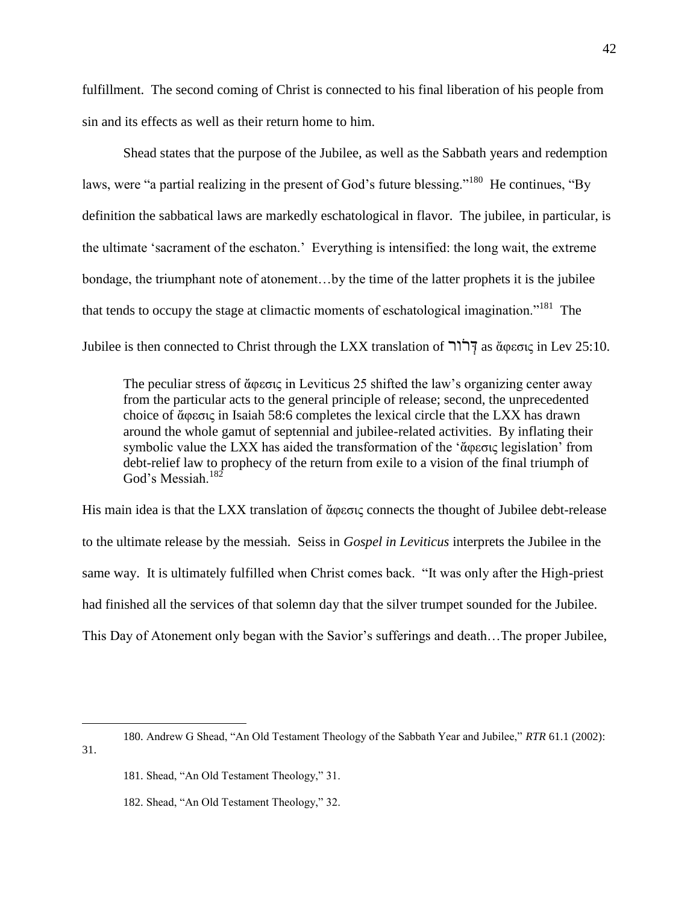fulfillment. The second coming of Christ is connected to his final liberation of his people from sin and its effects as well as their return home to him.

Shead states that the purpose of the Jubilee, as well as the Sabbath years and redemption laws, were "a partial realizing in the present of God's future blessing."<sup>180</sup> He continues, "By definition the sabbatical laws are markedly eschatological in flavor. The jubilee, in particular, is the ultimate 'sacrament of the eschaton.' Everything is intensified: the long wait, the extreme bondage, the triumphant note of atonement…by the time of the latter prophets it is the jubilee that tends to occupy the stage at climactic moments of eschatological imagination."<sup>181</sup> The Jubilee is then connected to Christ through the LXX translation of ורַֹר ְד as ἄφεσις in Lev 25:10.

The peculiar stress of ἄφεσις in Leviticus 25 shifted the law's organizing center away from the particular acts to the general principle of release; second, the unprecedented choice of ἄφεσις in Isaiah 58:6 completes the lexical circle that the LXX has drawn around the whole gamut of septennial and jubilee-related activities. By inflating their symbolic value the LXX has aided the transformation of the 'ἄφεσις legislation' from debt-relief law to prophecy of the return from exile to a vision of the final triumph of God's Messiah.<sup>182</sup>

His main idea is that the LXX translation of ἄφεσις connects the thought of Jubilee debt-release to the ultimate release by the messiah. Seiss in *Gospel in Leviticus* interprets the Jubilee in the same way. It is ultimately fulfilled when Christ comes back. "It was only after the High-priest had finished all the services of that solemn day that the silver trumpet sounded for the Jubilee. This Day of Atonement only began with the Savior's sufferings and death…The proper Jubilee,

<sup>180.</sup> Andrew G Shead, "An Old Testament Theology of the Sabbath Year and Jubilee," *RTR* 61.1 (2002): 31.

<sup>181.</sup> Shead, "An Old Testament Theology," 31.

<sup>182.</sup> Shead, "An Old Testament Theology," 32.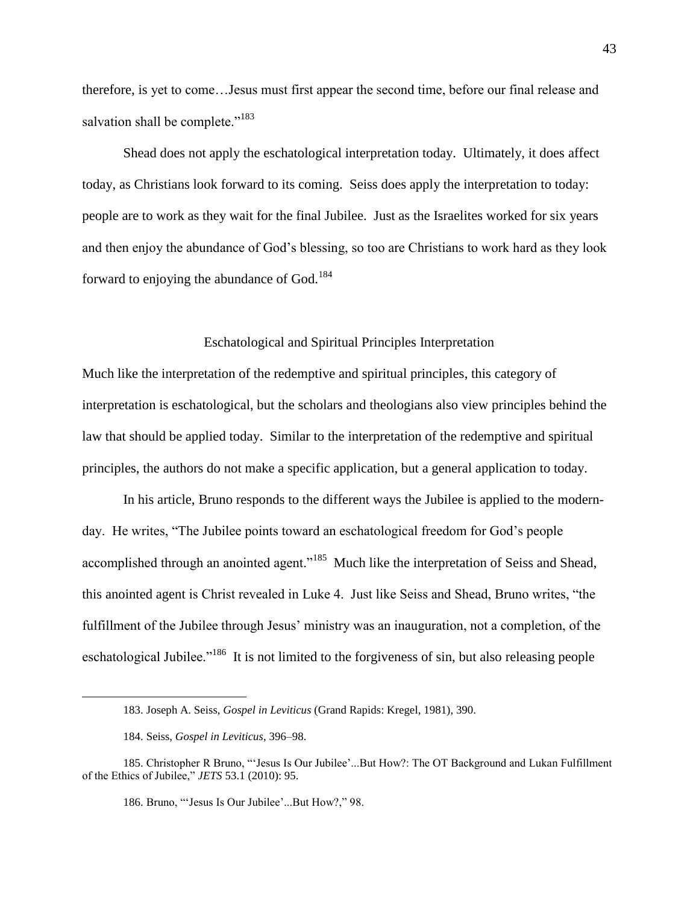therefore, is yet to come…Jesus must first appear the second time, before our final release and salvation shall be complete."<sup>183</sup>

Shead does not apply the eschatological interpretation today. Ultimately, it does affect today, as Christians look forward to its coming. Seiss does apply the interpretation to today: people are to work as they wait for the final Jubilee. Just as the Israelites worked for six years and then enjoy the abundance of God's blessing, so too are Christians to work hard as they look forward to enjoying the abundance of God.<sup>184</sup>

## Eschatological and Spiritual Principles Interpretation

Much like the interpretation of the redemptive and spiritual principles, this category of interpretation is eschatological, but the scholars and theologians also view principles behind the law that should be applied today. Similar to the interpretation of the redemptive and spiritual principles, the authors do not make a specific application, but a general application to today.

In his article, Bruno responds to the different ways the Jubilee is applied to the modernday. He writes, "The Jubilee points toward an eschatological freedom for God's people accomplished through an anointed agent."<sup>185</sup> Much like the interpretation of Seiss and Shead, this anointed agent is Christ revealed in Luke 4. Just like Seiss and Shead, Bruno writes, "the fulfillment of the Jubilee through Jesus' ministry was an inauguration, not a completion, of the eschatological Jubilee."<sup>186</sup> It is not limited to the forgiveness of sin, but also releasing people

<sup>183.</sup> Joseph A. Seiss, *Gospel in Leviticus* (Grand Rapids: Kregel, 1981), 390.

<sup>184.</sup> Seiss, *Gospel in Leviticus*, 396–98.

<sup>185.</sup> Christopher R Bruno, "'Jesus Is Our Jubilee'...But How?: The OT Background and Lukan Fulfillment of the Ethics of Jubilee," *JETS* 53.1 (2010): 95.

<sup>186.</sup> Bruno, "'Jesus Is Our Jubilee'...But How?," 98.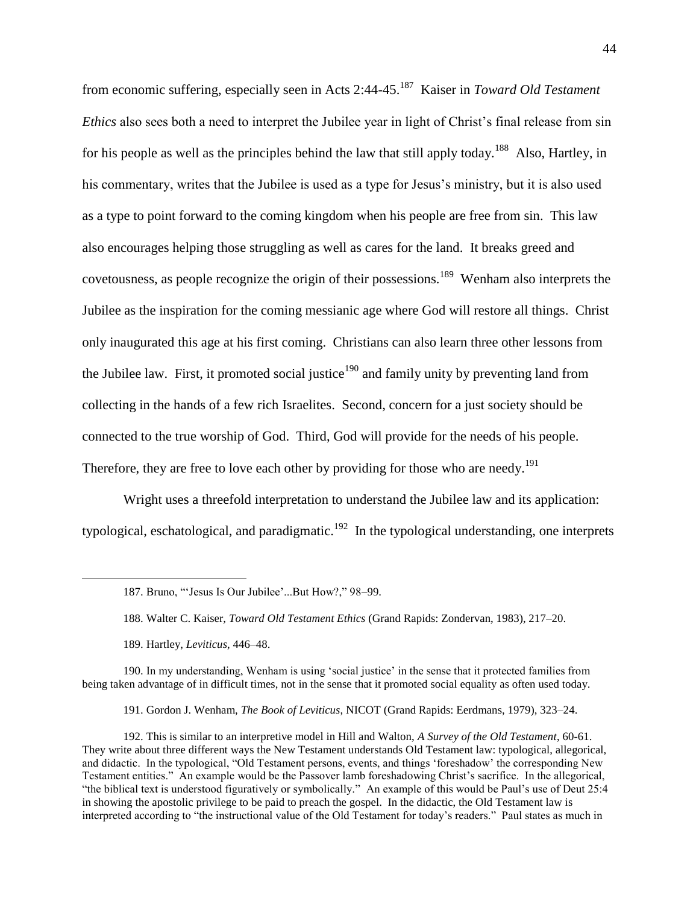from economic suffering, especially seen in Acts 2:44-45.<sup>187</sup> Kaiser in *Toward Old Testament Ethics* also sees both a need to interpret the Jubilee year in light of Christ's final release from sin for his people as well as the principles behind the law that still apply today.<sup>188</sup> Also, Hartley, in his commentary, writes that the Jubilee is used as a type for Jesus's ministry, but it is also used as a type to point forward to the coming kingdom when his people are free from sin. This law also encourages helping those struggling as well as cares for the land. It breaks greed and covetousness, as people recognize the origin of their possessions.<sup>189</sup> Wenham also interprets the Jubilee as the inspiration for the coming messianic age where God will restore all things. Christ only inaugurated this age at his first coming. Christians can also learn three other lessons from the Jubilee law. First, it promoted social justice<sup>190</sup> and family unity by preventing land from collecting in the hands of a few rich Israelites. Second, concern for a just society should be connected to the true worship of God. Third, God will provide for the needs of his people. Therefore, they are free to love each other by providing for those who are needy.<sup>191</sup>

Wright uses a threefold interpretation to understand the Jubilee law and its application: typological, eschatological, and paradigmatic.<sup>192</sup> In the typological understanding, one interprets

 $\overline{a}$ 

190. In my understanding, Wenham is using ‗social justice' in the sense that it protected families from being taken advantage of in difficult times, not in the sense that it promoted social equality as often used today.

191. Gordon J. Wenham, *The Book of Leviticus*, NICOT (Grand Rapids: Eerdmans, 1979), 323–24.

192. This is similar to an interpretive model in Hill and Walton, *A Survey of the Old Testament*, 60-61. They write about three different ways the New Testament understands Old Testament law: typological, allegorical, and didactic. In the typological, "Old Testament persons, events, and things 'foreshadow' the corresponding New Testament entities.‖ An example would be the Passover lamb foreshadowing Christ's sacrifice. In the allegorical, "the biblical text is understood figuratively or symbolically." An example of this would be Paul's use of Deut 25:4 in showing the apostolic privilege to be paid to preach the gospel. In the didactic, the Old Testament law is interpreted according to "the instructional value of the Old Testament for today's readers." Paul states as much in

<sup>187.</sup> Bruno, "'Jesus Is Our Jubilee'...But How?," 98-99.

<sup>188.</sup> Walter C. Kaiser, *Toward Old Testament Ethics* (Grand Rapids: Zondervan, 1983), 217–20.

<sup>189.</sup> Hartley, *Leviticus*, 446–48.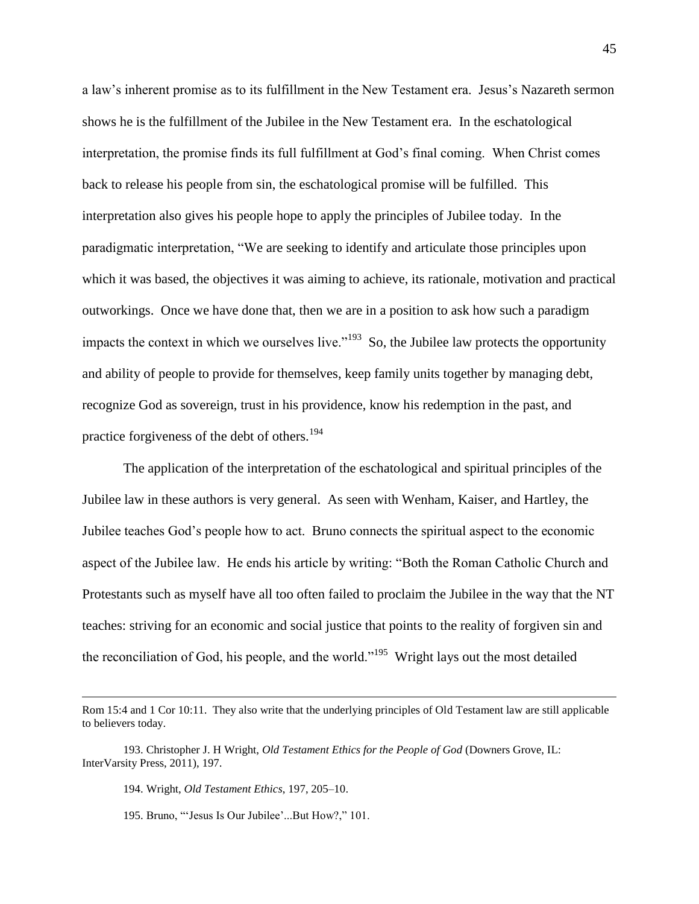a law's inherent promise as to its fulfillment in the New Testament era. Jesus's Nazareth sermon shows he is the fulfillment of the Jubilee in the New Testament era. In the eschatological interpretation, the promise finds its full fulfillment at God's final coming. When Christ comes back to release his people from sin, the eschatological promise will be fulfilled. This interpretation also gives his people hope to apply the principles of Jubilee today. In the paradigmatic interpretation, "We are seeking to identify and articulate those principles upon which it was based, the objectives it was aiming to achieve, its rationale, motivation and practical outworkings. Once we have done that, then we are in a position to ask how such a paradigm impacts the context in which we ourselves live."<sup>193</sup> So, the Jubilee law protects the opportunity and ability of people to provide for themselves, keep family units together by managing debt, recognize God as sovereign, trust in his providence, know his redemption in the past, and practice forgiveness of the debt of others.<sup>194</sup>

The application of the interpretation of the eschatological and spiritual principles of the Jubilee law in these authors is very general. As seen with Wenham, Kaiser, and Hartley, the Jubilee teaches God's people how to act. Bruno connects the spiritual aspect to the economic aspect of the Jubilee law. He ends his article by writing: "Both the Roman Catholic Church and Protestants such as myself have all too often failed to proclaim the Jubilee in the way that the NT teaches: striving for an economic and social justice that points to the reality of forgiven sin and the reconciliation of God, his people, and the world."<sup>195</sup> Wright lays out the most detailed

Rom 15:4 and 1 Cor 10:11. They also write that the underlying principles of Old Testament law are still applicable to believers today.

<sup>193.</sup> Christopher J. H Wright, *Old Testament Ethics for the People of God* (Downers Grove, IL: InterVarsity Press, 2011), 197.

<sup>194.</sup> Wright, *Old Testament Ethics*, 197, 205–10.

<sup>195.</sup> Bruno, "'Jesus Is Our Jubilee'...But How?," 101.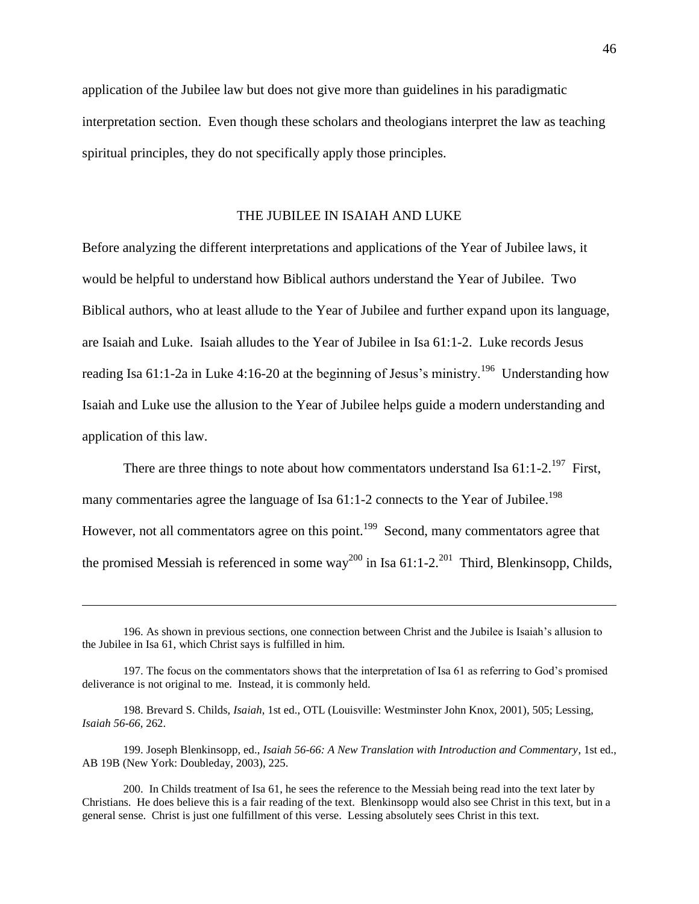application of the Jubilee law but does not give more than guidelines in his paradigmatic interpretation section. Even though these scholars and theologians interpret the law as teaching spiritual principles, they do not specifically apply those principles.

# THE JUBILEE IN ISAIAH AND LUKE

Before analyzing the different interpretations and applications of the Year of Jubilee laws, it would be helpful to understand how Biblical authors understand the Year of Jubilee. Two Biblical authors, who at least allude to the Year of Jubilee and further expand upon its language, are Isaiah and Luke. Isaiah alludes to the Year of Jubilee in Isa 61:1-2. Luke records Jesus reading Isa  $61:1$ -2a in Luke 4:16-20 at the beginning of Jesus's ministry.<sup>196</sup> Understanding how Isaiah and Luke use the allusion to the Year of Jubilee helps guide a modern understanding and application of this law.

There are three things to note about how commentators understand Isa  $61:1-2.^{197}$  First, many commentaries agree the language of Isa  $61:1-2$  connects to the Year of Jubilee.<sup>198</sup> However, not all commentators agree on this point.<sup>199</sup> Second, many commentators agree that the promised Messiah is referenced in some way<sup>200</sup> in Isa 61:1-2.<sup>201</sup> Third, Blenkinsopp, Childs,

<sup>196.</sup> As shown in previous sections, one connection between Christ and the Jubilee is Isaiah's allusion to the Jubilee in Isa 61, which Christ says is fulfilled in him.

<sup>197.</sup> The focus on the commentators shows that the interpretation of Isa 61 as referring to God's promised deliverance is not original to me. Instead, it is commonly held.

<sup>198.</sup> Brevard S. Childs, *Isaiah*, 1st ed., OTL (Louisville: Westminster John Knox, 2001), 505; Lessing, *Isaiah 56-66*, 262.

<sup>199.</sup> Joseph Blenkinsopp, ed., *Isaiah 56-66: A New Translation with Introduction and Commentary*, 1st ed., AB 19B (New York: Doubleday, 2003), 225.

<sup>200.</sup> In Childs treatment of Isa 61, he sees the reference to the Messiah being read into the text later by Christians. He does believe this is a fair reading of the text. Blenkinsopp would also see Christ in this text, but in a general sense. Christ is just one fulfillment of this verse. Lessing absolutely sees Christ in this text.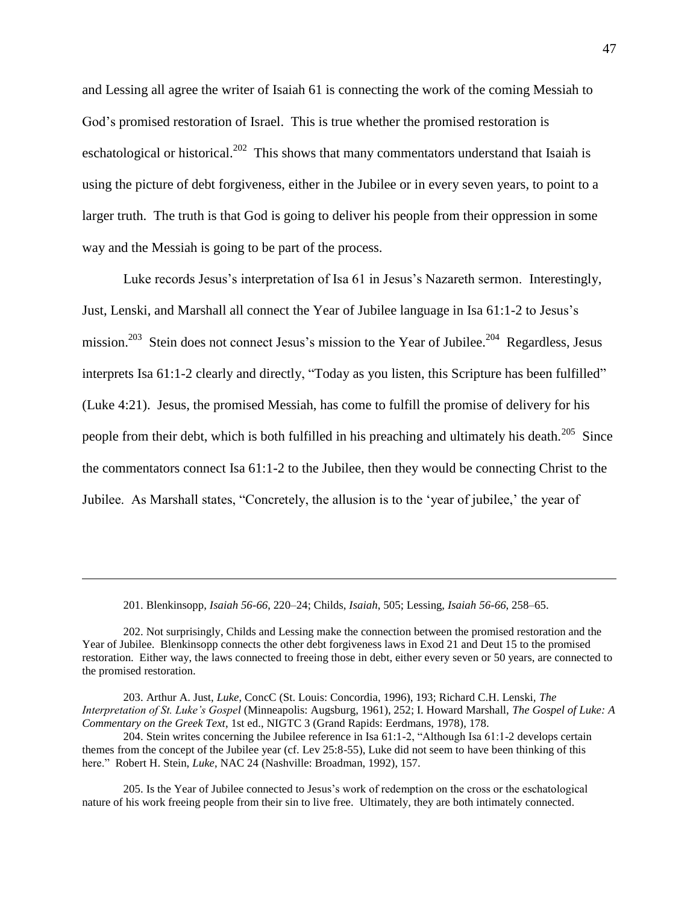and Lessing all agree the writer of Isaiah 61 is connecting the work of the coming Messiah to God's promised restoration of Israel. This is true whether the promised restoration is eschatological or historical.<sup>202</sup> This shows that many commentators understand that Isaiah is using the picture of debt forgiveness, either in the Jubilee or in every seven years, to point to a larger truth. The truth is that God is going to deliver his people from their oppression in some way and the Messiah is going to be part of the process.

Luke records Jesus's interpretation of Isa 61 in Jesus's Nazareth sermon. Interestingly, Just, Lenski, and Marshall all connect the Year of Jubilee language in Isa 61:1-2 to Jesus's mission.<sup>203</sup> Stein does not connect Jesus's mission to the Year of Jubilee.<sup>204</sup> Regardless, Jesus interprets Isa 61:1-2 clearly and directly, "Today as you listen, this Scripture has been fulfilled" (Luke 4:21). Jesus, the promised Messiah, has come to fulfill the promise of delivery for his people from their debt, which is both fulfilled in his preaching and ultimately his death.<sup>205</sup> Since the commentators connect Isa 61:1-2 to the Jubilee, then they would be connecting Christ to the Jubilee. As Marshall states, "Concretely, the allusion is to the 'year of jubilee,' the year of

201. Blenkinsopp, *Isaiah 56-66*, 220–24; Childs, *Isaiah*, 505; Lessing, *Isaiah 56-66*, 258–65.

 $\overline{a}$ 

202. Not surprisingly, Childs and Lessing make the connection between the promised restoration and the Year of Jubilee. Blenkinsopp connects the other debt forgiveness laws in Exod 21 and Deut 15 to the promised restoration. Either way, the laws connected to freeing those in debt, either every seven or 50 years, are connected to the promised restoration.

203. Arthur A. Just, *Luke*, ConcC (St. Louis: Concordia, 1996), 193; Richard C.H. Lenski, *The Interpretation of St. Luke's Gospel* (Minneapolis: Augsburg, 1961), 252; I. Howard Marshall, *The Gospel of Luke: A Commentary on the Greek Text*, 1st ed., NIGTC 3 (Grand Rapids: Eerdmans, 1978), 178.

 $204$ . Stein writes concerning the Jubilee reference in Isa  $61:1-2$ , "Although Isa  $61:1-2$  develops certain themes from the concept of the Jubilee year (cf. Lev 25:8-55), Luke did not seem to have been thinking of this here." Robert H. Stein, *Luke*, NAC 24 (Nashville: Broadman, 1992), 157.

205. Is the Year of Jubilee connected to Jesus's work of redemption on the cross or the eschatological nature of his work freeing people from their sin to live free. Ultimately, they are both intimately connected.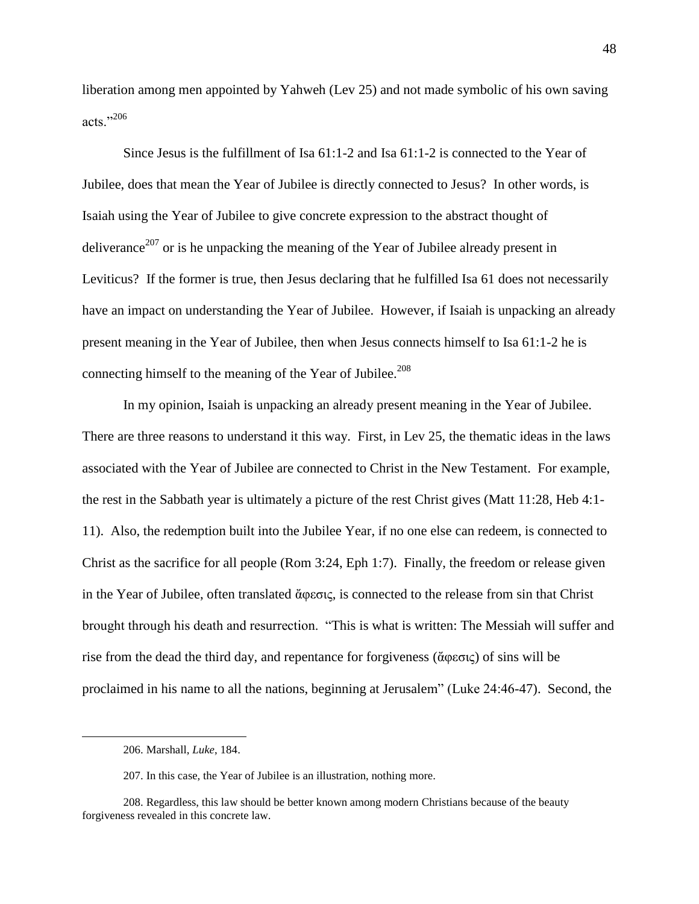liberation among men appointed by Yahweh (Lev 25) and not made symbolic of his own saving acts."206

Since Jesus is the fulfillment of Isa 61:1-2 and Isa 61:1-2 is connected to the Year of Jubilee, does that mean the Year of Jubilee is directly connected to Jesus? In other words, is Isaiah using the Year of Jubilee to give concrete expression to the abstract thought of deliverance<sup>207</sup> or is he unpacking the meaning of the Year of Jubilee already present in Leviticus? If the former is true, then Jesus declaring that he fulfilled Isa 61 does not necessarily have an impact on understanding the Year of Jubilee. However, if Isaiah is unpacking an already present meaning in the Year of Jubilee, then when Jesus connects himself to Isa 61:1-2 he is connecting himself to the meaning of the Year of Jubilee.<sup>208</sup>

In my opinion, Isaiah is unpacking an already present meaning in the Year of Jubilee. There are three reasons to understand it this way. First, in Lev 25, the thematic ideas in the laws associated with the Year of Jubilee are connected to Christ in the New Testament. For example, the rest in the Sabbath year is ultimately a picture of the rest Christ gives (Matt 11:28, Heb 4:1- 11). Also, the redemption built into the Jubilee Year, if no one else can redeem, is connected to Christ as the sacrifice for all people (Rom 3:24, Eph 1:7). Finally, the freedom or release given in the Year of Jubilee, often translated ἄφεσις, is connected to the release from sin that Christ brought through his death and resurrection. "This is what is written: The Messiah will suffer and rise from the dead the third day, and repentance for forgiveness (ἄφεσις) of sins will be proclaimed in his name to all the nations, beginning at Jerusalem" (Luke 24:46-47). Second, the

<sup>206.</sup> Marshall, *Luke*, 184.

<sup>207.</sup> In this case, the Year of Jubilee is an illustration, nothing more.

<sup>208.</sup> Regardless, this law should be better known among modern Christians because of the beauty forgiveness revealed in this concrete law.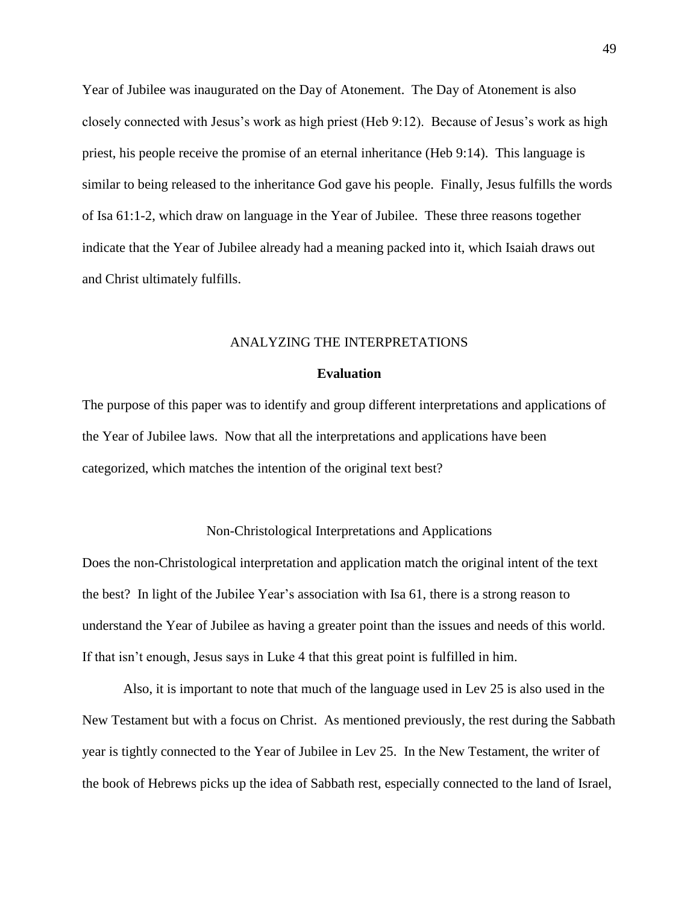Year of Jubilee was inaugurated on the Day of Atonement. The Day of Atonement is also closely connected with Jesus's work as high priest (Heb 9:12). Because of Jesus's work as high priest, his people receive the promise of an eternal inheritance (Heb 9:14). This language is similar to being released to the inheritance God gave his people. Finally, Jesus fulfills the words of Isa 61:1-2, which draw on language in the Year of Jubilee. These three reasons together indicate that the Year of Jubilee already had a meaning packed into it, which Isaiah draws out and Christ ultimately fulfills.

# ANALYZING THE INTERPRETATIONS

### **Evaluation**

The purpose of this paper was to identify and group different interpretations and applications of the Year of Jubilee laws. Now that all the interpretations and applications have been categorized, which matches the intention of the original text best?

# Non-Christological Interpretations and Applications

Does the non-Christological interpretation and application match the original intent of the text the best? In light of the Jubilee Year's association with Isa 61, there is a strong reason to understand the Year of Jubilee as having a greater point than the issues and needs of this world. If that isn't enough, Jesus says in Luke 4 that this great point is fulfilled in him.

Also, it is important to note that much of the language used in Lev 25 is also used in the New Testament but with a focus on Christ. As mentioned previously, the rest during the Sabbath year is tightly connected to the Year of Jubilee in Lev 25. In the New Testament, the writer of the book of Hebrews picks up the idea of Sabbath rest, especially connected to the land of Israel,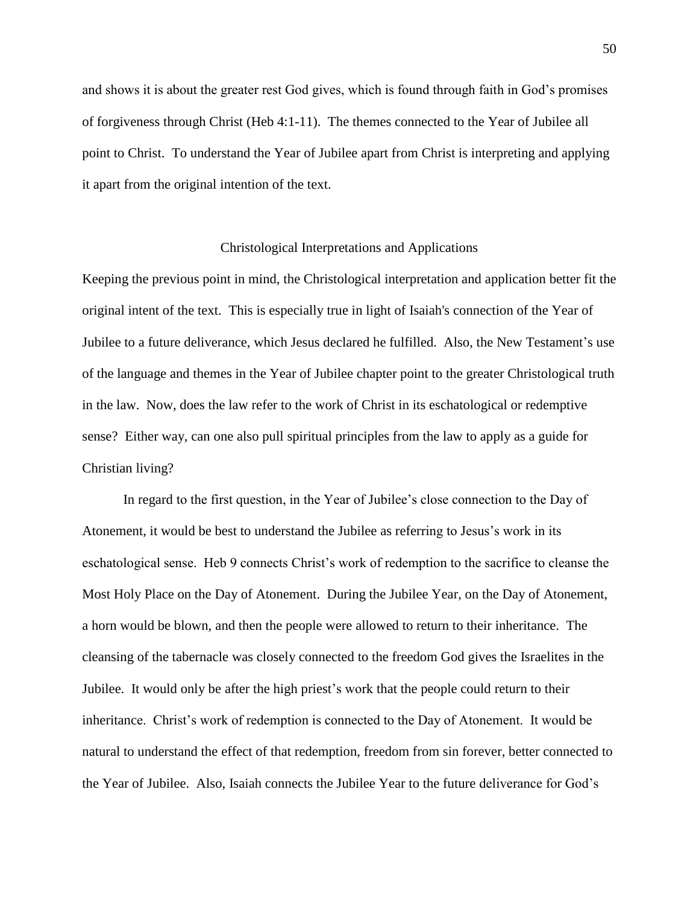and shows it is about the greater rest God gives, which is found through faith in God's promises of forgiveness through Christ (Heb 4:1-11). The themes connected to the Year of Jubilee all point to Christ. To understand the Year of Jubilee apart from Christ is interpreting and applying it apart from the original intention of the text.

#### Christological Interpretations and Applications

Keeping the previous point in mind, the Christological interpretation and application better fit the original intent of the text. This is especially true in light of Isaiah's connection of the Year of Jubilee to a future deliverance, which Jesus declared he fulfilled. Also, the New Testament's use of the language and themes in the Year of Jubilee chapter point to the greater Christological truth in the law. Now, does the law refer to the work of Christ in its eschatological or redemptive sense? Either way, can one also pull spiritual principles from the law to apply as a guide for Christian living?

In regard to the first question, in the Year of Jubilee's close connection to the Day of Atonement, it would be best to understand the Jubilee as referring to Jesus's work in its eschatological sense. Heb 9 connects Christ's work of redemption to the sacrifice to cleanse the Most Holy Place on the Day of Atonement. During the Jubilee Year, on the Day of Atonement, a horn would be blown, and then the people were allowed to return to their inheritance. The cleansing of the tabernacle was closely connected to the freedom God gives the Israelites in the Jubilee. It would only be after the high priest's work that the people could return to their inheritance. Christ's work of redemption is connected to the Day of Atonement. It would be natural to understand the effect of that redemption, freedom from sin forever, better connected to the Year of Jubilee. Also, Isaiah connects the Jubilee Year to the future deliverance for God's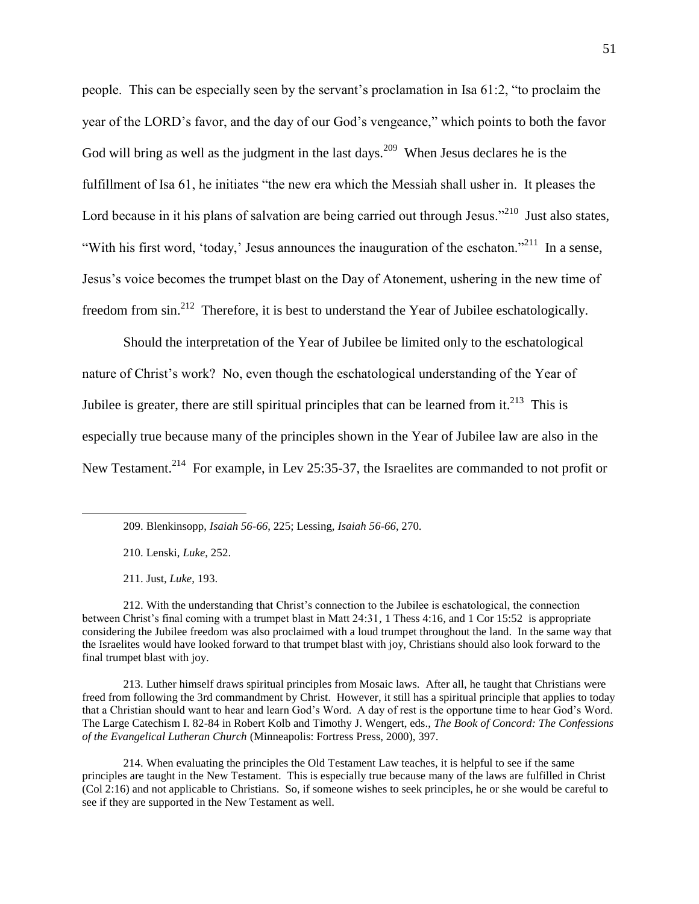people. This can be especially seen by the servant's proclamation in Isa  $61:2$ , "to proclaim the year of the LORD's favor, and the day of our God's vengeance," which points to both the favor God will bring as well as the judgment in the last days.<sup>209</sup> When Jesus declares he is the fulfillment of Isa  $61$ , he initiates "the new era which the Messiah shall usher in. It pleases the Lord because in it his plans of salvation are being carried out through Jesus."<sup>210</sup> Just also states, "With his first word, 'today,' Jesus announces the inauguration of the eschaton."<sup>211</sup> In a sense, Jesus's voice becomes the trumpet blast on the Day of Atonement, ushering in the new time of freedom from  $\sin^{212}$  Therefore, it is best to understand the Year of Jubilee eschatologically.

Should the interpretation of the Year of Jubilee be limited only to the eschatological nature of Christ's work? No, even though the eschatological understanding of the Year of Jubilee is greater, there are still spiritual principles that can be learned from it. $^{213}$  This is especially true because many of the principles shown in the Year of Jubilee law are also in the New Testament.<sup>214</sup> For example, in Lev 25:35-37, the Israelites are commanded to not profit or

210. Lenski, *Luke*, 252.

211. Just, *Luke*, 193.

 $\overline{a}$ 

212. With the understanding that Christ's connection to the Jubilee is eschatological, the connection between Christ's final coming with a trumpet blast in Matt 24:31, 1 Thess 4:16, and 1 Cor 15:52 is appropriate considering the Jubilee freedom was also proclaimed with a loud trumpet throughout the land. In the same way that the Israelites would have looked forward to that trumpet blast with joy, Christians should also look forward to the final trumpet blast with joy.

213. Luther himself draws spiritual principles from Mosaic laws. After all, he taught that Christians were freed from following the 3rd commandment by Christ. However, it still has a spiritual principle that applies to today that a Christian should want to hear and learn God's Word. A day of rest is the opportune time to hear God's Word. The Large Catechism I. 82-84 in Robert Kolb and Timothy J. Wengert, eds., *The Book of Concord: The Confessions of the Evangelical Lutheran Church* (Minneapolis: Fortress Press, 2000), 397.

214. When evaluating the principles the Old Testament Law teaches, it is helpful to see if the same principles are taught in the New Testament. This is especially true because many of the laws are fulfilled in Christ (Col 2:16) and not applicable to Christians. So, if someone wishes to seek principles, he or she would be careful to see if they are supported in the New Testament as well.

<sup>209.</sup> Blenkinsopp, *Isaiah 56-66*, 225; Lessing, *Isaiah 56-66*, 270.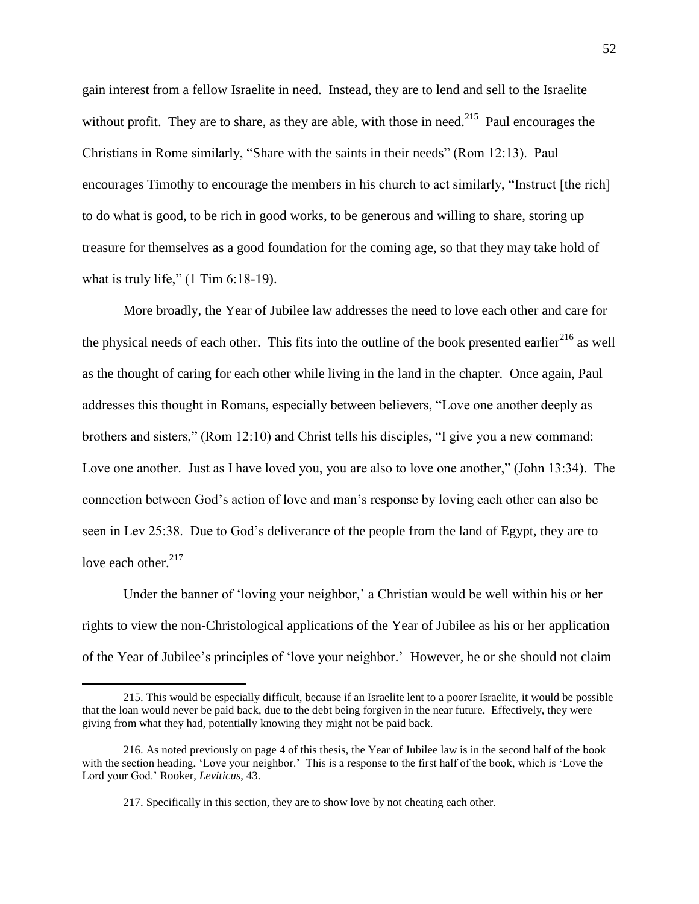gain interest from a fellow Israelite in need. Instead, they are to lend and sell to the Israelite without profit. They are to share, as they are able, with those in need.<sup>215</sup> Paul encourages the Christians in Rome similarly, "Share with the saints in their needs" (Rom 12:13). Paul encourages Timothy to encourage the members in his church to act similarly, "Instruct [the rich] to do what is good, to be rich in good works, to be generous and willing to share, storing up treasure for themselves as a good foundation for the coming age, so that they may take hold of what is truly life,"  $(1 \text{ Tim } 6:18-19)$ .

More broadly, the Year of Jubilee law addresses the need to love each other and care for the physical needs of each other. This fits into the outline of the book presented earlier<sup>216</sup> as well as the thought of caring for each other while living in the land in the chapter. Once again, Paul addresses this thought in Romans, especially between believers, "Love one another deeply as brothers and sisters," (Rom  $12:10$ ) and Christ tells his disciples, "I give you a new command: Love one another. Just as I have loved you, you are also to love one another," (John 13:34). The connection between God's action of love and man's response by loving each other can also be seen in Lev 25:38. Due to God's deliverance of the people from the land of Egypt, they are to love each other. $2^{17}$ 

Under the banner of 'loving your neighbor,' a Christian would be well within his or her rights to view the non-Christological applications of the Year of Jubilee as his or her application of the Year of Jubilee's principles of ‗love your neighbor.' However, he or she should not claim

<sup>215.</sup> This would be especially difficult, because if an Israelite lent to a poorer Israelite, it would be possible that the loan would never be paid back, due to the debt being forgiven in the near future. Effectively, they were giving from what they had, potentially knowing they might not be paid back.

<sup>216.</sup> As noted previously on page 4 of this thesis, the Year of Jubilee law is in the second half of the book with the section heading, 'Love your neighbor.' This is a response to the first half of the book, which is 'Love the Lord your God.' Rooker, *Leviticus*, 43.

<sup>217.</sup> Specifically in this section, they are to show love by not cheating each other.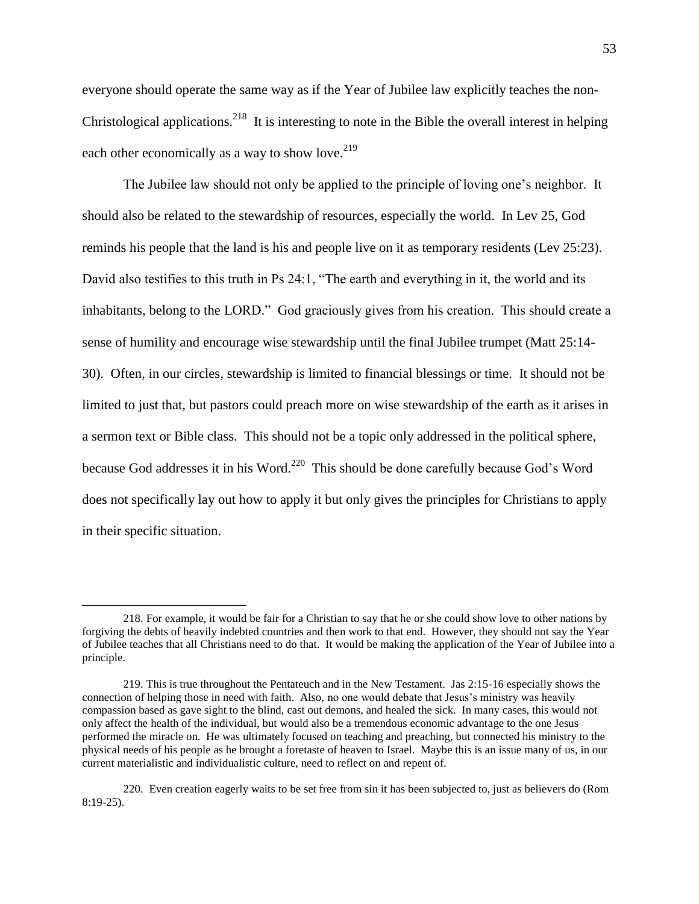everyone should operate the same way as if the Year of Jubilee law explicitly teaches the non-Christological applications.<sup>218</sup> It is interesting to note in the Bible the overall interest in helping each other economically as a way to show love. $2^{19}$ 

The Jubilee law should not only be applied to the principle of loving one's neighbor. It should also be related to the stewardship of resources, especially the world. In Lev 25, God reminds his people that the land is his and people live on it as temporary residents (Lev 25:23). David also testifies to this truth in Ps 24:1, "The earth and everything in it, the world and its inhabitants, belong to the LORD." God graciously gives from his creation. This should create a sense of humility and encourage wise stewardship until the final Jubilee trumpet (Matt 25:14- 30). Often, in our circles, stewardship is limited to financial blessings or time. It should not be limited to just that, but pastors could preach more on wise stewardship of the earth as it arises in a sermon text or Bible class. This should not be a topic only addressed in the political sphere, because God addresses it in his Word.<sup>220</sup> This should be done carefully because God's Word does not specifically lay out how to apply it but only gives the principles for Christians to apply in their specific situation.

<sup>218.</sup> For example, it would be fair for a Christian to say that he or she could show love to other nations by forgiving the debts of heavily indebted countries and then work to that end. However, they should not say the Year of Jubilee teaches that all Christians need to do that. It would be making the application of the Year of Jubilee into a principle.

<sup>219.</sup> This is true throughout the Pentateuch and in the New Testament. Jas 2:15-16 especially shows the connection of helping those in need with faith. Also, no one would debate that Jesus's ministry was heavily compassion based as gave sight to the blind, cast out demons, and healed the sick. In many cases, this would not only affect the health of the individual, but would also be a tremendous economic advantage to the one Jesus performed the miracle on. He was ultimately focused on teaching and preaching, but connected his ministry to the physical needs of his people as he brought a foretaste of heaven to Israel. Maybe this is an issue many of us, in our current materialistic and individualistic culture, need to reflect on and repent of.

<sup>220.</sup> Even creation eagerly waits to be set free from sin it has been subjected to, just as believers do (Rom 8:19-25).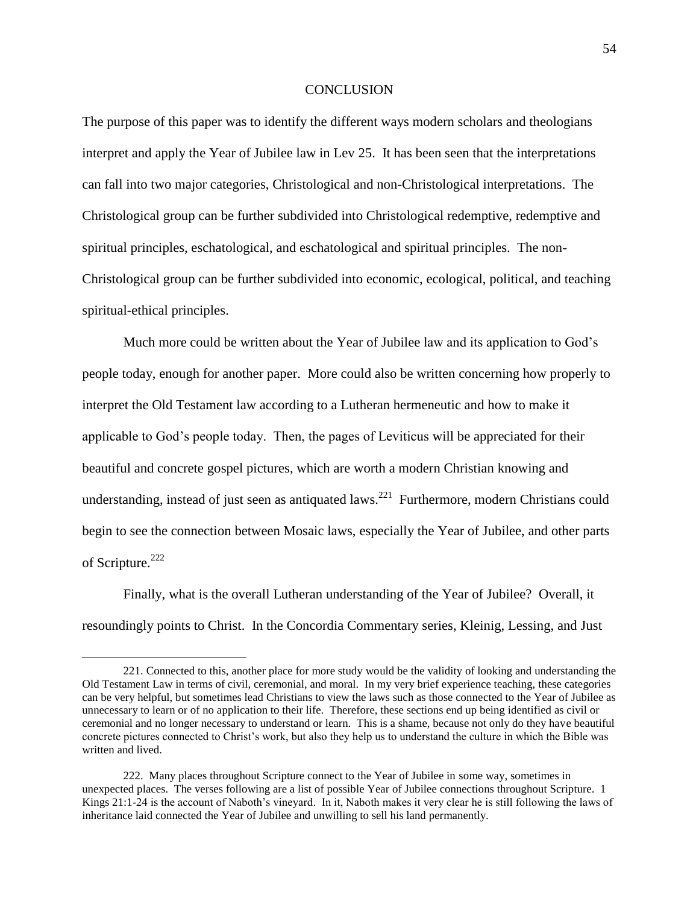#### **CONCLUSION**

The purpose of this paper was to identify the different ways modern scholars and theologians interpret and apply the Year of Jubilee law in Lev 25. It has been seen that the interpretations can fall into two major categories, Christological and non-Christological interpretations. The Christological group can be further subdivided into Christological redemptive, redemptive and spiritual principles, eschatological, and eschatological and spiritual principles. The non-Christological group can be further subdivided into economic, ecological, political, and teaching spiritual-ethical principles.

Much more could be written about the Year of Jubilee law and its application to God's people today, enough for another paper. More could also be written concerning how properly to interpret the Old Testament law according to a Lutheran hermeneutic and how to make it applicable to God's people today. Then, the pages of Leviticus will be appreciated for their beautiful and concrete gospel pictures, which are worth a modern Christian knowing and understanding, instead of just seen as antiquated laws.<sup>221</sup> Furthermore, modern Christians could begin to see the connection between Mosaic laws, especially the Year of Jubilee, and other parts of Scripture.<sup>222</sup>

Finally, what is the overall Lutheran understanding of the Year of Jubilee? Overall, it resoundingly points to Christ. In the Concordia Commentary series, Kleinig, Lessing, and Just

<sup>221.</sup> Connected to this, another place for more study would be the validity of looking and understanding the Old Testament Law in terms of civil, ceremonial, and moral. In my very brief experience teaching, these categories can be very helpful, but sometimes lead Christians to view the laws such as those connected to the Year of Jubilee as unnecessary to learn or of no application to their life. Therefore, these sections end up being identified as civil or ceremonial and no longer necessary to understand or learn. This is a shame, because not only do they have beautiful concrete pictures connected to Christ's work, but also they help us to understand the culture in which the Bible was written and lived.

<sup>222.</sup> Many places throughout Scripture connect to the Year of Jubilee in some way, sometimes in unexpected places. The verses following are a list of possible Year of Jubilee connections throughout Scripture. 1 Kings 21:1-24 is the account of Naboth's vineyard. In it, Naboth makes it very clear he is still following the laws of inheritance laid connected the Year of Jubilee and unwilling to sell his land permanently.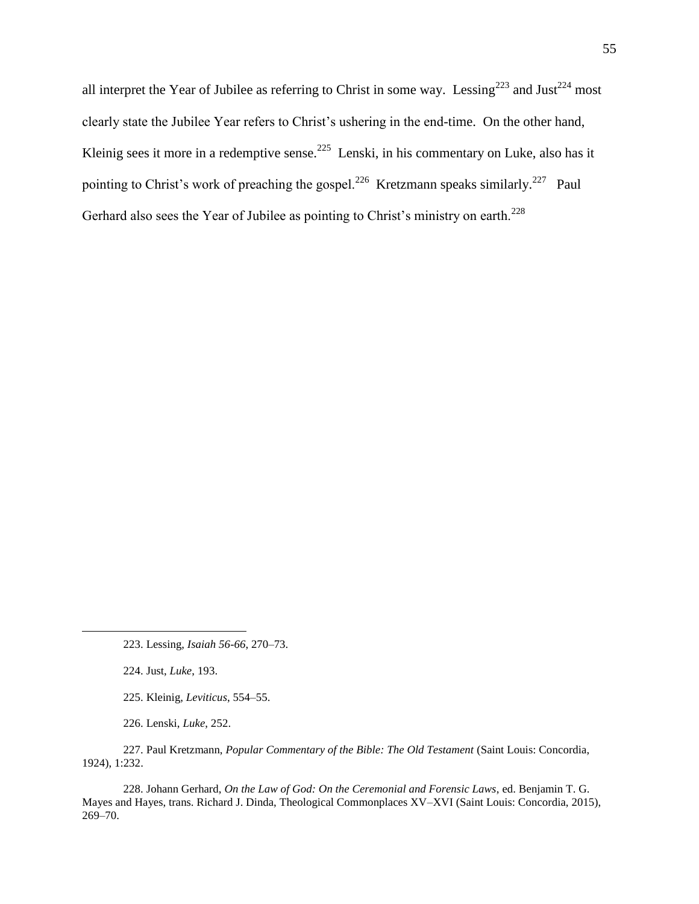all interpret the Year of Jubilee as referring to Christ in some way. Lessing<sup>223</sup> and Just<sup>224</sup> most clearly state the Jubilee Year refers to Christ's ushering in the end-time. On the other hand, Kleinig sees it more in a redemptive sense.<sup>225</sup> Lenski, in his commentary on Luke, also has it pointing to Christ's work of preaching the gospel.<sup>226</sup> Kretzmann speaks similarly.<sup>227</sup> Paul Gerhard also sees the Year of Jubilee as pointing to Christ's ministry on earth.<sup>228</sup>

224. Just, *Luke*, 193.

 $\overline{a}$ 

225. Kleinig, *Leviticus*, 554–55.

226. Lenski, *Luke*, 252.

227. Paul Kretzmann, *Popular Commentary of the Bible: The Old Testament* (Saint Louis: Concordia, 1924), 1:232.

228. Johann Gerhard, *On the Law of God: On the Ceremonial and Forensic Laws*, ed. Benjamin T. G. Mayes and Hayes, trans. Richard J. Dinda, Theological Commonplaces XV–XVI (Saint Louis: Concordia, 2015), 269–70.

<sup>223.</sup> Lessing, *Isaiah 56-66*, 270–73.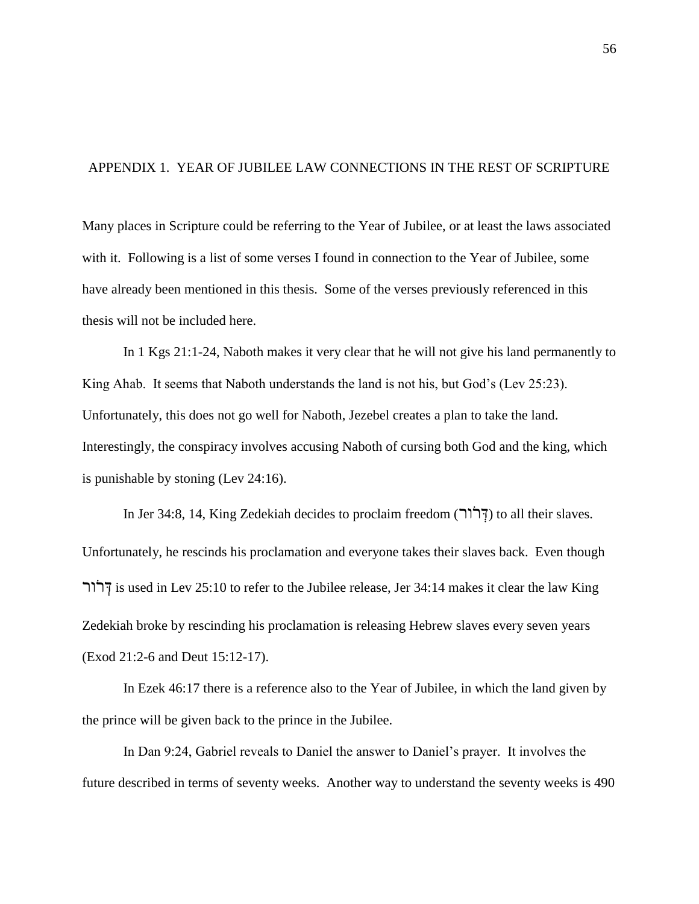# APPENDIX 1. YEAR OF JUBILEE LAW CONNECTIONS IN THE REST OF SCRIPTURE

Many places in Scripture could be referring to the Year of Jubilee, or at least the laws associated with it. Following is a list of some verses I found in connection to the Year of Jubilee, some have already been mentioned in this thesis. Some of the verses previously referenced in this thesis will not be included here.

In 1 Kgs 21:1-24, Naboth makes it very clear that he will not give his land permanently to King Ahab. It seems that Naboth understands the land is not his, but God's (Lev 25:23). Unfortunately, this does not go well for Naboth, Jezebel creates a plan to take the land. Interestingly, the conspiracy involves accusing Naboth of cursing both God and the king, which is punishable by stoning (Lev 24:16).

In Jer 34:8, 14, King Zedekiah decides to proclaim freedom (יְדוֹר) to all their slaves. Unfortunately, he rescinds his proclamation and everyone takes their slaves back. Even though ירור  $\vec{r}$  is used in Lev 25:10 to refer to the Jubilee release, Jer 34:14 makes it clear the law King Zedekiah broke by rescinding his proclamation is releasing Hebrew slaves every seven years (Exod 21:2-6 and Deut 15:12-17).

In Ezek 46:17 there is a reference also to the Year of Jubilee, in which the land given by the prince will be given back to the prince in the Jubilee.

In Dan 9:24, Gabriel reveals to Daniel the answer to Daniel's prayer. It involves the future described in terms of seventy weeks. Another way to understand the seventy weeks is 490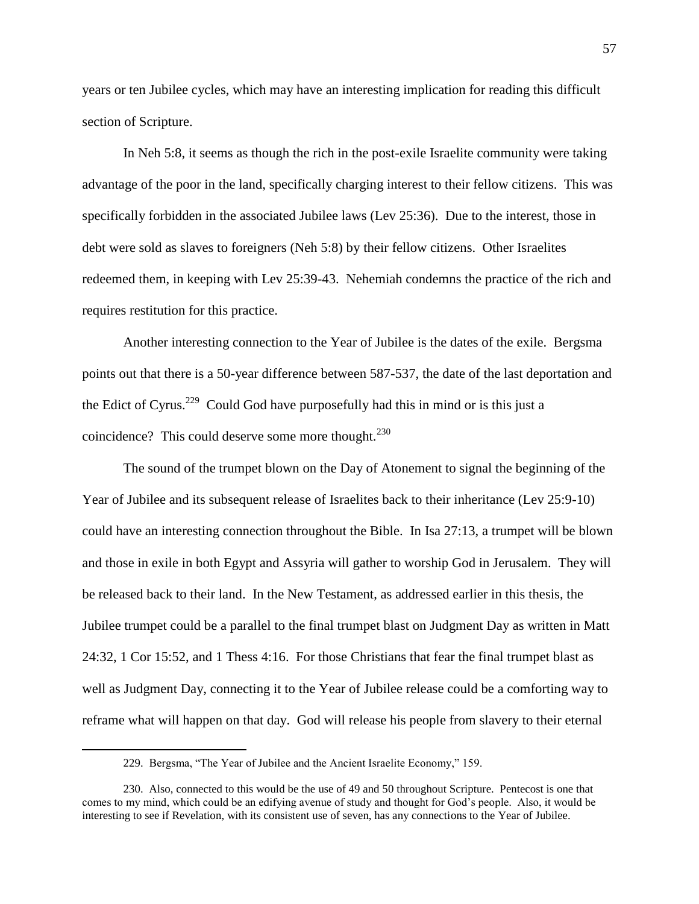years or ten Jubilee cycles, which may have an interesting implication for reading this difficult section of Scripture.

In Neh 5:8, it seems as though the rich in the post-exile Israelite community were taking advantage of the poor in the land, specifically charging interest to their fellow citizens. This was specifically forbidden in the associated Jubilee laws (Lev 25:36). Due to the interest, those in debt were sold as slaves to foreigners (Neh 5:8) by their fellow citizens. Other Israelites redeemed them, in keeping with Lev 25:39-43. Nehemiah condemns the practice of the rich and requires restitution for this practice.

Another interesting connection to the Year of Jubilee is the dates of the exile. Bergsma points out that there is a 50-year difference between 587-537, the date of the last deportation and the Edict of Cyrus.<sup>229</sup> Could God have purposefully had this in mind or is this just a coincidence? This could deserve some more thought. $^{230}$ 

The sound of the trumpet blown on the Day of Atonement to signal the beginning of the Year of Jubilee and its subsequent release of Israelites back to their inheritance (Lev 25:9-10) could have an interesting connection throughout the Bible. In Isa 27:13, a trumpet will be blown and those in exile in both Egypt and Assyria will gather to worship God in Jerusalem. They will be released back to their land. In the New Testament, as addressed earlier in this thesis, the Jubilee trumpet could be a parallel to the final trumpet blast on Judgment Day as written in Matt 24:32, 1 Cor 15:52, and 1 Thess 4:16. For those Christians that fear the final trumpet blast as well as Judgment Day, connecting it to the Year of Jubilee release could be a comforting way to reframe what will happen on that day. God will release his people from slavery to their eternal

<sup>229.</sup> Bergsma, "The Year of Jubilee and the Ancient Israelite Economy," 159.

<sup>230.</sup> Also, connected to this would be the use of 49 and 50 throughout Scripture. Pentecost is one that comes to my mind, which could be an edifying avenue of study and thought for God's people. Also, it would be interesting to see if Revelation, with its consistent use of seven, has any connections to the Year of Jubilee.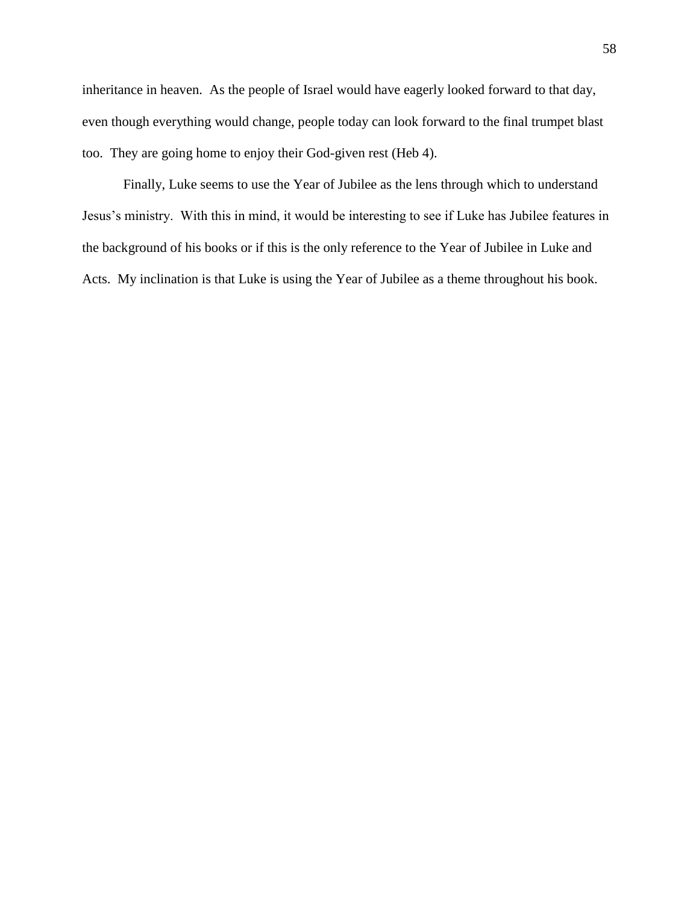inheritance in heaven. As the people of Israel would have eagerly looked forward to that day, even though everything would change, people today can look forward to the final trumpet blast too. They are going home to enjoy their God-given rest (Heb 4).

Finally, Luke seems to use the Year of Jubilee as the lens through which to understand Jesus's ministry. With this in mind, it would be interesting to see if Luke has Jubilee features in the background of his books or if this is the only reference to the Year of Jubilee in Luke and Acts. My inclination is that Luke is using the Year of Jubilee as a theme throughout his book.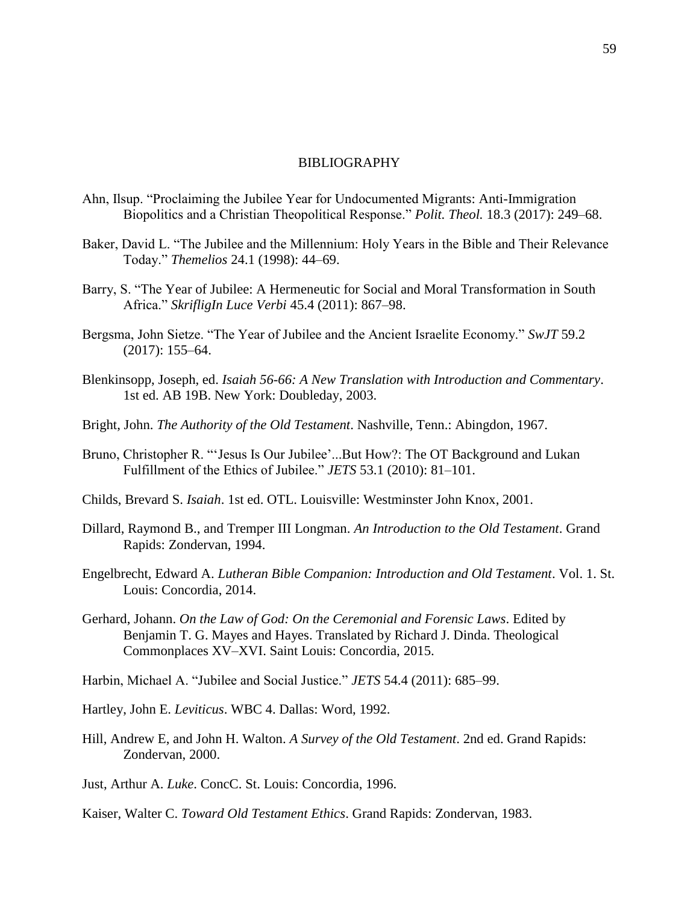#### BIBLIOGRAPHY

- Ahn, Ilsup. "Proclaiming the Jubilee Year for Undocumented Migrants: Anti-Immigration Biopolitics and a Christian Theopolitical Response." *Polit. Theol.* 18.3 (2017): 249–68.
- Baker, David L. "The Jubilee and the Millennium: Holy Years in the Bible and Their Relevance Today.‖ *Themelios* 24.1 (1998): 44–69.
- Barry, S. "The Year of Jubilee: A Hermeneutic for Social and Moral Transformation in South Africa.‖ *SkrifligIn Luce Verbi* 45.4 (2011): 867–98.
- Bergsma, John Sietze. "The Year of Jubilee and the Ancient Israelite Economy." *SwJT* 59.2 (2017): 155–64.
- Blenkinsopp, Joseph, ed. *Isaiah 56-66: A New Translation with Introduction and Commentary*. 1st ed. AB 19B. New York: Doubleday, 2003.
- Bright, John. *The Authority of the Old Testament*. Nashville, Tenn.: Abingdon, 1967.
- Bruno, Christopher R. "'Jesus Is Our Jubilee'...But How?: The OT Background and Lukan Fulfillment of the Ethics of Jubilee." *JETS* 53.1 (2010): 81-101.
- Childs, Brevard S. *Isaiah*. 1st ed. OTL. Louisville: Westminster John Knox, 2001.
- Dillard, Raymond B., and Tremper III Longman. *An Introduction to the Old Testament*. Grand Rapids: Zondervan, 1994.
- Engelbrecht, Edward A. *Lutheran Bible Companion: Introduction and Old Testament*. Vol. 1. St. Louis: Concordia, 2014.
- Gerhard, Johann. *On the Law of God: On the Ceremonial and Forensic Laws*. Edited by Benjamin T. G. Mayes and Hayes. Translated by Richard J. Dinda. Theological Commonplaces XV–XVI. Saint Louis: Concordia, 2015.
- Harbin, Michael A. "Jubilee and Social Justice." *JETS* 54.4 (2011): 685–99.
- Hartley, John E. *Leviticus*. WBC 4. Dallas: Word, 1992.
- Hill, Andrew E, and John H. Walton. *A Survey of the Old Testament*. 2nd ed. Grand Rapids: Zondervan, 2000.
- Just, Arthur A. *Luke*. ConcC. St. Louis: Concordia, 1996.

Kaiser, Walter C. *Toward Old Testament Ethics*. Grand Rapids: Zondervan, 1983.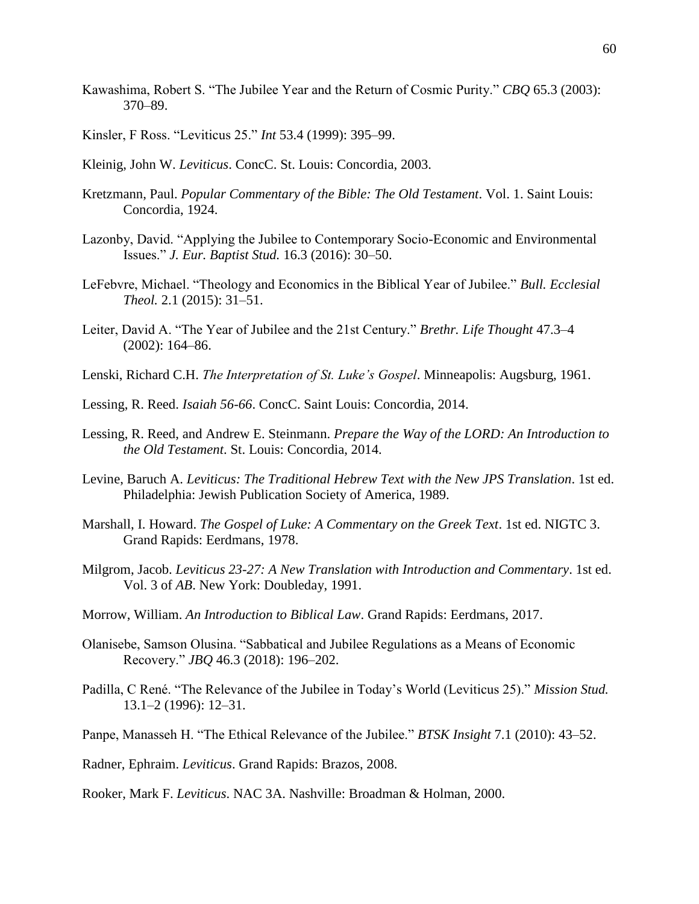- Kawashima, Robert S. "The Jubilee Year and the Return of Cosmic Purity." *CBO* 65.3 (2003): 370–89.
- Kinsler, F Ross. "Leviticus 25." *Int* 53.4 (1999): 395–99.
- Kleinig, John W. *Leviticus*. ConcC. St. Louis: Concordia, 2003.
- Kretzmann, Paul. *Popular Commentary of the Bible: The Old Testament*. Vol. 1. Saint Louis: Concordia, 1924.
- Lazonby, David. "Applying the Jubilee to Contemporary Socio-Economic and Environmental Issues.‖ *J. Eur. Baptist Stud.* 16.3 (2016): 30–50.
- LeFebvre, Michael. "Theology and Economics in the Biblical Year of Jubilee." *Bull. Ecclesial Theol.* 2.1 (2015): 31–51.
- Leiter, David A. "The Year of Jubilee and the 21st Century." *Brethr. Life Thought* 47.3–4 (2002): 164–86.
- Lenski, Richard C.H. *The Interpretation of St. Luke's Gospel*. Minneapolis: Augsburg, 1961.
- Lessing, R. Reed. *Isaiah 56-66*. ConcC. Saint Louis: Concordia, 2014.
- Lessing, R. Reed, and Andrew E. Steinmann. *Prepare the Way of the LORD: An Introduction to the Old Testament*. St. Louis: Concordia, 2014.
- Levine, Baruch A. *Leviticus: The Traditional Hebrew Text with the New JPS Translation*. 1st ed. Philadelphia: Jewish Publication Society of America, 1989.
- Marshall, I. Howard. *The Gospel of Luke: A Commentary on the Greek Text*. 1st ed. NIGTC 3. Grand Rapids: Eerdmans, 1978.
- Milgrom, Jacob. *Leviticus 23-27: A New Translation with Introduction and Commentary*. 1st ed. Vol. 3 of *AB*. New York: Doubleday, 1991.
- Morrow, William. *An Introduction to Biblical Law*. Grand Rapids: Eerdmans, 2017.
- Olanisebe, Samson Olusina. "Sabbatical and Jubilee Regulations as a Means of Economic Recovery.‖ *JBQ* 46.3 (2018): 196–202.
- Padilla, C René. "The Relevance of the Jubilee in Today's World (Leviticus 25)." *Mission Stud.* 13.1–2 (1996): 12–31.
- Panpe, Manasseh H. "The Ethical Relevance of the Jubilee." *BTSK Insight* 7.1 (2010): 43–52.
- Radner, Ephraim. *Leviticus*. Grand Rapids: Brazos, 2008.
- Rooker, Mark F. *Leviticus*. NAC 3A. Nashville: Broadman & Holman, 2000.